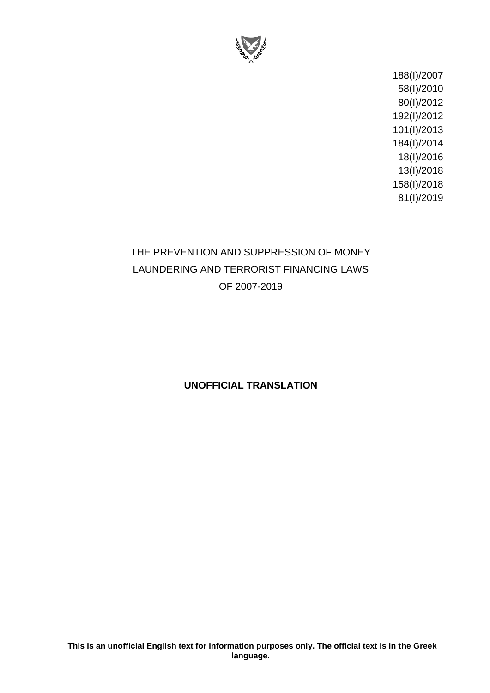

188(I)/2007 58(I)/2010 80(I)/2012 192(I)/2012 101(I)/2013 184(I)/2014 18(I)/2016 13(I)/2018 158(I)/2018 81(I)/2019

# THE PREVENTION AND SUPPRESSION OF MONEY LAUNDERING AND TERRORIST FINANCING LAWS OF 2007-2019

# **UNOFFICIAL TRANSLATION**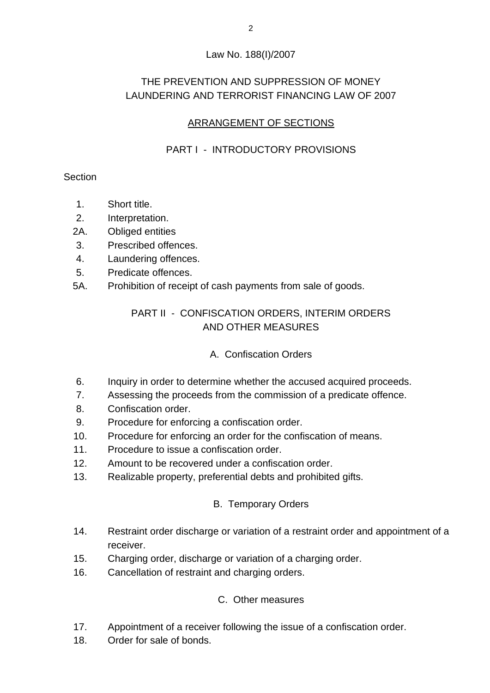### Law No. 188(I)/2007

# THE PREVENTION AND SUPPRESSION OF MONEY LAUNDERING AND TERRORIST FINANCING LAW OF 2007

# ARRANGEMENT OF SECTIONS

# PART I - INTRODUCTORY PROVISIONS

### **Section**

- 1. Short title.
- 2. Interpretation.
- 2A. Obliged entities
- 3. Prescribed offences.
- 4. Laundering offences.
- 5. Predicate offences.
- 5A. Prohibition of receipt of cash payments from sale of goods.

# PART II - CONFISCATION ORDERS, INTERIM ORDERS AND OTHER MEASURES

# A. Confiscation Orders

- 6. Inquiry in order to determine whether the accused acquired proceeds.
- 7. Assessing the proceeds from the commission of a predicate offence.
- 8. Confiscation order.
- 9. Procedure for enforcing a confiscation order.
- 10. Procedure for enforcing an order for the confiscation of means.
- 11. Procedure to issue a confiscation order.
- 12. Amount to be recovered under a confiscation order.
- 13. Realizable property, preferential debts and prohibited gifts.

# B. Temporary Orders

- 14. Restraint order discharge or variation of a restraint order and appointment of a receiver.
- 15. Charging order, discharge or variation of a charging order.
- 16. Cancellation of restraint and charging orders.

# C. Other measures

- 17. Appointment of a receiver following the issue of a confiscation order.
- 18. Order for sale of bonds.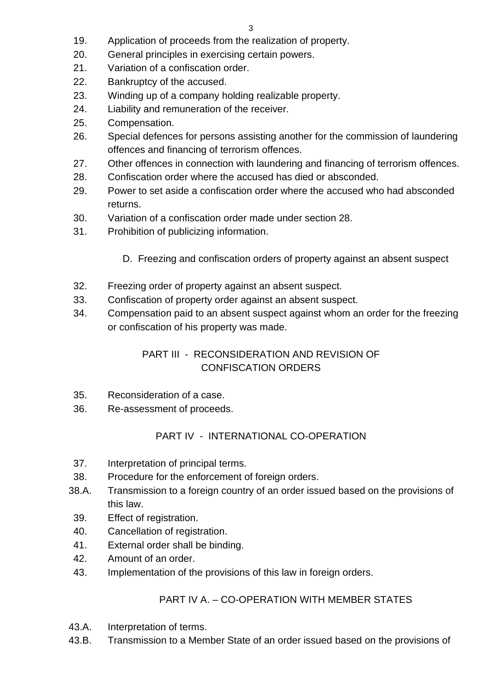- 19. Application of proceeds from the realization of property.
- 20. General principles in exercising certain powers.
- 21. Variation of a confiscation order.
- 22. Bankruptcy of the accused.
- 23. Winding up of a company holding realizable property.
- 24. Liability and remuneration of the receiver.
- 25. Compensation.
- 26. Special defences for persons assisting another for the commission of laundering offences and financing of terrorism offences.
- 27. Other offences in connection with laundering and financing of terrorism offences.
- 28. Confiscation order where the accused has died or absconded.
- 29. Power to set aside a confiscation order where the accused who had absconded returns.
- 30. Variation of a confiscation order made under section 28.
- 31. Prohibition of publicizing information.
	- D. Freezing and confiscation orders of property against an absent suspect
- 32. Freezing order of property against an absent suspect.
- 33. Confiscation of property order against an absent suspect.
- 34. Compensation paid to an absent suspect against whom an order for the freezing or confiscation of his property was made.

# PART III - RECONSIDERATION AND REVISION OF CONFISCATION ORDERS

- 35. Reconsideration of a case.
- 36. Re-assessment of proceeds.

# PART IV - INTERNATIONAL CO-OPERATION

- 37. Interpretation of principal terms.
- 38. Procedure for the enforcement of foreign orders.
- 38.A. Transmission to a foreign country of an order issued based on the provisions of this law.
- 39. Effect of registration.
- 40. Cancellation of registration.
- 41. External order shall be binding.
- 42. Amount of an order.
- 43. Implementation of the provisions of this law in foreign orders.

# PART IV A. – CO-OPERATION WITH MEMBER STATES

- 43.A. Interpretation of terms.
- 43.B. Transmission to a Member State of an order issued based on the provisions of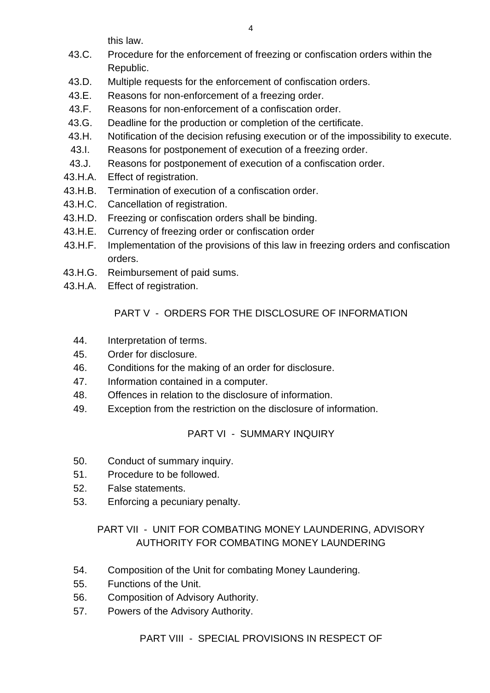this law.

- 43.C. Procedure for the enforcement of freezing or confiscation orders within the Republic.
- 43.D. Multiple requests for the enforcement of confiscation orders.
- 43.E. Reasons for non-enforcement of a freezing order.
- 43.F. Reasons for non-enforcement of a confiscation order.
- 43.G. Deadline for the production or completion of the certificate.
- 43.H. Notification of the decision refusing execution or of the impossibility to execute.
- 43.I. Reasons for postponement of execution of a freezing order.
- 43.J. Reasons for postponement of execution of a confiscation order.
- 43.H.A. Effect of registration.
- 43.H.B. Termination of execution of a confiscation order.
- 43.H.C. Cancellation of registration.
- 43.H.D. Freezing or confiscation orders shall be binding.
- 43.H.E. Currency of freezing order or confiscation order
- 43.H.F. Implementation of the provisions of this law in freezing orders and confiscation orders.
- 43.H.G. Reimbursement of paid sums.
- 43.H.A. Effect of registration.

# PART V - ORDERS FOR THE DISCLOSURE OF INFORMATION

- 44. Interpretation of terms.
- 45. Order for disclosure.
- 46. Conditions for the making of an order for disclosure.
- 47. Information contained in a computer.
- 48. Offences in relation to the disclosure of information.
- 49. Exception from the restriction on the disclosure of information.

#### PART VI - SUMMARY INQUIRY

- 50. Conduct of summary inquiry.
- 51. Procedure to be followed.
- 52. False statements.
- 53. Enforcing a pecuniary penalty.

# PART VII - UNIT FOR COMBATING MONEY LAUNDERING, ADVISORY AUTHORITY FOR COMBATING MONEY LAUNDERING

- 54. Composition of the Unit for combating Money Laundering.
- 55. Functions of the Unit.
- 56. Composition of Advisory Authority.
- 57. Powers of the Advisory Authority.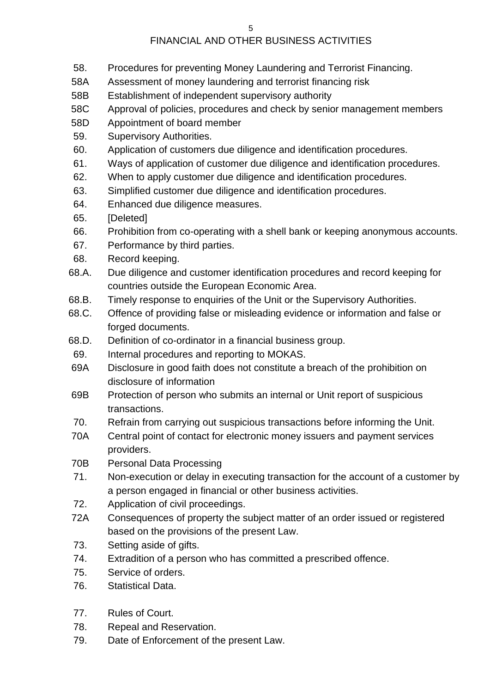# FINANCIAL AND OTHER BUSINESS ACTIVITIES

- 58. Procedures for preventing Money Laundering and Terrorist Financing.
- 58A Assessment of money laundering and terrorist financing risk
- 58B Establishment of independent supervisory authority
- 58C Approval of policies, procedures and check by senior management members
- 58D Appointment of board member
- 59. Supervisory Authorities.
- 60. Application of customers due diligence and identification procedures.
- 61. Ways of application of customer due diligence and identification procedures.
- 62. When to apply customer due diligence and identification procedures.
- 63. Simplified customer due diligence and identification procedures.
- 64. Enhanced due diligence measures.
- 65. [Deleted]
- 66. Prohibition from co-operating with a shell bank or keeping anonymous accounts.
- 67. Performance by third parties.
- 68. Record keeping.
- 68.A. Due diligence and customer identification procedures and record keeping for countries outside the European Economic Area.
- 68.B. Timely response to enquiries of the Unit or the Supervisory Authorities.
- 68.C. Offence of providing false or misleading evidence or information and false or forged documents.
- 68.D. Definition of co-ordinator in a financial business group.
- 69. Internal procedures and reporting to MOKAS.
- 69A Disclosure in good faith does not constitute a breach of the prohibition on disclosure of information
- 69B Protection of person who submits an internal or Unit report of suspicious transactions.
- 70. Refrain from carrying out suspicious transactions before informing the Unit.
- 70A Central point of contact for electronic money issuers and payment services providers.
- 70B Personal Data Processing
- 71. Non-execution or delay in executing transaction for the account of a customer by a person engaged in financial or other business activities.
- 72. Application of civil proceedings.
- 72A Consequences of property the subject matter of an order issued or registered based on the provisions of the present Law.
- 73. Setting aside of gifts.
- 74. Extradition of a person who has committed a prescribed offence.
- 75. Service of orders.
- 76. Statistical Data.
- 77. Rules of Court.
- 78. Repeal and Reservation.
- 79. Date of Enforcement of the present Law.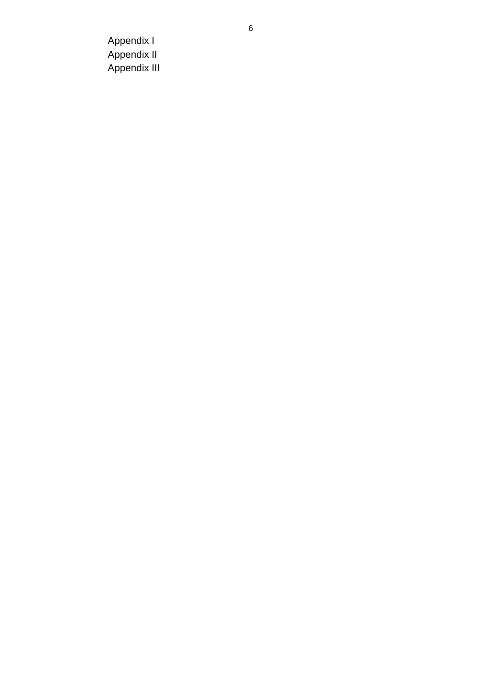Appendix I Appendix II Appendix III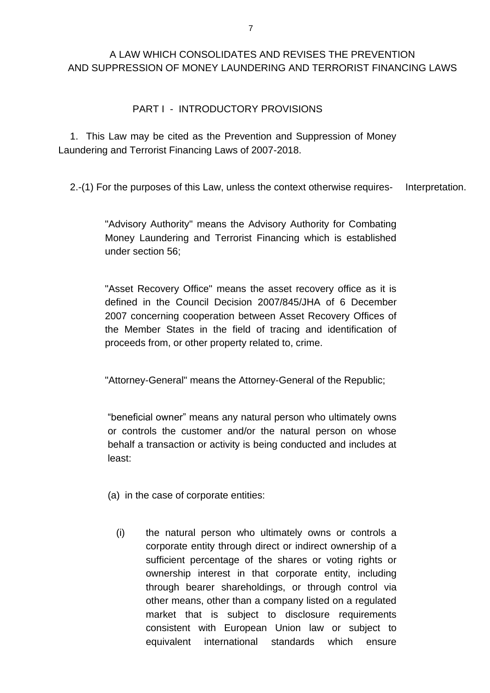### A LAW WHICH CONSOLIDATES AND REVISES THE PREVENTION AND SUPPRESSION OF MONEY LAUNDERING AND TERRORIST FINANCING LAWS

#### PART I - INTRODUCTORY PROVISIONS

1. This Law may be cited as the Prevention and Suppression of Money Laundering and Terrorist Financing Laws of 2007-2018.

2.-(1) For the purposes of this Law, unless the context otherwise requires- Interpretation.

"Advisory Authority" means the Advisory Authority for Combating Money Laundering and Terrorist Financing which is established under section 56;

"Asset Recovery Office" means the asset recovery office as it is defined in the Council Decision 2007/845/JHA of 6 December 2007 concerning cooperation between Asset Recovery Offices of the Member States in the field of tracing and identification of proceeds from, or other property related to, crime.

"Attorney-General" means the Attorney-General of the Republic;

"beneficial owner" means any natural person who ultimately owns or controls the customer and/or the natural person on whose behalf a transaction or activity is being conducted and includes at least:

(a) in the case of corporate entities:

(i) the natural person who ultimately owns or controls a corporate entity through direct or indirect ownership of a sufficient percentage of the shares or voting rights or ownership interest in that corporate entity, including through bearer shareholdings, or through control via other means, other than a company listed on a regulated market that is subject to disclosure requirements consistent with European Union law or subject to equivalent international standards which ensure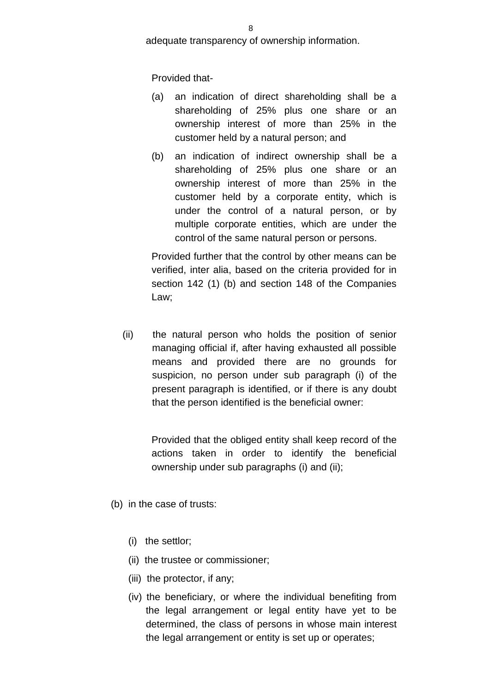adequate transparency of ownership information.

Provided that-

- (a) an indication of direct shareholding shall be a shareholding of 25% plus one share or an ownership interest of more than 25% in the customer held by a natural person; and
- (b) an indication of indirect ownership shall be a shareholding of 25% plus one share or an ownership interest of more than 25% in the customer held by a corporate entity, which is under the control of a natural person, or by multiple corporate entities, which are under the control of the same natural person or persons.

Provided further that the control by other means can be verified, inter alia, based on the criteria provided for in section 142 (1) (b) and section 148 of the Companies Law;

(ii) the natural person who holds the position of senior managing official if, after having exhausted all possible means and provided there are no grounds for suspicion, no person under sub paragraph (i) of the present paragraph is identified, or if there is any doubt that the person identified is the beneficial owner:

> Provided that the obliged entity shall keep record of the actions taken in order to identify the beneficial ownership under sub paragraphs (i) and (ii);

- (b) in the case of trusts:
	- (i) the settlor;
	- (ii) the trustee or commissioner;
	- (iii) the protector, if any;
	- (iv) the beneficiary, or where the individual benefiting from the legal arrangement or legal entity have yet to be determined, the class of persons in whose main interest the legal arrangement or entity is set up or operates;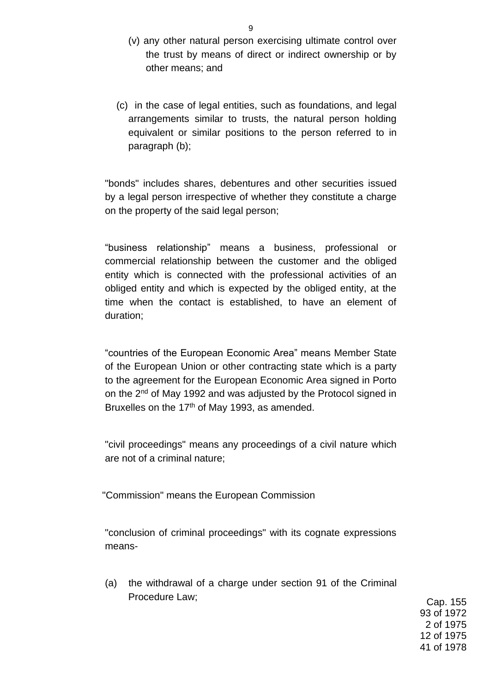- (v) any other natural person exercising ultimate control over the trust by means of direct or indirect ownership or by other means; and
- (c) in the case of legal entities, such as foundations, and legal arrangements similar to trusts, the natural person holding equivalent or similar positions to the person referred to in paragraph (b);

"bonds" includes shares, debentures and other securities issued by a legal person irrespective of whether they constitute a charge on the property of the said legal person;

"business relationship" means a business, professional or commercial relationship between the customer and the obliged entity which is connected with the professional activities of an obliged entity and which is expected by the obliged entity, at the time when the contact is established, to have an element of duration;

"countries of the European Economic Area" means Member State of the European Union or other contracting state which is a party to the agreement for the European Economic Area signed in Porto on the 2<sup>nd</sup> of May 1992 and was adjusted by the Protocol signed in Bruxelles on the  $17<sup>th</sup>$  of May 1993, as amended.

"civil proceedings" means any proceedings of a civil nature which are not of a criminal nature;

"Commission" means the European Commission

"conclusion of criminal proceedings" with its cognate expressions means-

(a) the withdrawal of a charge under section 91 of the Criminal Procedure Law; Cap. 155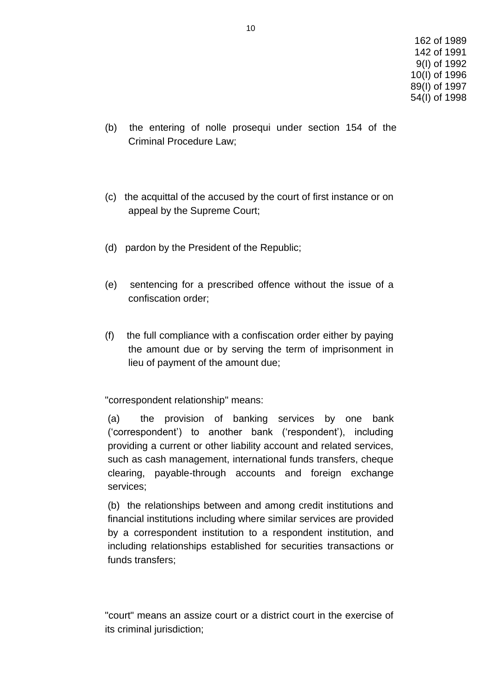- (b) the entering of nolle prosequi under section 154 of the Criminal Procedure Law;
- (c) the acquittal of the accused by the court of first instance or on appeal by the Supreme Court;
- (d) pardon by the President of the Republic;
- (e) sentencing for a prescribed offence without the issue of a confiscation order;
- (f) the full compliance with a confiscation order either by paying the amount due or by serving the term of imprisonment in lieu of payment of the amount due;

"correspondent relationship" means:

(a) the provision of banking services by one bank ('correspondent') to another bank ('respondent'), including providing a current or other liability account and related services, such as cash management, international funds transfers, cheque clearing, payable-through accounts and foreign exchange services;

(b) the relationships between and among credit institutions and financial institutions including where similar services are provided by a correspondent institution to a respondent institution, and including relationships established for securities transactions or funds transfers;

"court" means an assize court or a district court in the exercise of its criminal jurisdiction;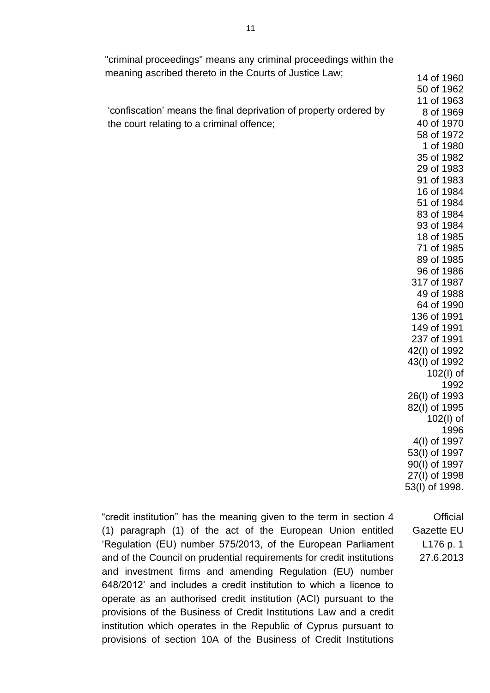| "criminal proceedings" means any criminal proceedings within the  |                                |
|-------------------------------------------------------------------|--------------------------------|
| meaning ascribed thereto in the Courts of Justice Law;            | 14 of 1960                     |
|                                                                   | 50 of 1962                     |
|                                                                   | 11 of 1963                     |
| 'confiscation' means the final deprivation of property ordered by | 8 of 1969                      |
| the court relating to a criminal offence;                         | 40 of 1970                     |
|                                                                   | 58 of 1972                     |
|                                                                   | 1 of 1980                      |
|                                                                   | 35 of 1982                     |
|                                                                   | 29 of 1983                     |
|                                                                   | 91 of 1983                     |
|                                                                   | 16 of 1984                     |
|                                                                   | 51 of 1984                     |
|                                                                   | 83 of 1984                     |
|                                                                   | 93 of 1984                     |
|                                                                   | 18 of 1985                     |
|                                                                   | 71 of 1985                     |
|                                                                   | 89 of 1985<br>96 of 1986       |
|                                                                   | 317 of 1987                    |
|                                                                   | 49 of 1988                     |
|                                                                   | 64 of 1990                     |
|                                                                   | 136 of 1991                    |
|                                                                   | 149 of 1991                    |
|                                                                   | 237 of 1991                    |
|                                                                   | 42(I) of 1992                  |
|                                                                   | 43(I) of 1992                  |
|                                                                   | $102(1)$ of                    |
|                                                                   | 1992                           |
|                                                                   | 26(I) of 1993                  |
|                                                                   | 82(I) of 1995                  |
|                                                                   | $102(1)$ of                    |
|                                                                   | 1996                           |
|                                                                   | 4(I) of 1997                   |
|                                                                   | 53(I) of 1997<br>90(I) of 1997 |
|                                                                   | 27(I) of 1998                  |
|                                                                   | 53(I) of 1998.                 |
|                                                                   |                                |
|                                                                   |                                |

"credit institution" has the meaning given to the term in section 4 (1) paragraph (1) of the act of the European Union entitled 'Regulation (EU) number 575/2013, of the European Parliament and of the Council on prudential requirements for credit institutions and investment firms and amending Regulation (EU) number 648/2012' and includes a credit institution to which a licence to operate as an authorised credit institution (ACI) pursuant to the provisions of the Business of Credit Institutions Law and a credit institution which operates in the Republic of Cyprus pursuant to provisions of section 10A of the Business of Credit Institutions Gazette EU 27.6.2013

**Official** 

L176 p. 1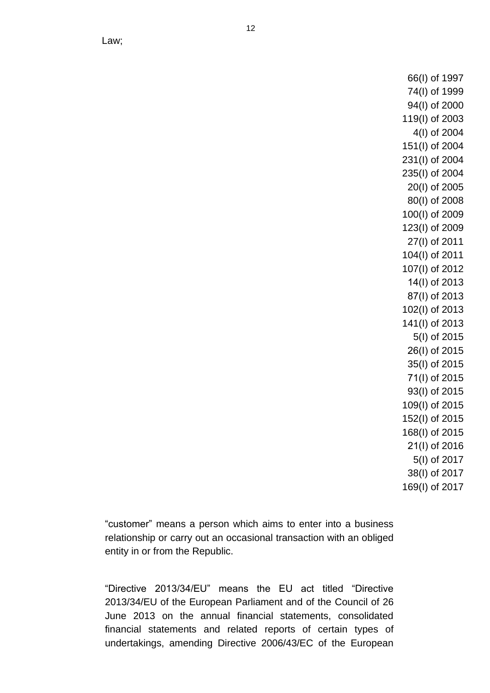66(I) of 1997 74(I) of 1999 94(I) of 2000 119(I) of 2003 4(I) of 2004 151(I) of 2004 231(I) of 2004 235(I) of 2004 20(I) of 2005 80(I) of 2008 100(I) of 2009 123(I) of 2009 27(I) of 2011 104(I) of 2011 107(I) of 2012 14(Ι) of 2013 87(l) of 2013 102(I) of 2013 141(I) of 2013 5(I) of 2015 26(Ι) of 2015 35(I) of 2015 71(Ι) of 2015 93(I) of 2015 109(I) of 2015 152(I) of 2015 168(I) of 2015 21(l) of 2016 5(I) of 2017 38(I) of 2017 169(I) of 2017

"customer" means a person which aims to enter into a business relationship or carry out an occasional transaction with an obliged entity in or from the Republic.

"Directive 2013/34/EU" means the EU act titled "Directive 2013/34/EU of the European Parliament and of the Council of 26 June 2013 on the annual financial statements, consolidated financial statements and related reports of certain types of undertakings, amending Directive 2006/43/EC of the European

Law;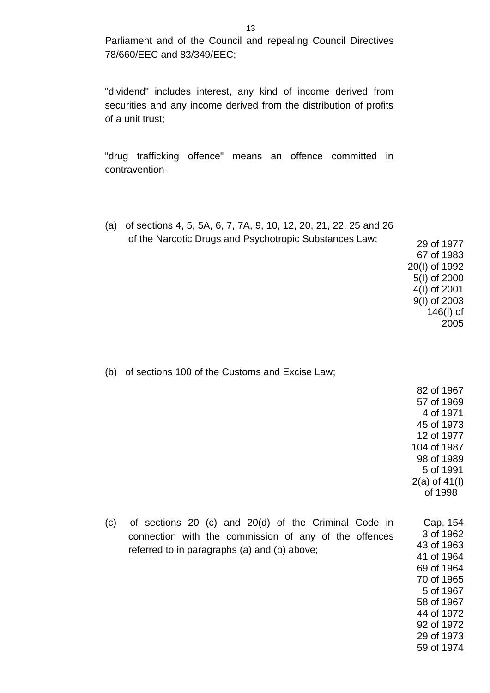Parliament and of the Council and repealing Council Directives 78/660/EEC and 83/349/EEC;

"dividend" includes interest, any kind of income derived from securities and any income derived from the distribution of profits of a unit trust;

"drug trafficking offence" means an offence committed in contravention-

(a) of sections 4, 5, 5A, 6, 7, 7A, 9, 10, 12, 20, 21, 22, 25 and 26 of the Narcotic Drugs and Psychotropic Substances Law; 29 of 1977 67 of 1983 20(I) of 1992 5(I) of 2000 4(I) of 2001 9(I) of 2003

(b) of sections 100 of the Customs and Excise Law;

82 of 1967 57 of 1969 4 of 1971 45 of 1973 12 of 1977 104 of 1987 98 of 1989 5 of 1991 2(a) of 41(I) of 1998

146(I) of 2005

(c) of sections 20 (c) and 20(d) of the Criminal Code in connection with the commission of any of the offences referred to in paragraphs (a) and (b) above; Cap. 154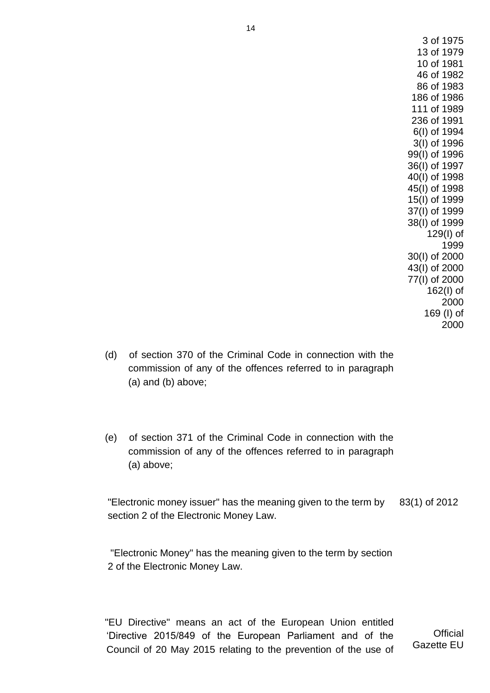3 of 1975 13 of 1979 10 of 1981 46 of 1982 86 of 1983 186 of 1986 111 of 1989 236 of 1991 6(I) of 1994 3(I) of 1996 99(I) of 1996 36(I) of 1997 40(I) of 1998 45(I) of 1998 15(I) of 1999 37(I) of 1999 38(I) of 1999 129(I) of 1999 30(I) of 2000 43(I) of 2000 77(I) of 2000 162(I) of 2000 169 (I) of 2000

- (d) of section 370 of the Criminal Code in connection with the commission of any of the offences referred to in paragraph (a) and (b) above;
- (e) of section 371 of the Criminal Code in connection with the commission of any of the offences referred to in paragraph (a) above;

"Electronic money issuer" has the meaning given to the term by section 2 of the Electronic Money Law. 83(1) of 2012

"Electronic Money" has the meaning given to the term by section 2 of the Electronic Money Law.

"EU Directive" means an act of the European Union entitled 'Directive 2015/849 of the European Parliament and of the Council of 20 May 2015 relating to the prevention of the use of

**Official** Gazette EU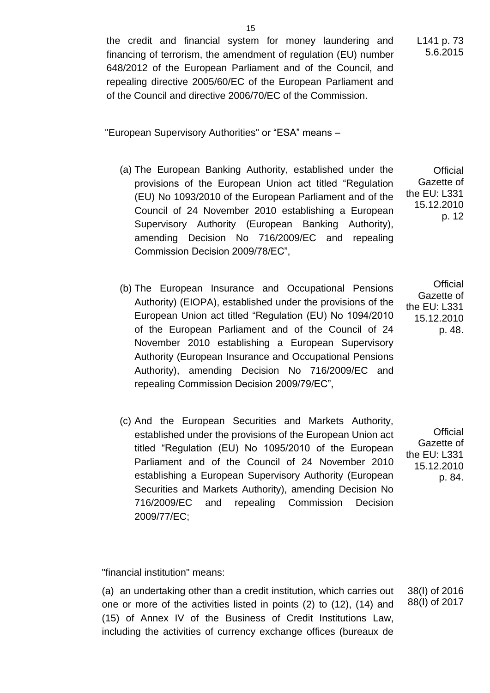the credit and financial system for money laundering and financing of terrorism, the amendment of regulation (EU) number 648/2012 of the European Parliament and of the Council, and repealing directive 2005/60/EC of the European Parliament and of the Council and directive 2006/70/EC of the Commission.

"European Supervisory Authorities" or "ESA" means –

- (a) The European Banking Authority, established under the provisions of the European Union act titled "Regulation (EU) No 1093/2010 of the European Parliament and of the Council of 24 November 2010 establishing a European Supervisory Authority (European Banking Authority), amending Decision No 716/2009/EC and repealing Commission Decision 2009/78/EC", **Official** Gazette of the EU: L331 15.12.2010 p. 12
- (b) The European Insurance and Occupational Pensions Authority) (EIOPA), established under the provisions of the European Union act titled "Regulation (EU) No 1094/2010 of the European Parliament and of the Council of 24 November 2010 establishing a European Supervisory Authority (European Insurance and Occupational Pensions Authority), amending Decision No 716/2009/EC and repealing Commission Decision 2009/79/EC", **Official** Gazette of the EU: L331 15.12.2010 p. 48.
- (c) And the European Securities and Markets Authority, established under the provisions of the European Union act titled "Regulation (EU) No 1095/2010 of the European Parliament and of the Council of 24 November 2010 establishing a European Supervisory Authority (European Securities and Markets Authority), amending Decision No 716/2009/EC and repealing Commission Decision 2009/77/EC;

**Official** Gazette of the EU: L331 15.12.2010 p. 84.

"financial institution" means:

(a) an undertaking other than a credit institution, which carries out one or more of the activities listed in points (2) to (12), (14) and (15) of Annex IV of the Business of Credit Institutions Law, including the activities of currency exchange offices (bureaux de

38(l) of 2016 88(l) of 2017

L141 p. 73 5.6.2015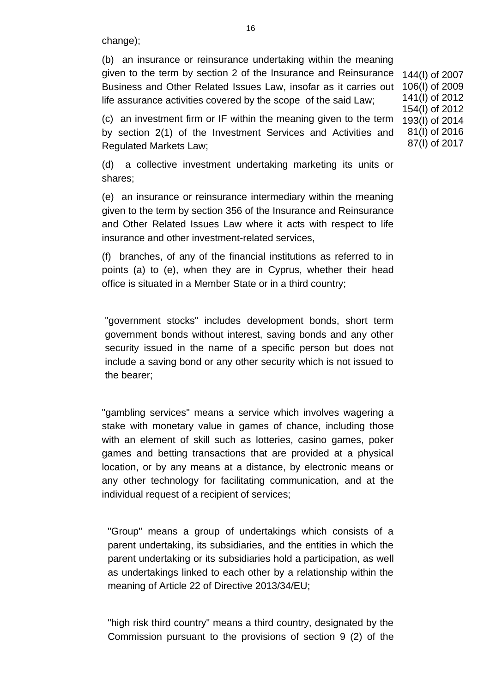change);

(b) an insurance or reinsurance undertaking within the meaning given to the term by section 2 of the Insurance and Reinsurance Business and Other Related Issues Law, insofar as it carries out life assurance activities covered by the scope of the said Law;

(c) an investment firm or IF within the meaning given to the term by section 2(1) of the Investment Services and Activities and Regulated Markets Law;

(d) a collective investment undertaking marketing its units or shares;

(e) an insurance or reinsurance intermediary within the meaning given to the term by section 356 of the Insurance and Reinsurance and Other Related Issues Law where it acts with respect to life insurance and other investment-related services,

(f) branches, of any of the financial institutions as referred to in points (a) to (e), when they are in Cyprus, whether their head office is situated in a Member State or in a third country;

"government stocks" includes development bonds, short term government bonds without interest, saving bonds and any other security issued in the name of a specific person but does not include a saving bond or any other security which is not issued to the bearer;

"gambling services" means a service which involves wagering a stake with monetary value in games of chance, including those with an element of skill such as lotteries, casino games, poker games and betting transactions that are provided at a physical location, or by any means at a distance, by electronic means or any other technology for facilitating communication, and at the individual request of a recipient of services;

"Group" means a group of undertakings which consists of a parent undertaking, its subsidiaries, and the entities in which the parent undertaking or its subsidiaries hold a participation, as well as undertakings linked to each other by a relationship within the meaning of Article 22 of Directive 2013/34/EU;

"high risk third country" means a third country, designated by the Commission pursuant to the provisions of section 9 (2) of the

144(Ι) of 2007 106(Ι) of 2009 141(I) of 2012 154(Ι) of 2012 193(Ι) of 2014 81(I) of 2016 87(Ι) of 2017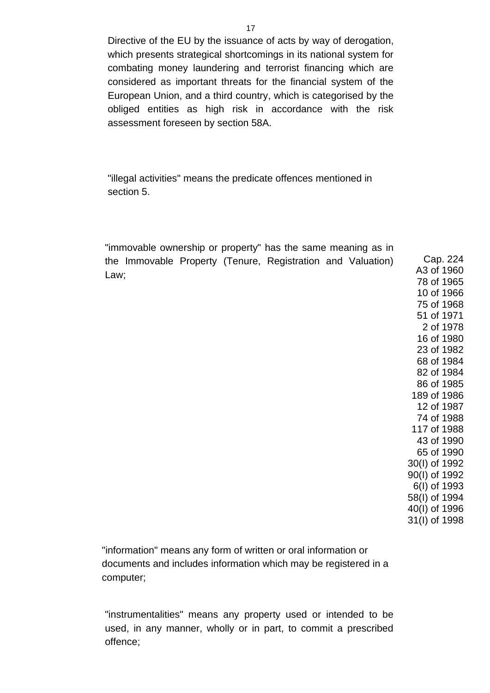Directive of the EU by the issuance of acts by way of derogation, which presents strategical shortcomings in its national system for combating money laundering and terrorist financing which are considered as important threats for the financial system of the European Union, and a third country, which is categorised by the obliged entities as high risk in accordance with the risk assessment foreseen by section 58A.

"illegal activities" means the predicate offences mentioned in section 5.

"immovable ownership or property" has the same meaning as in the Immovable Property (Tenure, Registration and Valuation) Law;

Cap. 224 A3 of 1960 78 of 1965 10 of 1966 75 of 1968 51 of 1971 2 of 1978 16 of 1980 23 of 1982 68 of 1984 82 of 1984 86 of 1985 189 of 1986 12 of 1987 74 of 1988 117 of 1988 43 of 1990 65 of 1990 30(I) of 1992 90(I) of 1992 6(I) of 1993 58(I) of 1994 40(I) of 1996 31(I) of 1998

"information" means any form of written or oral information or documents and includes information which may be registered in a computer;

"instrumentalities" means any property used or intended to be used, in any manner, wholly or in part, to commit a prescribed offence;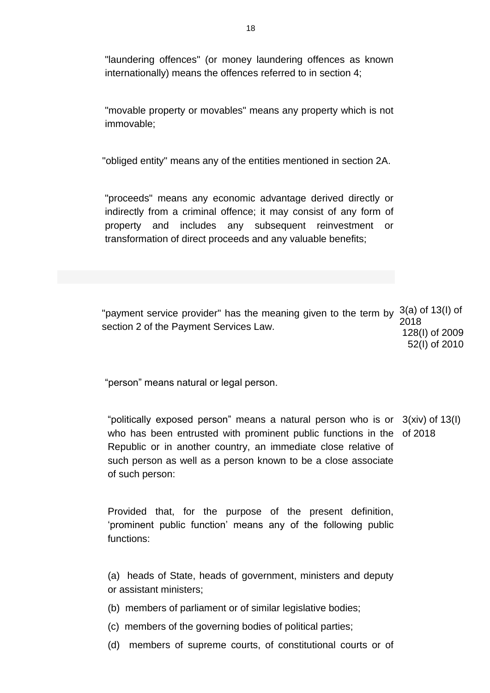"laundering offences" (or money laundering offences as known internationally) means the offences referred to in section 4;

"movable property or movables" means any property which is not immovable;

"obliged entity" means any of the entities mentioned in section 2A.

"proceeds" means any economic advantage derived directly or indirectly from a criminal offence; it may consist of any form of property and includes any subsequent reinvestment or transformation of direct proceeds and any valuable benefits;

"payment service provider" has the meaning given to the term by  $3(a)$  of 13(I) of section 2 of the Payment Services Law. 2018 128(I) of 2009 52(I) of 2010

"person" means natural or legal person.

"politically exposed person" means a natural person who is or 3(xiv) of 13(I) who has been entrusted with prominent public functions in the of 2018Republic or in another country, an immediate close relative of such person as well as a person known to be a close associate of such person:

Provided that, for the purpose of the present definition, 'prominent public function' means any of the following public functions:

(a) heads of State, heads of government, ministers and deputy or assistant ministers;

- (b) members of parliament or of similar legislative bodies;
- (c) members of the governing bodies of political parties;
- (d) members of supreme courts, of constitutional courts or of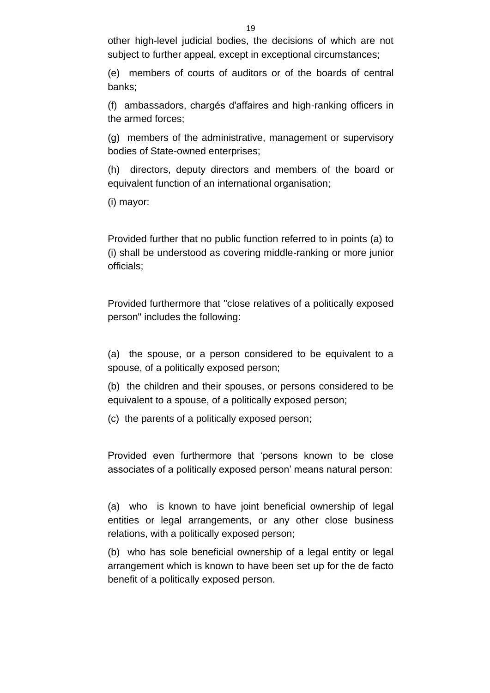other high-level judicial bodies, the decisions of which are not subject to further appeal, except in exceptional circumstances;

(e) members of courts of auditors or of the boards of central banks;

(f) ambassadors, chargés d'affaires and high-ranking officers in the armed forces;

(g) members of the administrative, management or supervisory bodies of State-owned enterprises;

(h) directors, deputy directors and members of the board or equivalent function of an international organisation;

(i) mayor:

Provided further that no public function referred to in points (a) to (i) shall be understood as covering middle-ranking or more junior officials;

Provided furthermore that "close relatives of a politically exposed person" includes the following:

(a) the spouse, or a person considered to be equivalent to a spouse, of a politically exposed person;

(b) the children and their spouses, or persons considered to be equivalent to a spouse, of a politically exposed person;

(c) the parents of a politically exposed person;

Provided even furthermore that 'persons known to be close associates of a politically exposed person' means natural person:

(a) who is known to have joint beneficial ownership of legal entities or legal arrangements, or any other close business relations, with a politically exposed person;

(b) who has sole beneficial ownership of a legal entity or legal arrangement which is known to have been set up for the de facto benefit of a politically exposed person.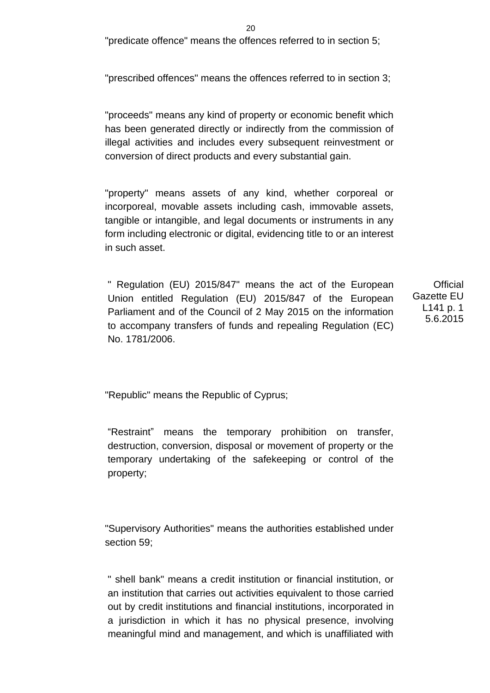$20$ 

"predicate offence" means the offences referred to in section 5;

"prescribed offences" means the offences referred to in section 3;

"proceeds" means any kind of property or economic benefit which has been generated directly or indirectly from the commission of illegal activities and includes every subsequent reinvestment or conversion of direct products and every substantial gain.

"property" means assets of any kind, whether corporeal or incorporeal, movable assets including cash, immovable assets, tangible or intangible, and legal documents or instruments in any form including electronic or digital, evidencing title to or an interest in such asset.

" Regulation (EU) 2015/847" means the act of the European Union entitled Regulation (EU) 2015/847 of the European Parliament and of the Council of 2 May 2015 on the information to accompany transfers of funds and repealing Regulation (EC) No. 1781/2006.

**Official** Gazette EU L141 p. 1 5.6.2015

"Republic" means the Republic of Cyprus;

"Restraint" means the temporary prohibition on transfer, destruction, conversion, disposal or movement of property or the temporary undertaking of the safekeeping or control of the property;

"Supervisory Authorities" means the authorities established under section 59;

" shell bank" means a credit institution or financial institution, or an institution that carries out activities equivalent to those carried out by credit institutions and financial institutions, incorporated in a jurisdiction in which it has no physical presence, involving meaningful mind and management, and which is unaffiliated with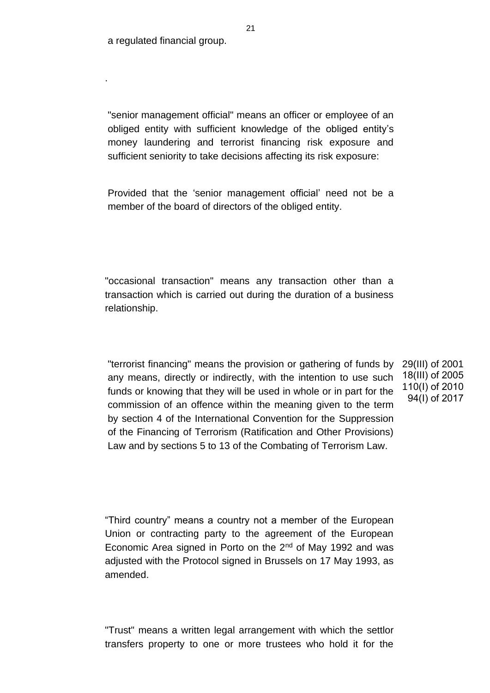a regulated financial group.

.

"senior management official" means an officer or employee of an obliged entity with sufficient knowledge of the obliged entity's money laundering and terrorist financing risk exposure and sufficient seniority to take decisions affecting its risk exposure:

Provided that the 'senior management official' need not be a member of the board of directors of the obliged entity.

"occasional transaction" means any transaction other than a transaction which is carried out during the duration of a business relationship.

"terrorist financing" means the provision or gathering of funds by any means, directly or indirectly, with the intention to use such funds or knowing that they will be used in whole or in part for the commission of an offence within the meaning given to the term by section 4 of the International Convention for the Suppression of the Financing of Terrorism (Ratification and Other Provisions) Law and by sections 5 to 13 of the Combating of Terrorism Law.

29(III) of 2001 18(III) of 2005 110(I) of 2010 94(Ι) of 2017

"Third country" means a country not a member of the European Union or contracting party to the agreement of the European Economic Area signed in Porto on the 2<sup>nd</sup> of May 1992 and was adjusted with the Protocol signed in Brussels on 17 May 1993, as amended.

"Trust" means a written legal arrangement with which the settlor transfers property to one or more trustees who hold it for the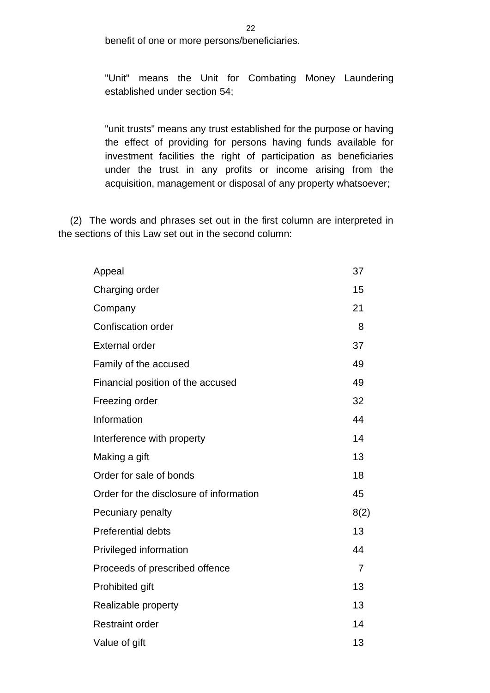benefit of one or more persons/beneficiaries.

"Unit" means the Unit for Combating Money Laundering established under section 54;

"unit trusts" means any trust established for the purpose or having the effect of providing for persons having funds available for investment facilities the right of participation as beneficiaries under the trust in any profits or income arising from the acquisition, management or disposal of any property whatsoever;

(2) The words and phrases set out in the first column are interpreted in the sections of this Law set out in the second column:

| Appeal                                  | 37             |
|-----------------------------------------|----------------|
| Charging order                          | 15             |
| Company                                 | 21             |
| <b>Confiscation order</b>               | 8              |
| <b>External order</b>                   | 37             |
| Family of the accused                   | 49             |
| Financial position of the accused       | 49             |
| Freezing order                          | 32             |
| Information                             | 44             |
| Interference with property              | 14             |
| Making a gift                           | 13             |
| Order for sale of bonds                 | 18             |
| Order for the disclosure of information | 45             |
| Pecuniary penalty                       | 8(2)           |
| <b>Preferential debts</b>               | 13             |
| Privileged information                  | 44             |
| Proceeds of prescribed offence          | $\overline{7}$ |
| Prohibited gift                         | 13             |
| Realizable property                     | 13             |
| <b>Restraint order</b>                  | 14             |
| Value of gift                           | 13             |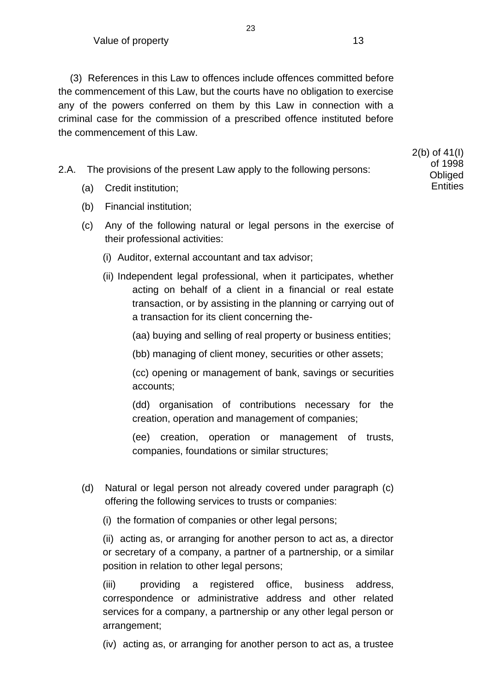(3) References in this Law to offences include offences committed before the commencement of this Law, but the courts have no obligation to exercise any of the powers conferred on them by this Law in connection with a criminal case for the commission of a prescribed offence instituted before the commencement of this Law.

23

2.A. The provisions of the present Law apply to the following persons:

- (a) Credit institution;
- (b) Financial institution;
- (c) Any of the following natural or legal persons in the exercise of their professional activities:
	- (i) Auditor, external accountant and tax advisor;
	- (ii) Independent legal professional, when it participates, whether acting on behalf of a client in a financial or real estate transaction, or by assisting in the planning or carrying out of a transaction for its client concerning the-
		- (aa) buying and selling of real property or business entities;
		- (bb) managing of client money, securities or other assets;

(cc) opening or management of bank, savings or securities accounts;

(dd) organisation of contributions necessary for the creation, operation and management of companies;

(ee) creation, operation or management of trusts, companies, foundations or similar structures;

- (d) Natural or legal person not already covered under paragraph (c) offering the following services to trusts or companies:
	- (i) the formation of companies or other legal persons;

(ii) acting as, or arranging for another person to act as, a director or secretary of a company, a partner of a partnership, or a similar position in relation to other legal persons;

(iii) providing a registered office, business address, correspondence or administrative address and other related services for a company, a partnership or any other legal person or arrangement;

(iv) acting as, or arranging for another person to act as, a trustee

2(b) of 41(I) of 1998 **Obliged Entities**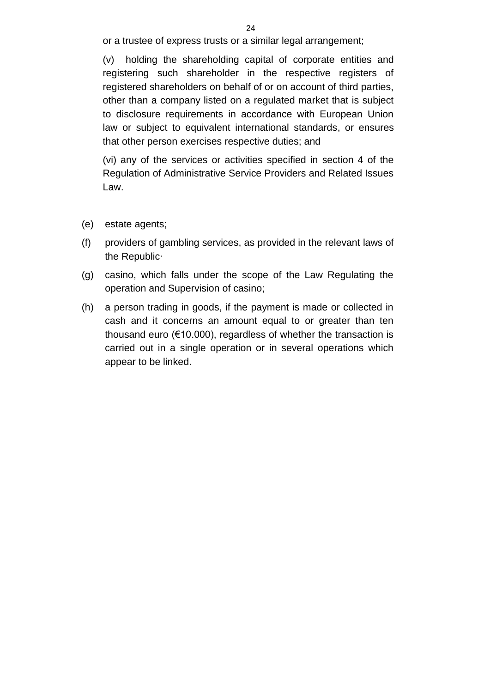or a trustee of express trusts or a similar legal arrangement;

(v) holding the shareholding capital of corporate entities and registering such shareholder in the respective registers of registered shareholders on behalf of or on account of third parties, other than a company listed on a regulated market that is subject to disclosure requirements in accordance with European Union law or subject to equivalent international standards, or ensures that other person exercises respective duties; and

(vi) any of the services or activities specified in section 4 of the Regulation of Administrative Service Providers and Related Issues Law.

- (e) estate agents;
- (f) providers of gambling services, as provided in the relevant laws of the Republic∙
- (g) casino, which falls under the scope of the Law Regulating the operation and Supervision of casino;
- (h) a person trading in goods, if the payment is made or collected in cash and it concerns an amount equal to or greater than ten thousand euro (€10.000), regardless of whether the transaction is carried out in a single operation or in several operations which appear to be linked.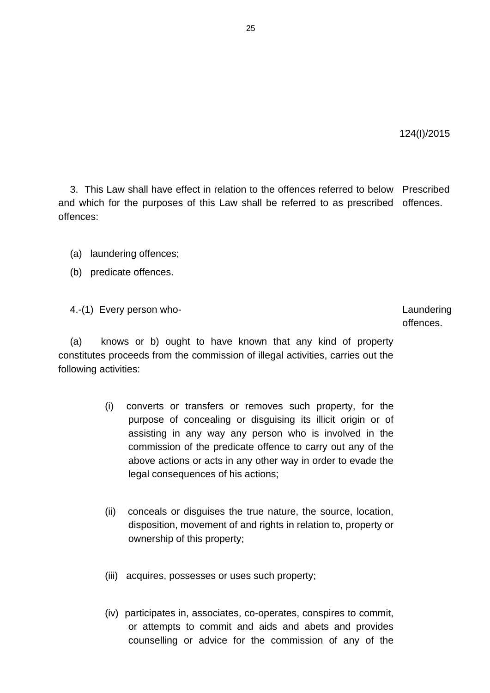3. This Law shall have effect in relation to the offences referred to below Prescribed and which for the purposes of this Law shall be referred to as prescribed offences. offences:

- (a) laundering offences;
- (b) predicate offences.

4.-(1) Every person who- Laundering

offences.

(a) knows or b) ought to have known that any kind of property constitutes proceeds from the commission of illegal activities, carries out the following activities:

- (i) converts or transfers or removes such property, for the purpose of concealing or disguising its illicit origin or of assisting in any way any person who is involved in the commission of the predicate offence to carry out any of the above actions or acts in any other way in order to evade the legal consequences of his actions;
- (ii) conceals or disguises the true nature, the source, location, disposition, movement of and rights in relation to, property or ownership of this property;
- (iii) acquires, possesses or uses such property;
- (iv) participates in, associates, co-operates, conspires to commit, or attempts to commit and aids and abets and provides counselling or advice for the commission of any of the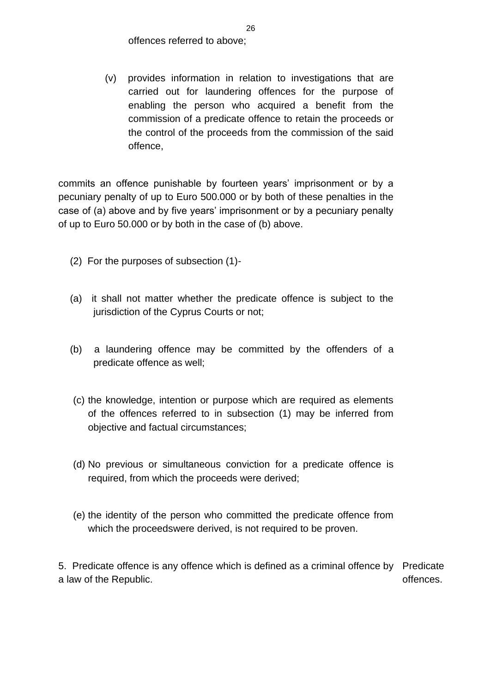offences referred to above;

(v) provides information in relation to investigations that are carried out for laundering offences for the purpose of enabling the person who acquired a benefit from the commission of a predicate offence to retain the proceeds or the control of the proceeds from the commission of the said offence,

commits an offence punishable by fourteen years' imprisonment or by a pecuniary penalty of up to Euro 500.000 or by both of these penalties in the case of (a) above and by five years' imprisonment or by a pecuniary penalty of up to Euro 50.000 or by both in the case of (b) above.

- (2) For the purposes of subsection (1)-
- (a) it shall not matter whether the predicate offence is subject to the jurisdiction of the Cyprus Courts or not;
- (b) a laundering offence may be committed by the offenders of a predicate offence as well;
- (c) the knowledge, intention or purpose which are required as elements of the offences referred to in subsection (1) may be inferred from objective and factual circumstances;
- (d) No previous or simultaneous conviction for a predicate offence is required, from which the proceeds were derived;
- (e) the identity of the person who committed the predicate offence from which the proceedswere derived, is not required to be proven.

5. Predicate offence is any offence which is defined as a criminal offence by Predicate a law of the Republic. offences.

26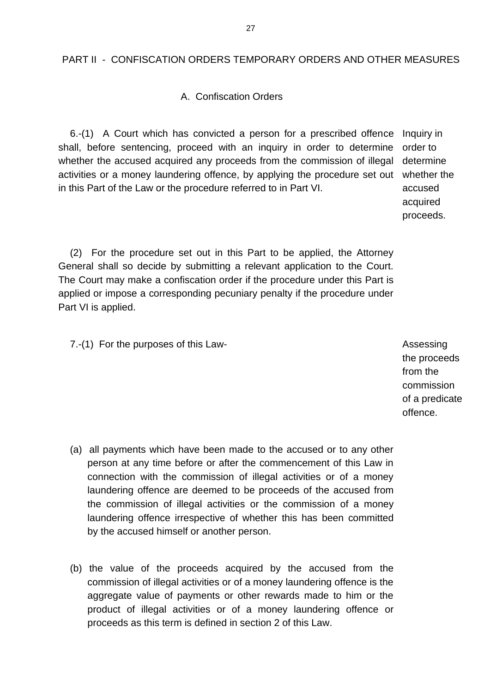#### PART II - CONFISCATION ORDERS TEMPORARY ORDERS AND OTHER MEASURES

#### A. Confiscation Orders

6.-(1) A Court which has convicted a person for a prescribed offence Inquiry in shall, before sentencing, proceed with an inquiry in order to determine whether the accused acquired any proceeds from the commission of illegal activities or a money laundering offence, by applying the procedure set out whether the in this Part of the Law or the procedure referred to in Part VI.

order to determine accused acquired proceeds.

(2) For the procedure set out in this Part to be applied, the Attorney General shall so decide by submitting a relevant application to the Court. The Court may make a confiscation order if the procedure under this Part is applied or impose a corresponding pecuniary penalty if the procedure under Part VI is applied.

7.-(1) For the purposes of this Law- and the set of the set of the Assessing

the proceeds from the commission of a predicate offence.

- (a) all payments which have been made to the accused or to any other person at any time before or after the commencement of this Law in connection with the commission of illegal activities or of a money laundering offence are deemed to be proceeds of the accused from the commission of illegal activities or the commission of a money laundering offence irrespective of whether this has been committed by the accused himself or another person.
- (b) the value of the proceeds acquired by the accused from the commission of illegal activities or of a money laundering offence is the aggregate value of payments or other rewards made to him or the product of illegal activities or of a money laundering offence or proceeds as this term is defined in section 2 of this Law.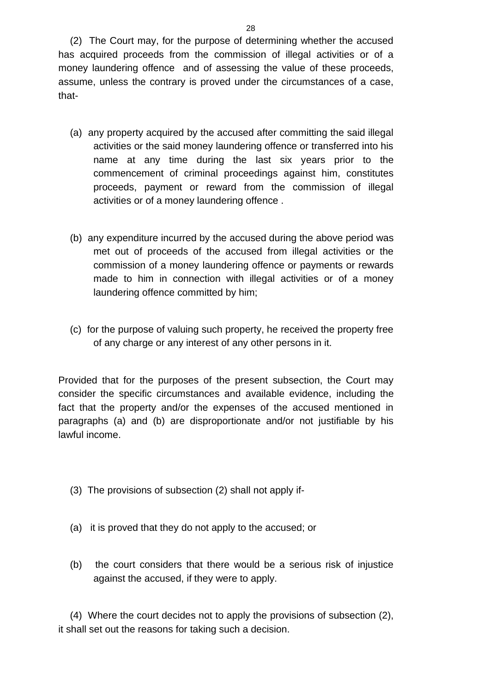(2) The Court may, for the purpose of determining whether the accused has acquired proceeds from the commission of illegal activities or of a money laundering offence and of assessing the value of these proceeds, assume, unless the contrary is proved under the circumstances of a case, that-

- (a) any property acquired by the accused after committing the said illegal activities or the said money laundering offence or transferred into his name at any time during the last six years prior to the commencement of criminal proceedings against him, constitutes proceeds, payment or reward from the commission of illegal activities or of a money laundering offence .
- (b) any expenditure incurred by the accused during the above period was met out of proceeds of the accused from illegal activities or the commission of a money laundering offence or payments or rewards made to him in connection with illegal activities or of a money laundering offence committed by him;
- (c) for the purpose of valuing such property, he received the property free of any charge or any interest of any other persons in it.

Provided that for the purposes of the present subsection, the Court may consider the specific circumstances and available evidence, including the fact that the property and/or the expenses of the accused mentioned in paragraphs (a) and (b) are disproportionate and/or not justifiable by his lawful income.

- (3) The provisions of subsection (2) shall not apply if-
- (a) it is proved that they do not apply to the accused; or
- (b) the court considers that there would be a serious risk of injustice against the accused, if they were to apply.

(4) Where the court decides not to apply the provisions of subsection (2), it shall set out the reasons for taking such a decision.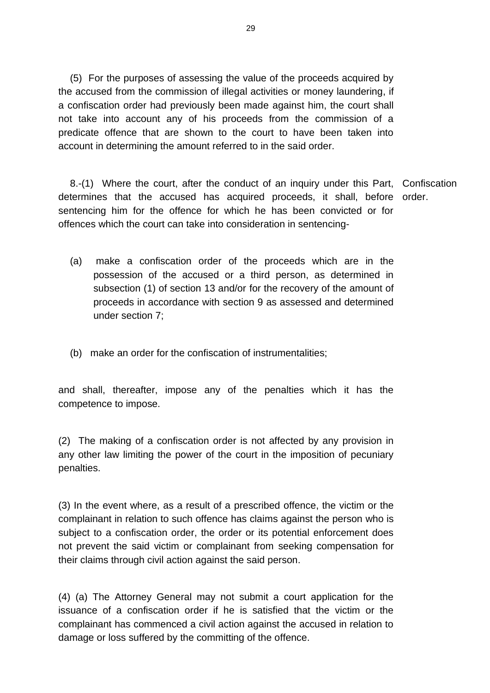(5) For the purposes of assessing the value of the proceeds acquired by the accused from the commission of illegal activities or money laundering, if a confiscation order had previously been made against him, the court shall not take into account any of his proceeds from the commission of a predicate offence that are shown to the court to have been taken into account in determining the amount referred to in the said order.

8.-(1) Where the court, after the conduct of an inquiry under this Part, Confiscation determines that the accused has acquired proceeds, it shall, before order. sentencing him for the offence for which he has been convicted or for offences which the court can take into consideration in sentencing-

- (a) make a confiscation order of the proceeds which are in the possession of the accused or a third person, as determined in subsection (1) of section 13 and/or for the recovery of the amount of proceeds in accordance with section 9 as assessed and determined under section 7;
- (b) make an order for the confiscation of instrumentalities;

and shall, thereafter, impose any of the penalties which it has the competence to impose.

(2) The making of a confiscation order is not affected by any provision in any other law limiting the power of the court in the imposition of pecuniary penalties.

(3) In the event where, as a result of a prescribed offence, the victim or the complainant in relation to such offence has claims against the person who is subject to a confiscation order, the order or its potential enforcement does not prevent the said victim or complainant from seeking compensation for their claims through civil action against the said person.

(4) (a) The Attorney General may not submit a court application for the issuance of a confiscation order if he is satisfied that the victim or the complainant has commenced a civil action against the accused in relation to damage or loss suffered by the committing of the offence.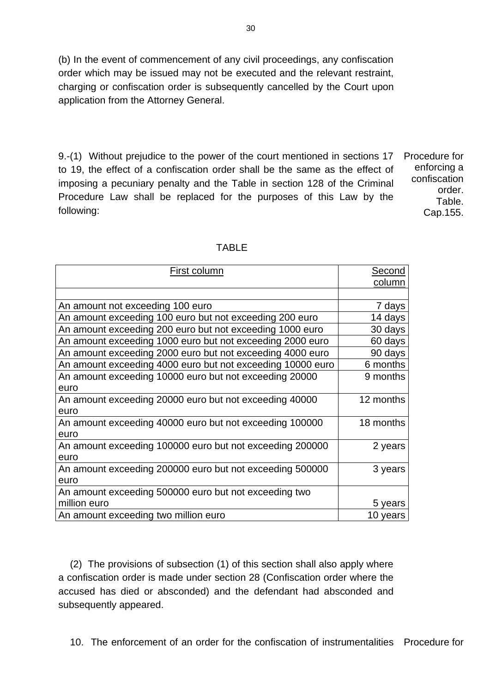(b) In the event of commencement of any civil proceedings, any confiscation order which may be issued may not be executed and the relevant restraint, charging or confiscation order is subsequently cancelled by the Court upon application from the Attorney General.

9.-(1) Without prejudice to the power of the court mentioned in sections 17 to 19, the effect of a confiscation order shall be the same as the effect of imposing a pecuniary penalty and the Table in section 128 of the Criminal Procedure Law shall be replaced for the purposes of this Law by the following:

Procedure for enforcing a confiscation order. Table. Cap.155.

| First column                                               | <b>Second</b> |
|------------------------------------------------------------|---------------|
|                                                            | column        |
|                                                            |               |
| An amount not exceeding 100 euro                           | 7 days        |
| An amount exceeding 100 euro but not exceeding 200 euro    | 14 days       |
| An amount exceeding 200 euro but not exceeding 1000 euro   | 30 days       |
| An amount exceeding 1000 euro but not exceeding 2000 euro  | 60 days       |
| An amount exceeding 2000 euro but not exceeding 4000 euro  | 90 days       |
| An amount exceeding 4000 euro but not exceeding 10000 euro | 6 months      |
| An amount exceeding 10000 euro but not exceeding 20000     | 9 months      |
| euro                                                       |               |
| An amount exceeding 20000 euro but not exceeding 40000     | 12 months     |
| euro                                                       |               |
| An amount exceeding 40000 euro but not exceeding 100000    | 18 months     |
| euro                                                       |               |
| An amount exceeding 100000 euro but not exceeding 200000   | 2 years       |
| euro                                                       |               |
| An amount exceeding 200000 euro but not exceeding 500000   | 3 years       |
| euro                                                       |               |
| An amount exceeding 500000 euro but not exceeding two      |               |
| million euro                                               | 5 years       |
| An amount exceeding two million euro                       | 10 years      |

(2) The provisions of subsection (1) of this section shall also apply where a confiscation order is made under section 28 (Confiscation order where the accused has died or absconded) and the defendant had absconded and subsequently appeared.

10. The enforcement of an order for the confiscation of instrumentalities Procedure for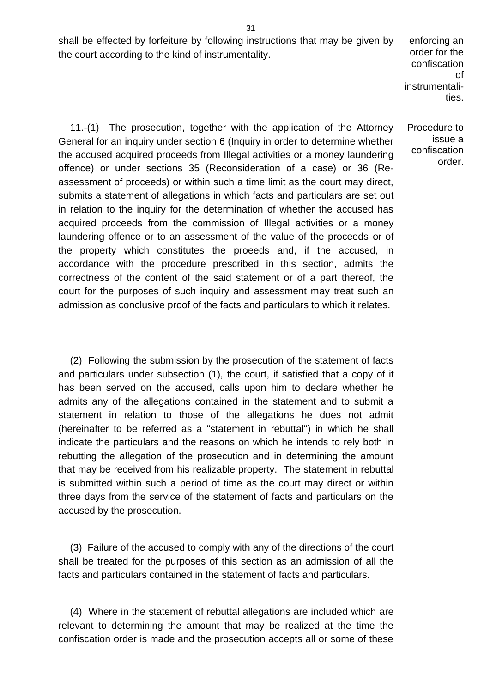shall be effected by forfeiture by following instructions that may be given by the court according to the kind of instrumentality.

enforcing an order for the confiscation of instrumentalities.

Procedure to issue a confiscation order.

11.-(1) The prosecution, together with the application of the Attorney General for an inquiry under section 6 (Inquiry in order to determine whether the accused acquired proceeds from Illegal activities or a money laundering offence) or under sections 35 (Reconsideration of a case) or 36 (Reassessment of proceeds) or within such a time limit as the court may direct, submits a statement of allegations in which facts and particulars are set out in relation to the inquiry for the determination of whether the accused has acquired proceeds from the commission of Illegal activities or a money laundering offence or to an assessment of the value of the proceeds or of the property which constitutes the proeeds and, if the accused, in accordance with the procedure prescribed in this section, admits the correctness of the content of the said statement or of a part thereof, the court for the purposes of such inquiry and assessment may treat such an admission as conclusive proof of the facts and particulars to which it relates.

(2) Following the submission by the prosecution of the statement of facts and particulars under subsection (1), the court, if satisfied that a copy of it has been served on the accused, calls upon him to declare whether he admits any of the allegations contained in the statement and to submit a statement in relation to those of the allegations he does not admit (hereinafter to be referred as a "statement in rebuttal") in which he shall indicate the particulars and the reasons on which he intends to rely both in rebutting the allegation of the prosecution and in determining the amount that may be received from his realizable property. The statement in rebuttal is submitted within such a period of time as the court may direct or within three days from the service of the statement of facts and particulars on the accused by the prosecution.

(3) Failure of the accused to comply with any of the directions of the court shall be treated for the purposes of this section as an admission of all the facts and particulars contained in the statement of facts and particulars.

(4) Where in the statement of rebuttal allegations are included which are relevant to determining the amount that may be realized at the time the confiscation order is made and the prosecution accepts all or some of these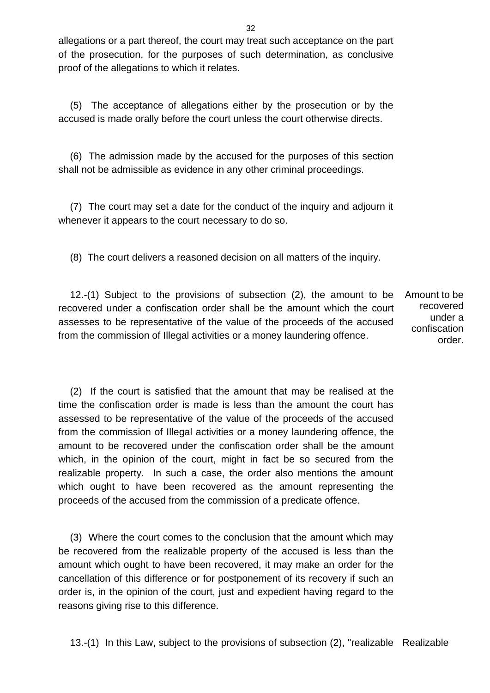allegations or a part thereof, the court may treat such acceptance on the part of the prosecution, for the purposes of such determination, as conclusive proof of the allegations to which it relates.

(5) The acceptance of allegations either by the prosecution or by the accused is made orally before the court unless the court otherwise directs.

(6) The admission made by the accused for the purposes of this section shall not be admissible as evidence in any other criminal proceedings.

(7) The court may set a date for the conduct of the inquiry and adjourn it whenever it appears to the court necessary to do so.

(8) The court delivers a reasoned decision on all matters of the inquiry.

12.-(1) Subject to the provisions of subsection (2), the amount to be recovered under a confiscation order shall be the amount which the court assesses to be representative of the value of the proceeds of the accused from the commission of Illegal activities or a money laundering offence. Amount to be recovered under a confiscation order.

(2) If the court is satisfied that the amount that may be realised at the time the confiscation order is made is less than the amount the court has assessed to be representative of the value of the proceeds of the accused from the commission of Illegal activities or a money laundering offence, the amount to be recovered under the confiscation order shall be the amount which, in the opinion of the court, might in fact be so secured from the realizable property. In such a case, the order also mentions the amount which ought to have been recovered as the amount representing the proceeds of the accused from the commission of a predicate offence.

(3) Where the court comes to the conclusion that the amount which may be recovered from the realizable property of the accused is less than the amount which ought to have been recovered, it may make an order for the cancellation of this difference or for postponement of its recovery if such an order is, in the opinion of the court, just and expedient having regard to the reasons giving rise to this difference.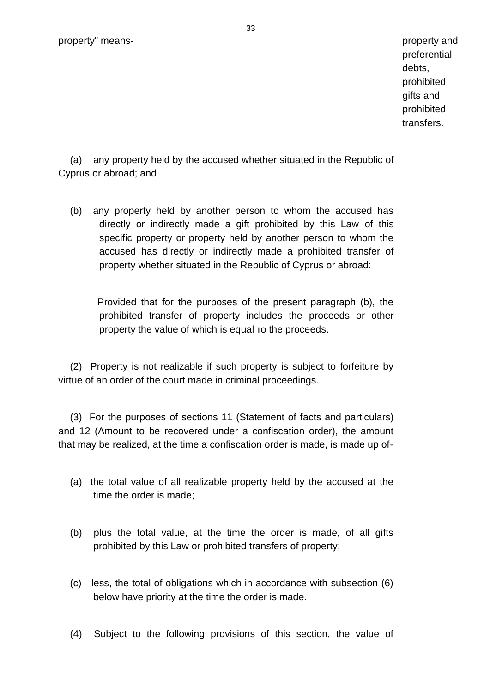preferential debts, prohibited gifts and prohibited transfers.

(a) any property held by the accused whether situated in the Republic of Cyprus or abroad; and

(b) any property held by another person to whom the accused has directly or indirectly made a gift prohibited by this Law of this specific property or property held by another person to whom the accused has directly or indirectly made a prohibited transfer of property whether situated in the Republic of Cyprus or abroad:

 Provided that for the purposes of the present paragraph (b), the prohibited transfer of property includes the proceeds or other property the value of which is equal το the proceeds.

(2) Property is not realizable if such property is subject to forfeiture by virtue of an order of the court made in criminal proceedings.

(3) For the purposes of sections 11 (Statement of facts and particulars) and 12 (Amount to be recovered under a confiscation order), the amount that may be realized, at the time a confiscation order is made, is made up of-

- (a) the total value of all realizable property held by the accused at the time the order is made;
- (b) plus the total value, at the time the order is made, of all gifts prohibited by this Law or prohibited transfers of property;
- (c) less, the total of obligations which in accordance with subsection (6) below have priority at the time the order is made.
- (4) Subject to the following provisions of this section, the value of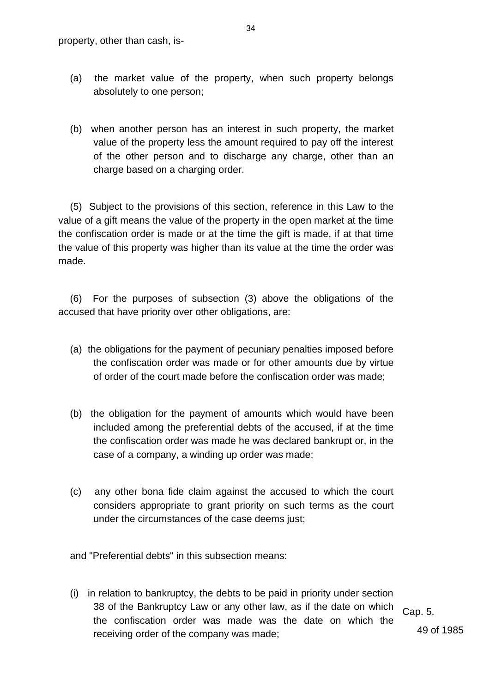- (a) the market value of the property, when such property belongs absolutely to one person;
- (b) when another person has an interest in such property, the market value of the property less the amount required to pay off the interest of the other person and to discharge any charge, other than an charge based on a charging order.

(5) Subject to the provisions of this section, reference in this Law to the value of a gift means the value of the property in the open market at the time the confiscation order is made or at the time the gift is made, if at that time the value of this property was higher than its value at the time the order was made.

(6) For the purposes of subsection (3) above the obligations of the accused that have priority over other obligations, are:

- (a) the obligations for the payment of pecuniary penalties imposed before the confiscation order was made or for other amounts due by virtue of order of the court made before the confiscation order was made;
- (b) the obligation for the payment of amounts which would have been included among the preferential debts of the accused, if at the time the confiscation order was made he was declared bankrupt or, in the case of a company, a winding up order was made;
- (c) any other bona fide claim against the accused to which the court considers appropriate to grant priority on such terms as the court under the circumstances of the case deems just;

and "Preferential debts" in this subsection means:

(i) in relation to bankruptcy, the debts to be paid in priority under section 38 of the Bankruptcy Law or any other law, as if the date on which the confiscation order was made was the date on which the receiving order of the company was made;

Cap. 5.

49 of 1985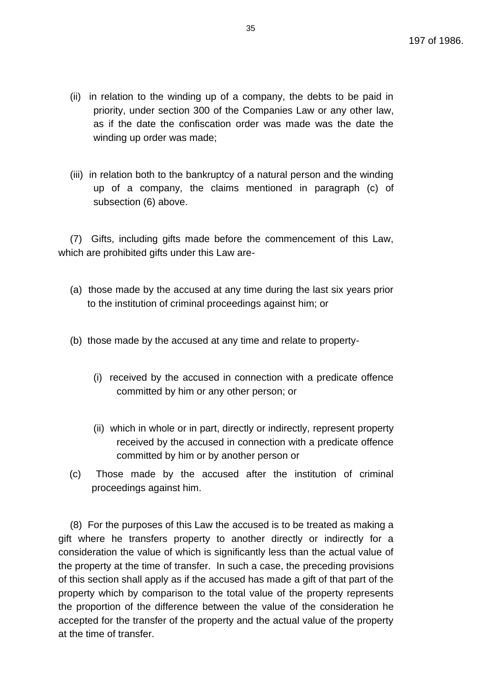- (ii) in relation to the winding up of a company, the debts to be paid in priority, under section 300 of the Companies Law or any other law, as if the date the confiscation order was made was the date the winding up order was made;
- (iii) in relation both to the bankruptcy of a natural person and the winding up of a company, the claims mentioned in paragraph (c) of subsection (6) above.

(7) Gifts, including gifts made before the commencement of this Law, which are prohibited gifts under this Law are-

- (a) those made by the accused at any time during the last six years prior to the institution of criminal proceedings against him; or
- (b) those made by the accused at any time and relate to property-
	- (i) received by the accused in connection with a predicate offence committed by him or any other person; or
	- (ii) which in whole or in part, directly or indirectly, represent property received by the accused in connection with a predicate offence committed by him or by another person or
- (c) Those made by the accused after the institution of criminal proceedings against him.

(8) For the purposes of this Law the accused is to be treated as making a gift where he transfers property to another directly or indirectly for a consideration the value of which is significantly less than the actual value of the property at the time of transfer. In such a case, the preceding provisions of this section shall apply as if the accused has made a gift of that part of the property which by comparison to the total value of the property represents the proportion of the difference between the value of the consideration he accepted for the transfer of the property and the actual value of the property at the time of transfer.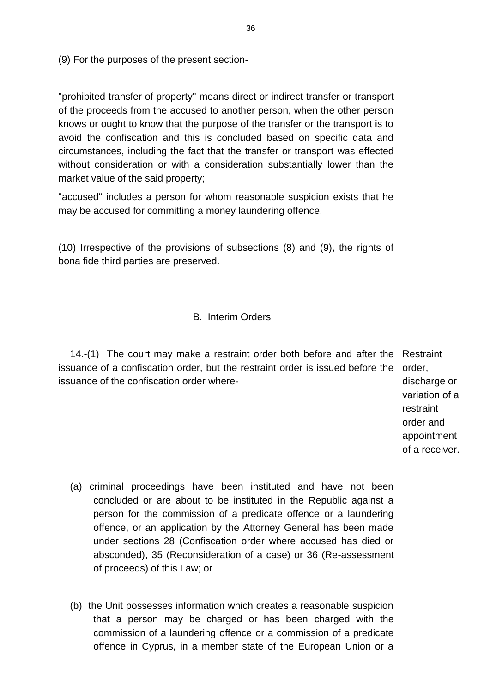(9) For the purposes of the present section-

"prohibited transfer of property" means direct or indirect transfer or transport of the proceeds from the accused to another person, when the other person knows or ought to know that the purpose of the transfer or the transport is to avoid the confiscation and this is concluded based on specific data and circumstances, including the fact that the transfer or transport was effected without consideration or with a consideration substantially lower than the market value of the said property;

"accused" includes a person for whom reasonable suspicion exists that he may be accused for committing a money laundering offence.

(10) Irrespective of the provisions of subsections (8) and (9), the rights of bona fide third parties are preserved.

#### B. Interim Orders

14.-(1) The court may make a restraint order both before and after the Restraint issuance of a confiscation order, but the restraint order is issued before the order, issuance of the confiscation order where-

discharge or variation of a restraint order and appointment of a receiver.

- (a) criminal proceedings have been instituted and have not been concluded or are about to be instituted in the Republic against a person for the commission of a predicate offence or a laundering offence, or an application by the Attorney General has been made under sections 28 (Confiscation order where accused has died or absconded), 35 (Reconsideration of a case) or 36 (Re-assessment of proceeds) of this Law; or
- (b) the Unit possesses information which creates a reasonable suspicion that a person may be charged or has been charged with the commission of a laundering offence or a commission of a predicate offence in Cyprus, in a member state of the European Union or a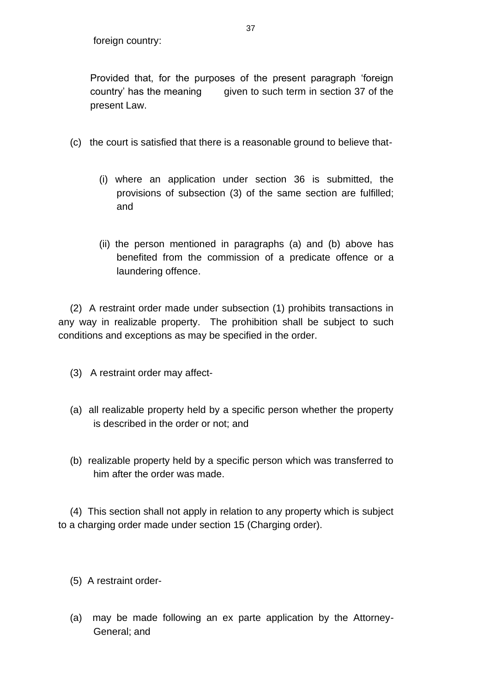foreign country:

Provided that, for the purposes of the present paragraph 'foreign country' has the meaning given to such term in section 37 of the present Law.

- (c) the court is satisfied that there is a reasonable ground to believe that-
	- (i) where an application under section 36 is submitted, the provisions of subsection (3) of the same section are fulfilled; and
	- (ii) the person mentioned in paragraphs (a) and (b) above has benefited from the commission of a predicate offence or a laundering offence.

(2) A restraint order made under subsection (1) prohibits transactions in any way in realizable property. The prohibition shall be subject to such conditions and exceptions as may be specified in the order.

- (3) A restraint order may affect-
- (a) all realizable property held by a specific person whether the property is described in the order or not; and
- (b) realizable property held by a specific person which was transferred to him after the order was made.

(4) This section shall not apply in relation to any property which is subject to a charging order made under section 15 (Charging order).

- (5) A restraint order-
- (a) may be made following an ex parte application by the Attorney-General; and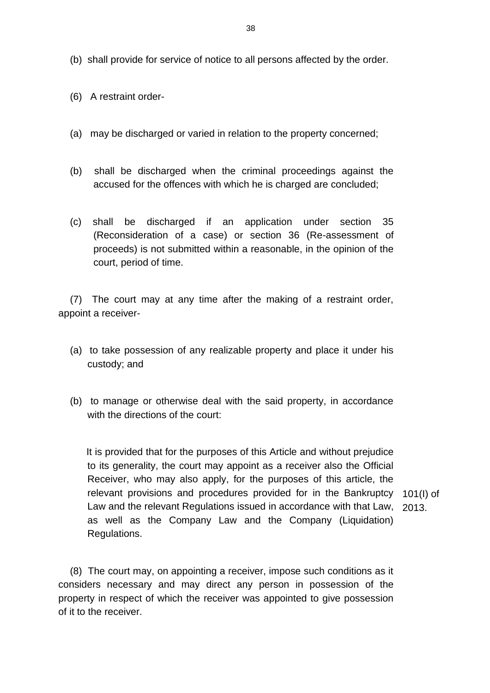- (b) shall provide for service of notice to all persons affected by the order.
- (6) A restraint order-
- (a) may be discharged or varied in relation to the property concerned;
- (b) shall be discharged when the criminal proceedings against the accused for the offences with which he is charged are concluded;
- (c) shall be discharged if an application under section 35 (Reconsideration of a case) or section 36 (Re-assessment of proceeds) is not submitted within a reasonable, in the opinion of the court, period of time.

(7) The court may at any time after the making of a restraint order, appoint a receiver-

- (a) to take possession of any realizable property and place it under his custody; and
- (b) to manage or otherwise deal with the said property, in accordance with the directions of the court:

 It is provided that for the purposes of this Article and without prejudice to its generality, the court may appoint as a receiver also the Official Receiver, who may also apply, for the purposes of this article, the relevant provisions and procedures provided for in the Bankruptcy 101(I) of Law and the relevant Regulations issued in accordance with that Law, as well as the Company Law and the Company (Liquidation) Regulations. 2013.

(8) The court may, on appointing a receiver, impose such conditions as it considers necessary and may direct any person in possession of the property in respect of which the receiver was appointed to give possession of it to the receiver.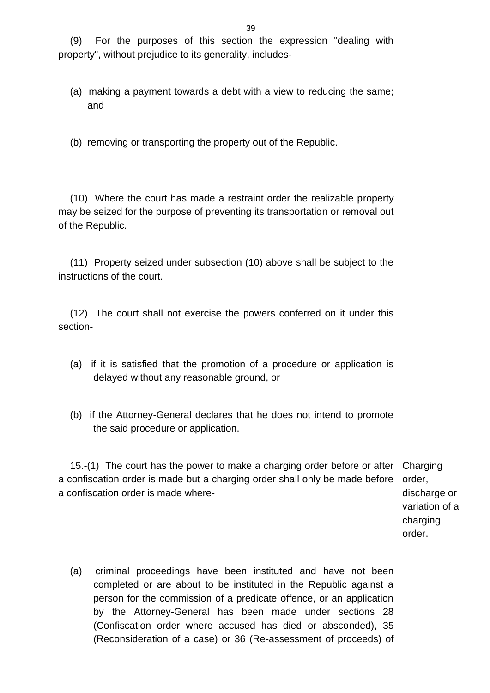(9) For the purposes of this section the expression "dealing with property", without prejudice to its generality, includes-

(a) making a payment towards a debt with a view to reducing the same; and

(b) removing or transporting the property out of the Republic.

(10) Where the court has made a restraint order the realizable property may be seized for the purpose of preventing its transportation or removal out of the Republic.

(11) Property seized under subsection (10) above shall be subject to the instructions of the court.

(12) The court shall not exercise the powers conferred on it under this section-

- (a) if it is satisfied that the promotion of a procedure or application is delayed without any reasonable ground, or
- (b) if the Attorney-General declares that he does not intend to promote the said procedure or application.

15.-(1) The court has the power to make a charging order before or after Charging a confiscation order is made but a charging order shall only be made before order, a confiscation order is made where-

discharge or variation of a charging order.

(a) criminal proceedings have been instituted and have not been completed or are about to be instituted in the Republic against a person for the commission of a predicate offence, or an application by the Attorney-General has been made under sections 28 (Confiscation order where accused has died or absconded), 35 (Reconsideration of a case) or 36 (Re-assessment of proceeds) of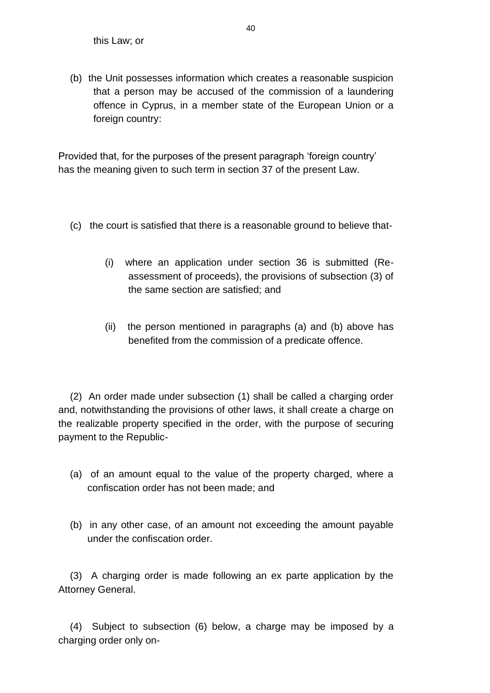(b) the Unit possesses information which creates a reasonable suspicion that a person may be accused of the commission of a laundering offence in Cyprus, in a member state of the European Union or a foreign country:

Provided that, for the purposes of the present paragraph 'foreign country' has the meaning given to such term in section 37 of the present Law.

- (c) the court is satisfied that there is a reasonable ground to believe that-
	- (i) where an application under section 36 is submitted (Reassessment of proceeds), the provisions of subsection (3) of the same section are satisfied; and
	- (ii) the person mentioned in paragraphs (a) and (b) above has benefited from the commission of a predicate offence.

(2) An order made under subsection (1) shall be called a charging order and, notwithstanding the provisions of other laws, it shall create a charge on the realizable property specified in the order, with the purpose of securing payment to the Republic-

- (a) of an amount equal to the value of the property charged, where a confiscation order has not been made; and
- (b) in any other case, of an amount not exceeding the amount payable under the confiscation order.

(3) A charging order is made following an ex parte application by the Attorney General.

(4) Subject to subsection (6) below, a charge may be imposed by a charging order only on-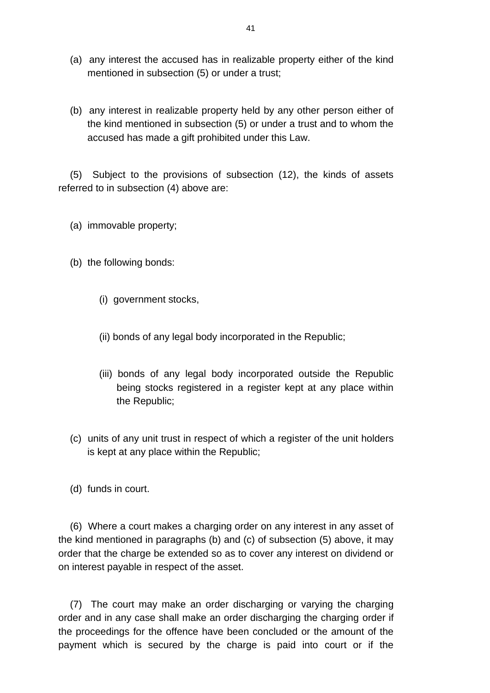- (a) any interest the accused has in realizable property either of the kind mentioned in subsection (5) or under a trust;
- (b) any interest in realizable property held by any other person either of the kind mentioned in subsection (5) or under a trust and to whom the accused has made a gift prohibited under this Law.

(5) Subject to the provisions of subsection (12), the kinds of assets referred to in subsection (4) above are:

- (a) immovable property;
- (b) the following bonds:
	- (i) government stocks,
	- (ii) bonds of any legal body incorporated in the Republic;
	- (iii) bonds of any legal body incorporated outside the Republic being stocks registered in a register kept at any place within the Republic;
- (c) units of any unit trust in respect of which a register of the unit holders is kept at any place within the Republic;
- (d) funds in court.

(6) Where a court makes a charging order on any interest in any asset of the kind mentioned in paragraphs (b) and (c) of subsection (5) above, it may order that the charge be extended so as to cover any interest on dividend or on interest payable in respect of the asset.

(7) The court may make an order discharging or varying the charging order and in any case shall make an order discharging the charging order if the proceedings for the offence have been concluded or the amount of the payment which is secured by the charge is paid into court or if the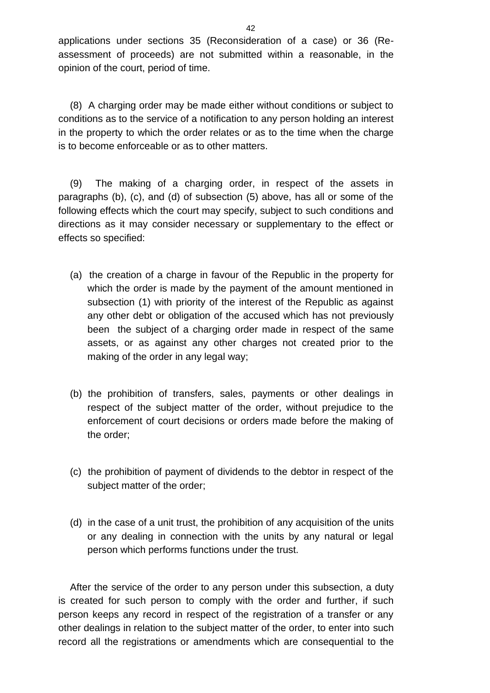applications under sections 35 (Reconsideration of a case) or 36 (Reassessment of proceeds) are not submitted within a reasonable, in the opinion of the court, period of time.

(8) A charging order may be made either without conditions or subject to conditions as to the service of a notification to any person holding an interest in the property to which the order relates or as to the time when the charge is to become enforceable or as to other matters.

(9) The making of a charging order, in respect of the assets in paragraphs (b), (c), and (d) of subsection (5) above, has all or some of the following effects which the court may specify, subject to such conditions and directions as it may consider necessary or supplementary to the effect or effects so specified:

- (a) the creation of a charge in favour of the Republic in the property for which the order is made by the payment of the amount mentioned in subsection (1) with priority of the interest of the Republic as against any other debt or obligation of the accused which has not previously been the subject of a charging order made in respect of the same assets, or as against any other charges not created prior to the making of the order in any legal way;
- (b) the prohibition of transfers, sales, payments or other dealings in respect of the subject matter of the order, without prejudice to the enforcement of court decisions or orders made before the making of the order;
- (c) the prohibition of payment of dividends to the debtor in respect of the subject matter of the order;
- (d) in the case of a unit trust, the prohibition of any acquisition of the units or any dealing in connection with the units by any natural or legal person which performs functions under the trust.

After the service of the order to any person under this subsection, a duty is created for such person to comply with the order and further, if such person keeps any record in respect of the registration of a transfer or any other dealings in relation to the subject matter of the order, to enter into such record all the registrations or amendments which are consequential to the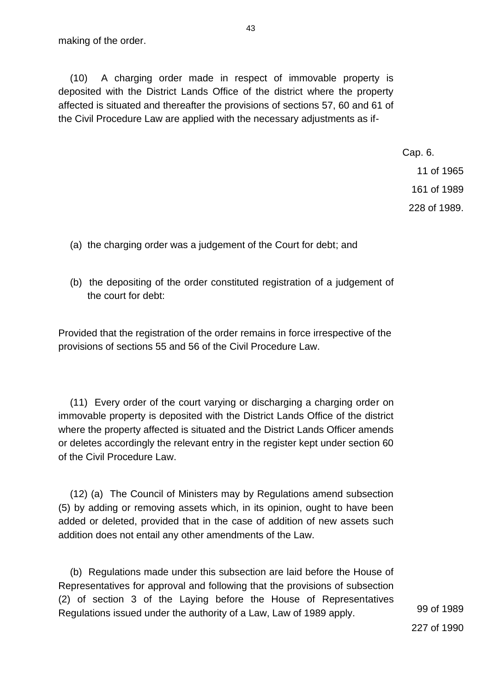(10) A charging order made in respect of immovable property is deposited with the District Lands Office of the district where the property affected is situated and thereafter the provisions of sections 57, 60 and 61 of the Civil Procedure Law are applied with the necessary adjustments as if-

Cap. 6.

11 of 1965

161 of 1989

228 of 1989.

- (a) the charging order was a judgement of the Court for debt; and
- (b) the depositing of the order constituted registration of a judgement of the court for debt:

Provided that the registration of the order remains in force irrespective of the provisions of sections 55 and 56 of the Civil Procedure Law.

(11) Every order of the court varying or discharging a charging order on immovable property is deposited with the District Lands Office of the district where the property affected is situated and the District Lands Officer amends or deletes accordingly the relevant entry in the register kept under section 60 of the Civil Procedure Law.

(12) (a) The Council of Ministers may by Regulations amend subsection (5) by adding or removing assets which, in its opinion, ought to have been added or deleted, provided that in the case of addition of new assets such addition does not entail any other amendments of the Law.

(b) Regulations made under this subsection are laid before the House of Representatives for approval and following that the provisions of subsection (2) of section 3 of the Laying before the House of Representatives Regulations issued under the authority of a Law, Law of 1989 apply. 99 of 1989

227 of 1990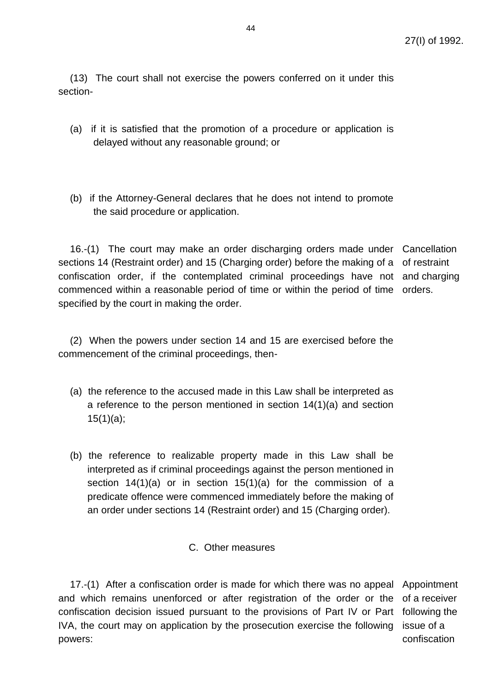(13) The court shall not exercise the powers conferred on it under this section-

- (a) if it is satisfied that the promotion of a procedure or application is delayed without any reasonable ground; or
- (b) if the Attorney-General declares that he does not intend to promote the said procedure or application.

16.-(1) The court may make an order discharging orders made under Cancellation sections 14 (Restraint order) and 15 (Charging order) before the making of a of restraint confiscation order, if the contemplated criminal proceedings have not and charging commenced within a reasonable period of time or within the period of time orders. specified by the court in making the order.

(2) When the powers under section 14 and 15 are exercised before the commencement of the criminal proceedings, then-

- (a) the reference to the accused made in this Law shall be interpreted as a reference to the person mentioned in section 14(1)(a) and section 15(1)(a);
- (b) the reference to realizable property made in this Law shall be interpreted as if criminal proceedings against the person mentioned in section 14(1)(a) or in section 15(1)(a) for the commission of a predicate offence were commenced immediately before the making of an order under sections 14 (Restraint order) and 15 (Charging order).
	- C. Other measures

17.-(1) After a confiscation order is made for which there was no appeal Appointment and which remains unenforced or after registration of the order or the of a receiver confiscation decision issued pursuant to the provisions of Part IV or Part following the IVA, the court may on application by the prosecution exercise the following powers: issue of a confiscation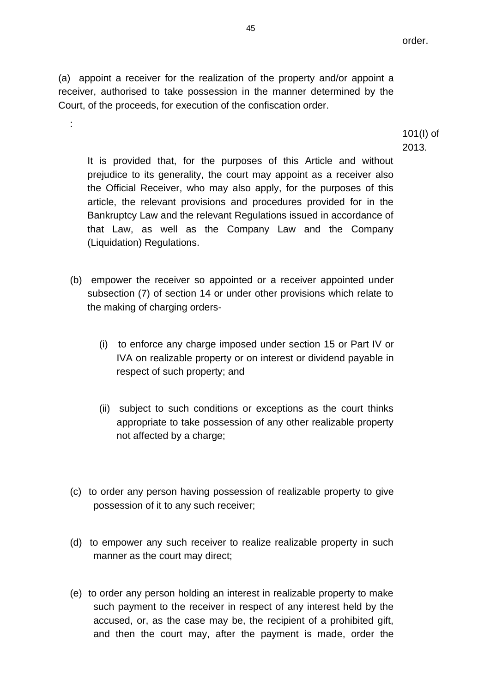order.

(a) appoint a receiver for the realization of the property and/or appoint a receiver, authorised to take possession in the manner determined by the Court, of the proceeds, for execution of the confiscation order.

:

101(I) of 2013.

It is provided that, for the purposes of this Article and without prejudice to its generality, the court may appoint as a receiver also the Official Receiver, who may also apply, for the purposes of this article, the relevant provisions and procedures provided for in the Bankruptcy Law and the relevant Regulations issued in accordance of that Law, as well as the Company Law and the Company (Liquidation) Regulations.

- (b) empower the receiver so appointed or a receiver appointed under subsection (7) of section 14 or under other provisions which relate to the making of charging orders-
	- (i) to enforce any charge imposed under section 15 or Part IV or IVA on realizable property or on interest or dividend payable in respect of such property; and
	- (ii) subject to such conditions or exceptions as the court thinks appropriate to take possession of any other realizable property not affected by a charge;
- (c) to order any person having possession of realizable property to give possession of it to any such receiver;
- (d) to empower any such receiver to realize realizable property in such manner as the court may direct;
- (e) to order any person holding an interest in realizable property to make such payment to the receiver in respect of any interest held by the accused, or, as the case may be, the recipient of a prohibited gift, and then the court may, after the payment is made, order the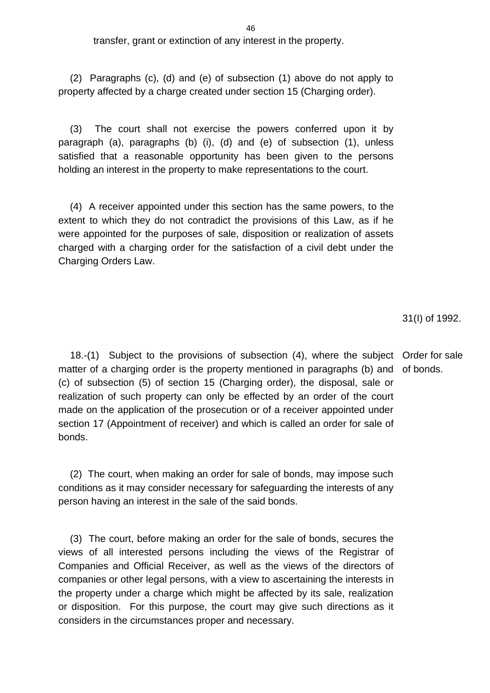transfer, grant or extinction of any interest in the property.

(2) Paragraphs (c), (d) and (e) of subsection (1) above do not apply to property affected by a charge created under section 15 (Charging order).

(3) The court shall not exercise the powers conferred upon it by paragraph (a), paragraphs (b) (i), (d) and (e) of subsection (1), unless satisfied that a reasonable opportunity has been given to the persons holding an interest in the property to make representations to the court.

(4) A receiver appointed under this section has the same powers, to the extent to which they do not contradict the provisions of this Law, as if he were appointed for the purposes of sale, disposition or realization of assets charged with a charging order for the satisfaction of a civil debt under the Charging Orders Law.

31(I) of 1992.

18.-(1) Subject to the provisions of subsection (4), where the subject Order for sale matter of a charging order is the property mentioned in paragraphs (b) and of bonds. (c) of subsection (5) of section 15 (Charging order), the disposal, sale or realization of such property can only be effected by an order of the court made on the application of the prosecution or of a receiver appointed under section 17 (Appointment of receiver) and which is called an order for sale of bonds.

(2) The court, when making an order for sale of bonds, may impose such conditions as it may consider necessary for safeguarding the interests of any person having an interest in the sale of the said bonds.

(3) The court, before making an order for the sale of bonds, secures the views of all interested persons including the views of the Registrar of Companies and Official Receiver, as well as the views of the directors of companies or other legal persons, with a view to ascertaining the interests in the property under a charge which might be affected by its sale, realization or disposition. For this purpose, the court may give such directions as it considers in the circumstances proper and necessary.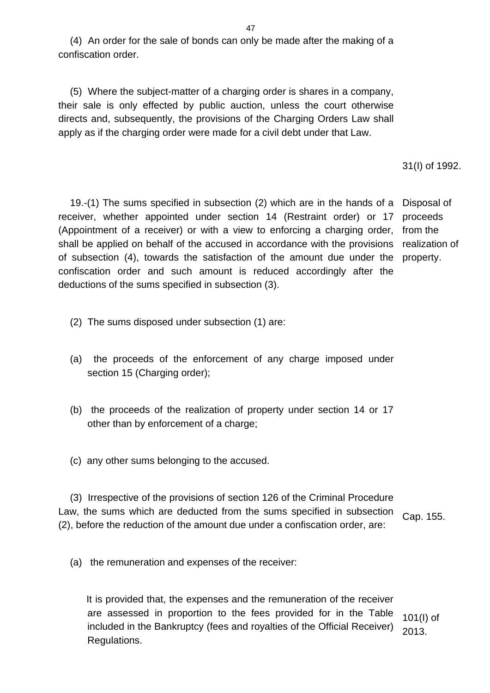(4) An order for the sale of bonds can only be made after the making of a confiscation order.

(5) Where the subject-matter of a charging order is shares in a company, their sale is only effected by public auction, unless the court otherwise directs and, subsequently, the provisions of the Charging Orders Law shall apply as if the charging order were made for a civil debt under that Law.

31(I) of 1992.

19.-(1) The sums specified in subsection (2) which are in the hands of a Disposal of receiver, whether appointed under section 14 (Restraint order) or 17 (Appointment of a receiver) or with a view to enforcing a charging order, shall be applied on behalf of the accused in accordance with the provisions of subsection (4), towards the satisfaction of the amount due under the confiscation order and such amount is reduced accordingly after the deductions of the sums specified in subsection (3). proceeds from the realization of property.

- (2) The sums disposed under subsection (1) are:
- (a) the proceeds of the enforcement of any charge imposed under section 15 (Charging order);
- (b) the proceeds of the realization of property under section 14 or 17 other than by enforcement of a charge;
- (c) any other sums belonging to the accused.

(3) Irrespective of the provisions of section 126 of the Criminal Procedure Law, the sums which are deducted from the sums specified in subsection (2), before the reduction of the amount due under a confiscation order, are: Cap. 155.

(a) the remuneration and expenses of the receiver:

 It is provided that, the expenses and the remuneration of the receiver are assessed in proportion to the fees provided for in the Table included in the Bankruptcy (fees and royalties of the Official Receiver) Regulations. 101(I) of 2013.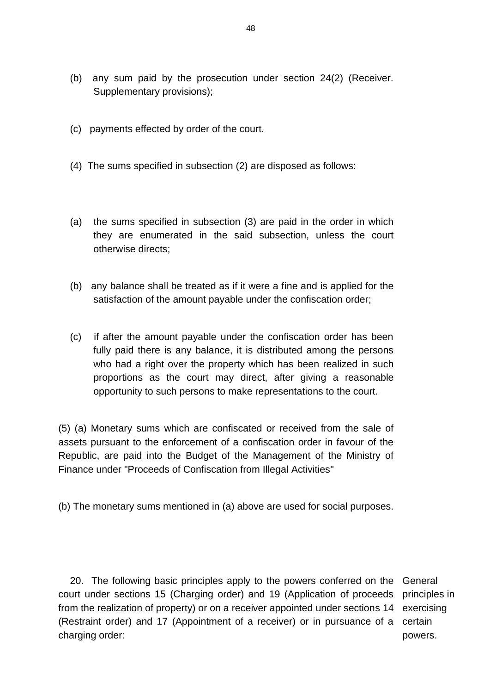- (b) any sum paid by the prosecution under section 24(2) (Receiver. Supplementary provisions);
- (c) payments effected by order of the court.
- (4) The sums specified in subsection (2) are disposed as follows:
- (a) the sums specified in subsection (3) are paid in the order in which they are enumerated in the said subsection, unless the court otherwise directs;
- (b) any balance shall be treated as if it were a fine and is applied for the satisfaction of the amount payable under the confiscation order;
- (c) if after the amount payable under the confiscation order has been fully paid there is any balance, it is distributed among the persons who had a right over the property which has been realized in such proportions as the court may direct, after giving a reasonable opportunity to such persons to make representations to the court.

(5) (a) Monetary sums which are confiscated or received from the sale of assets pursuant to the enforcement of a confiscation order in favour of the Republic, are paid into the Budget of the Management of the Ministry of Finance under "Proceeds of Confiscation from Illegal Activities"

(b) The monetary sums mentioned in (a) above are used for social purposes.

20. The following basic principles apply to the powers conferred on the General court under sections 15 (Charging order) and 19 (Application of proceeds principles in from the realization of property) or on a receiver appointed under sections 14 (Restraint order) and 17 (Appointment of a receiver) or in pursuance of a certain charging order: exercising powers.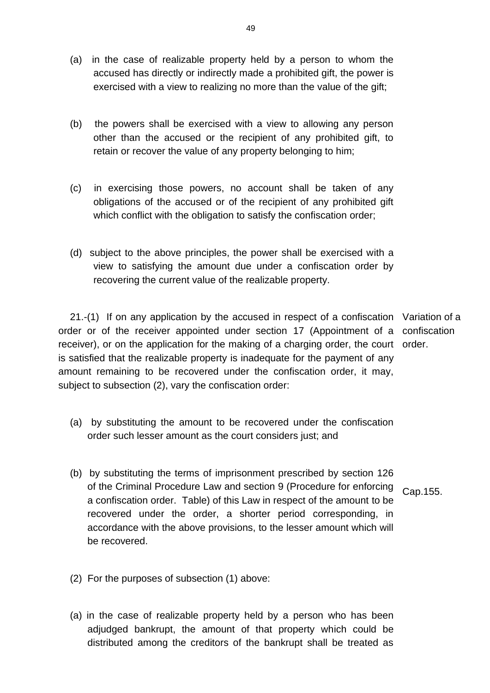- (a) in the case of realizable property held by a person to whom the accused has directly or indirectly made a prohibited gift, the power is exercised with a view to realizing no more than the value of the gift;
- (b) the powers shall be exercised with a view to allowing any person other than the accused or the recipient of any prohibited gift, to retain or recover the value of any property belonging to him;
- (c) in exercising those powers, no account shall be taken of any obligations of the accused or of the recipient of any prohibited gift which conflict with the obligation to satisfy the confiscation order;
- (d) subject to the above principles, the power shall be exercised with a view to satisfying the amount due under a confiscation order by recovering the current value of the realizable property.

21.-(1) If on any application by the accused in respect of a confiscation Variation of a order or of the receiver appointed under section 17 (Appointment of a confiscation receiver), or on the application for the making of a charging order, the court order. is satisfied that the realizable property is inadequate for the payment of any amount remaining to be recovered under the confiscation order, it may, subject to subsection (2), vary the confiscation order:

- (a) by substituting the amount to be recovered under the confiscation order such lesser amount as the court considers just; and
- (b) by substituting the terms of imprisonment prescribed by section 126 of the Criminal Procedure Law and section 9 (Procedure for enforcing a confiscation order. Table) of this Law in respect of the amount to be recovered under the order, a shorter period corresponding, in accordance with the above provisions, to the lesser amount which will be recovered. Cap.155.
- (2) For the purposes of subsection (1) above:
- (a) in the case of realizable property held by a person who has been adjudged bankrupt, the amount of that property which could be distributed among the creditors of the bankrupt shall be treated as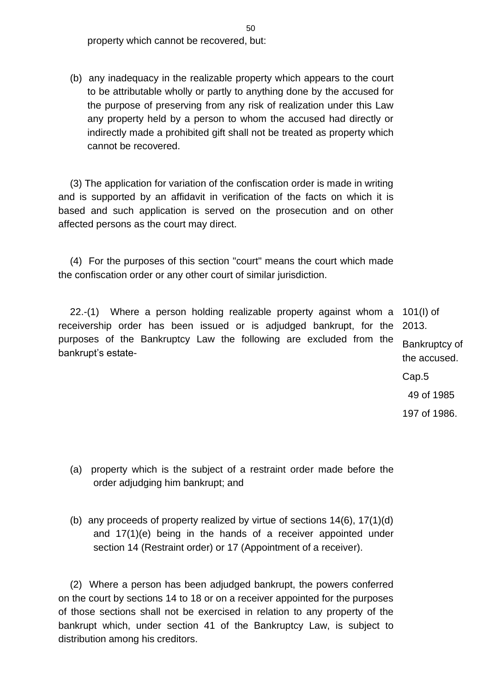property which cannot be recovered, but:

(b) any inadequacy in the realizable property which appears to the court to be attributable wholly or partly to anything done by the accused for the purpose of preserving from any risk of realization under this Law any property held by a person to whom the accused had directly or indirectly made a prohibited gift shall not be treated as property which cannot be recovered.

(3) The application for variation of the confiscation order is made in writing and is supported by an affidavit in verification of the facts on which it is based and such application is served on the prosecution and on other affected persons as the court may direct.

(4) For the purposes of this section "court" means the court which made the confiscation order or any other court of similar jurisdiction.

22.-(1) Where a person holding realizable property against whom a 101(I) of receivership order has been issued or is adjudged bankrupt, for the purposes of the Bankruptcy Law the following are excluded from the bankrupt's estate-2013.

Bankruptcy of the accused.

Cap.5

49 of 1985

197 of 1986.

- (a) property which is the subject of a restraint order made before the order adjudging him bankrupt; and
- (b) any proceeds of property realized by virtue of sections 14(6), 17(1)(d) and 17(1)(e) being in the hands of a receiver appointed under section 14 (Restraint order) or 17 (Appointment of a receiver).

(2) Where a person has been adjudged bankrupt, the powers conferred on the court by sections 14 to 18 or on a receiver appointed for the purposes of those sections shall not be exercised in relation to any property of the bankrupt which, under section 41 of the Bankruptcy Law, is subject to distribution among his creditors.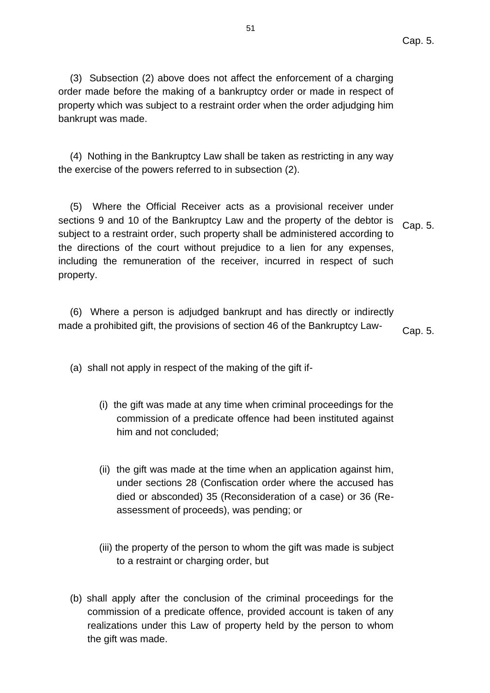(3) Subsection (2) above does not affect the enforcement of a charging order made before the making of a bankruptcy order or made in respect of property which was subject to a restraint order when the order adjudging him bankrupt was made.

(4) Nothing in the Bankruptcy Law shall be taken as restricting in any way the exercise of the powers referred to in subsection (2).

(5) Where the Official Receiver acts as a provisional receiver under sections 9 and 10 of the Bankruptcy Law and the property of the debtor is subject to a restraint order, such property shall be administered according to the directions of the court without prejudice to a lien for any expenses, including the remuneration of the receiver, incurred in respect of such property. Cap. 5.

(6) Where a person is adjudged bankrupt and has directly or indirectly made a prohibited gift, the provisions of section 46 of the Bankruptcy Law- $_{\text{Cap. 5}}$ .

(a) shall not apply in respect of the making of the gift if-

- (i) the gift was made at any time when criminal proceedings for the commission of a predicate offence had been instituted against him and not concluded;
- (ii) the gift was made at the time when an application against him, under sections 28 (Confiscation order where the accused has died or absconded) 35 (Reconsideration of a case) or 36 (Reassessment of proceeds), was pending; or
- (iii) the property of the person to whom the gift was made is subject to a restraint or charging order, but
- (b) shall apply after the conclusion of the criminal proceedings for the commission of a predicate offence, provided account is taken of any realizations under this Law of property held by the person to whom the gift was made.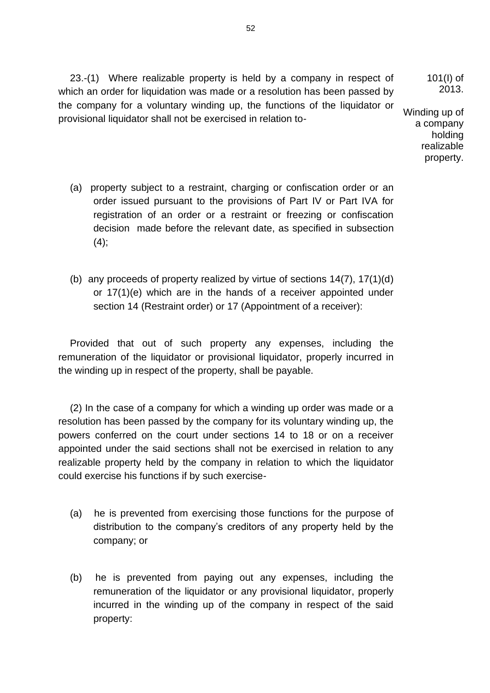23.-(1) Where realizable property is held by a company in respect of which an order for liquidation was made or a resolution has been passed by the company for a voluntary winding up, the functions of the liquidator or provisional liquidator shall not be exercised in relation to-101(I) of 2013. Winding up of

a company holding realizable property.

- (a) property subject to a restraint, charging or confiscation order or an order issued pursuant to the provisions of Part IV or Part IVA for registration of an order or a restraint or freezing or confiscation decision made before the relevant date, as specified in subsection  $(4)$ ;
- (b) any proceeds of property realized by virtue of sections 14(7), 17(1)(d) or 17(1)(e) which are in the hands of a receiver appointed under section 14 (Restraint order) or 17 (Appointment of a receiver):

Provided that out of such property any expenses, including the remuneration of the liquidator or provisional liquidator, properly incurred in the winding up in respect of the property, shall be payable.

(2) In the case of a company for which a winding up order was made or a resolution has been passed by the company for its voluntary winding up, the powers conferred on the court under sections 14 to 18 or on a receiver appointed under the said sections shall not be exercised in relation to any realizable property held by the company in relation to which the liquidator could exercise his functions if by such exercise-

- (a) he is prevented from exercising those functions for the purpose of distribution to the company's creditors of any property held by the company; or
- (b) he is prevented from paying out any expenses, including the remuneration of the liquidator or any provisional liquidator, properly incurred in the winding up of the company in respect of the said property:

52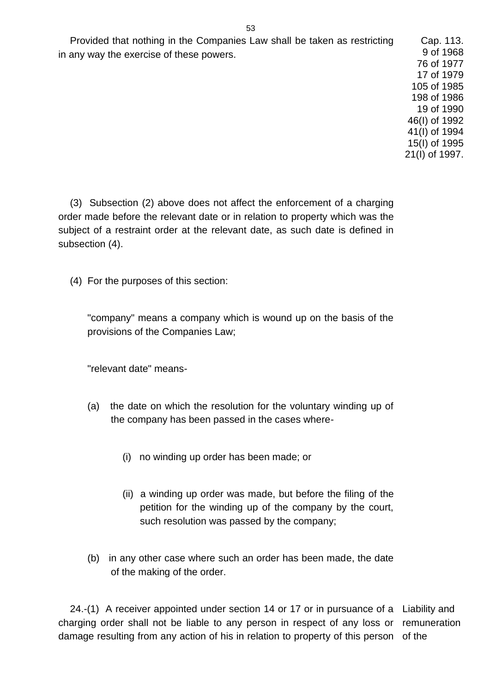Provided that nothing in the Companies Law shall be taken as restricting in any way the exercise of these powers.

(3) Subsection (2) above does not affect the enforcement of a charging order made before the relevant date or in relation to property which was the subject of a restraint order at the relevant date, as such date is defined in subsection (4).

(4) For the purposes of this section:

"company" means a company which is wound up on the basis of the provisions of the Companies Law;

"relevant date" means-

- (a) the date on which the resolution for the voluntary winding up of the company has been passed in the cases where-
	- (i) no winding up order has been made; or
	- (ii) a winding up order was made, but before the filing of the petition for the winding up of the company by the court, such resolution was passed by the company;
- (b) in any other case where such an order has been made, the date of the making of the order.

24.-(1) A receiver appointed under section 14 or 17 or in pursuance of a Liability and charging order shall not be liable to any person in respect of any loss or remuneration damage resulting from any action of his in relation to property of this person of the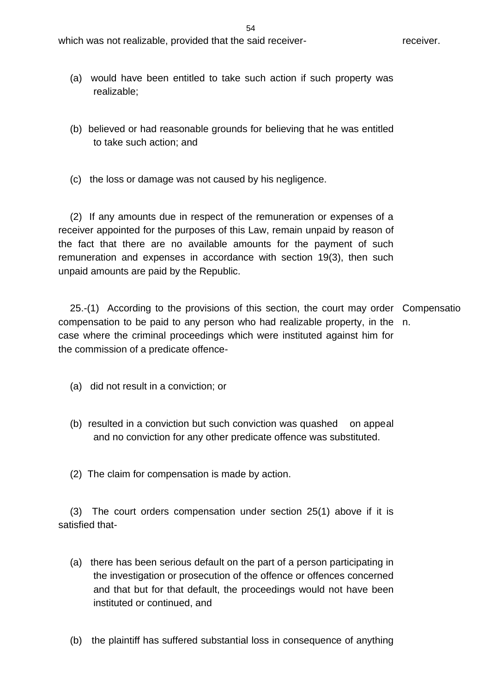- (a) would have been entitled to take such action if such property was realizable;
- (b) believed or had reasonable grounds for believing that he was entitled to take such action; and
- (c) the loss or damage was not caused by his negligence.

(2) If any amounts due in respect of the remuneration or expenses of a receiver appointed for the purposes of this Law, remain unpaid by reason of the fact that there are no available amounts for the payment of such remuneration and expenses in accordance with section 19(3), then such unpaid amounts are paid by the Republic.

25.-(1) According to the provisions of this section, the court may order Compensatio compensation to be paid to any person who had realizable property, in the n. case where the criminal proceedings which were instituted against him for the commission of a predicate offence-

- (a) did not result in a conviction; or
- (b) resulted in a conviction but such conviction was quashed on appeal and no conviction for any other predicate offence was substituted.
- (2) The claim for compensation is made by action.

(3) The court orders compensation under section 25(1) above if it is satisfied that-

- (a) there has been serious default on the part of a person participating in the investigation or prosecution of the offence or offences concerned and that but for that default, the proceedings would not have been instituted or continued, and
- (b) the plaintiff has suffered substantial loss in consequence of anything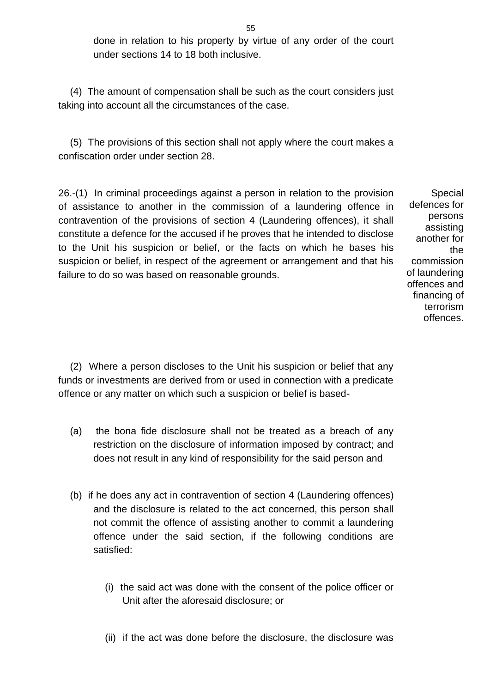done in relation to his property by virtue of any order of the court under sections 14 to 18 both inclusive.

(4) The amount of compensation shall be such as the court considers just taking into account all the circumstances of the case.

(5) The provisions of this section shall not apply where the court makes a confiscation order under section 28.

26.-(1) In criminal proceedings against a person in relation to the provision of assistance to another in the commission of a laundering offence in contravention of the provisions of section 4 (Laundering offences), it shall constitute a defence for the accused if he proves that he intended to disclose to the Unit his suspicion or belief, or the facts on which he bases his suspicion or belief, in respect of the agreement or arrangement and that his failure to do so was based on reasonable grounds.

Special defences for persons assisting another for the commission of laundering offences and financing of terrorism offences.

(2) Where a person discloses to the Unit his suspicion or belief that any funds or investments are derived from or used in connection with a predicate offence or any matter on which such a suspicion or belief is based-

- (a) the bona fide disclosure shall not be treated as a breach of any restriction on the disclosure of information imposed by contract; and does not result in any kind of responsibility for the said person and
- (b) if he does any act in contravention of section 4 (Laundering offences) and the disclosure is related to the act concerned, this person shall not commit the offence of assisting another to commit a laundering offence under the said section, if the following conditions are satisfied:
	- (i) the said act was done with the consent of the police officer or Unit after the aforesaid disclosure; or
	- (ii) if the act was done before the disclosure, the disclosure was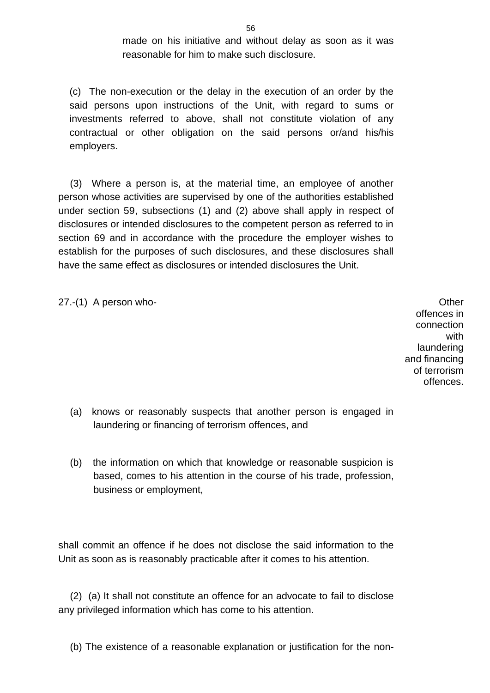made on his initiative and without delay as soon as it was reasonable for him to make such disclosure.

(c) The non-execution or the delay in the execution of an order by the said persons upon instructions of the Unit, with regard to sums or investments referred to above, shall not constitute violation of any contractual or other obligation on the said persons or/and his/his employers.

(3) Where a person is, at the material time, an employee of another person whose activities are supervised by one of the authorities established under section 59, subsections (1) and (2) above shall apply in respect of disclosures or intended disclosures to the competent person as referred to in section 69 and in accordance with the procedure the employer wishes to establish for the purposes of such disclosures, and these disclosures shall have the same effect as disclosures or intended disclosures the Unit.

27.-(1) A person who-  $Q$  and  $Q$  and  $Q$  and  $Q$  and  $Q$  and  $Q$  and  $Q$  and  $Q$  and  $Q$  and  $Q$  and  $Q$  and  $Q$  and  $Q$  and  $Q$  and  $Q$  and  $Q$  and  $Q$  and  $Q$  and  $Q$  and  $Q$  and  $Q$  and  $Q$  and  $Q$  and  $Q$  and  $Q$  and

offences in connection with laundering and financing of terrorism offences.

- (a) knows or reasonably suspects that another person is engaged in laundering or financing of terrorism offences, and
- (b) the information on which that knowledge or reasonable suspicion is based, comes to his attention in the course of his trade, profession, business or employment,

shall commit an offence if he does not disclose the said information to the Unit as soon as is reasonably practicable after it comes to his attention.

(2) (a) It shall not constitute an offence for an advocate to fail to disclose any privileged information which has come to his attention.

(b) The existence of a reasonable explanation or justification for the non-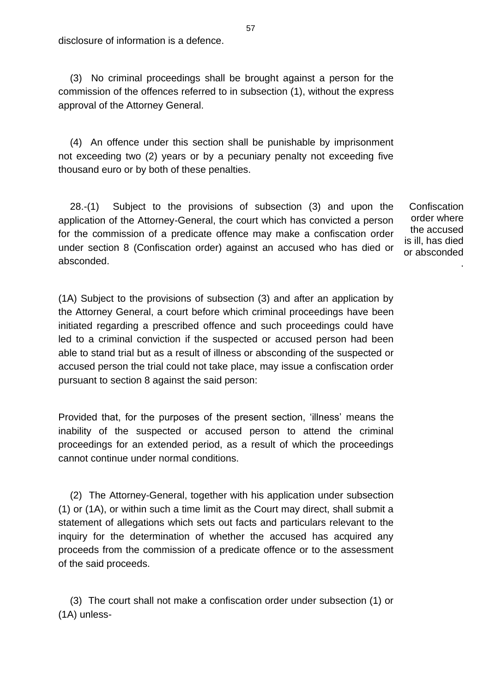disclosure of information is a defence.

(3) No criminal proceedings shall be brought against a person for the commission of the offences referred to in subsection (1), without the express approval of the Attorney General.

(4) An offence under this section shall be punishable by imprisonment not exceeding two (2) years or by a pecuniary penalty not exceeding five thousand euro or by both of these penalties.

28.-(1) Subject to the provisions of subsection (3) and upon the application of the Attorney-General, the court which has convicted a person for the commission of a predicate offence may make a confiscation order under section 8 (Confiscation order) against an accused who has died or absconded.

**Confiscation** order where the accused is ill, has died or absconded

.

(1Α) Subject to the provisions of subsection (3) and after an application by the Attorney General, a court before which criminal proceedings have been initiated regarding a prescribed offence and such proceedings could have led to a criminal conviction if the suspected or accused person had been able to stand trial but as a result of illness or absconding of the suspected or accused person the trial could not take place, may issue a confiscation order pursuant to section 8 against the said person:

Provided that, for the purposes of the present section, 'illness' means the inability of the suspected or accused person to attend the criminal proceedings for an extended period, as a result of which the proceedings cannot continue under normal conditions.

(2) The Attorney-General, together with his application under subsection (1) or (1A), or within such a time limit as the Court may direct, shall submit a statement of allegations which sets out facts and particulars relevant to the inquiry for the determination of whether the accused has acquired any proceeds from the commission of a predicate offence or to the assessment of the said proceeds.

(3) The court shall not make a confiscation order under subsection (1) or (1A) unless-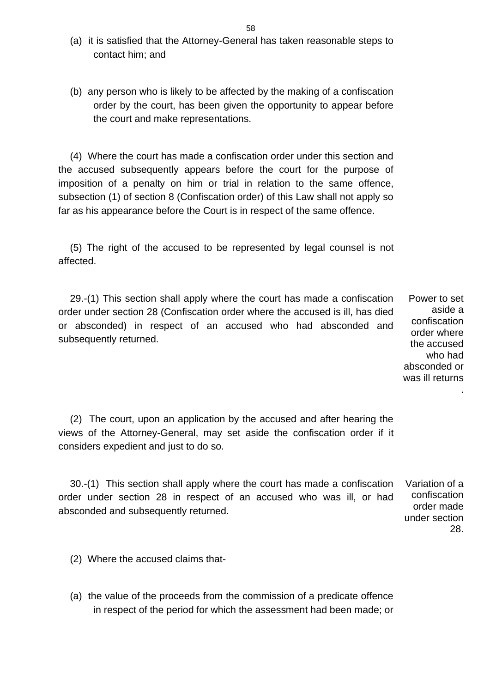- (a) it is satisfied that the Attorney-General has taken reasonable steps to contact him; and
- (b) any person who is likely to be affected by the making of a confiscation order by the court, has been given the opportunity to appear before the court and make representations.

(4) Where the court has made a confiscation order under this section and the accused subsequently appears before the court for the purpose of imposition of a penalty on him or trial in relation to the same offence, subsection (1) of section 8 (Confiscation order) of this Law shall not apply so far as his appearance before the Court is in respect of the same offence.

(5) Τhe right of the accused to be represented by legal counsel is not affected.

29.-(1) This section shall apply where the court has made a confiscation order under section 28 (Confiscation order where the accused is ill, has died or absconded) in respect of an accused who had absconded and subsequently returned. Power to set

aside a confiscation order where the accused who had absconded or was ill returns .

(2) The court, upon an application by the accused and after hearing the views of the Attorney-General, may set aside the confiscation order if it considers expedient and just to do so.

30.-(1) This section shall apply where the court has made a confiscation order under section 28 in respect of an accused who was ill, or had absconded and subsequently returned. Variation of a

confiscation order made under section 28.

(2) Where the accused claims that-

(a) the value of the proceeds from the commission of a predicate offence in respect of the period for which the assessment had been made; or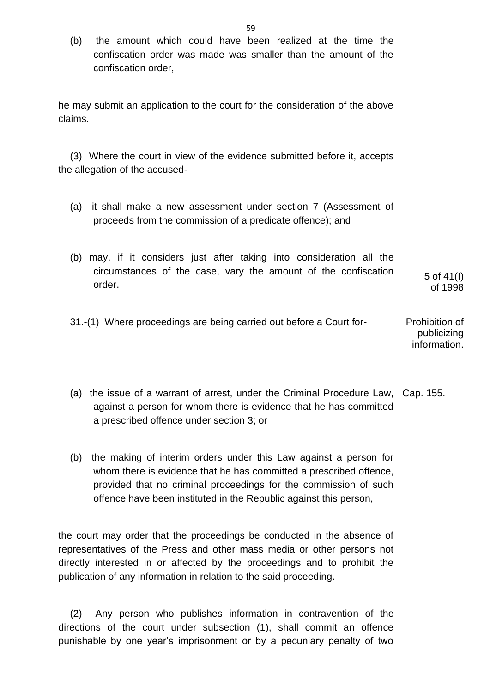(b) the amount which could have been realized at the time the confiscation order was made was smaller than the amount of the confiscation order,

he may submit an application to the court for the consideration of the above claims.

(3) Where the court in view of the evidence submitted before it, accepts the allegation of the accused-

- (a) it shall make a new assessment under section 7 (Assessment of proceeds from the commission of a predicate offence); and
- (b) may, if it considers just after taking into consideration all the circumstances of the case, vary the amount of the confiscation order.

5 of 41(I) of 1998

- 31.-(1) Where proceedings are being carried out before a Court for- Prohibition of publicizing information.
- (a) the issue of a warrant of arrest, under the Criminal Procedure Law, Cap. 155. against a person for whom there is evidence that he has committed a prescribed offence under section 3; or
- (b) the making of interim orders under this Law against a person for whom there is evidence that he has committed a prescribed offence, provided that no criminal proceedings for the commission of such offence have been instituted in the Republic against this person,

the court may order that the proceedings be conducted in the absence of representatives of the Press and other mass media or other persons not directly interested in or affected by the proceedings and to prohibit the publication of any information in relation to the said proceeding.

(2) Any person who publishes information in contravention of the directions of the court under subsection (1), shall commit an offence punishable by one year's imprisonment or by a pecuniary penalty of two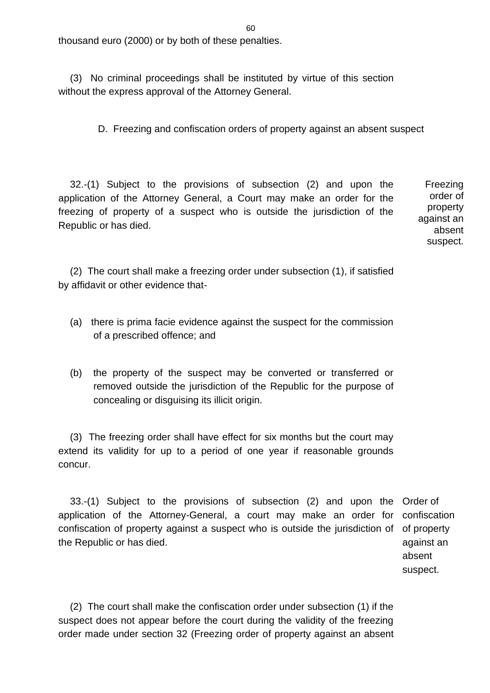thousand euro (2000) or by both of these penalties.

(3) No criminal proceedings shall be instituted by virtue of this section without the express approval of the Attorney General.

D. Freezing and confiscation orders of property against an absent suspect

32.-(1) Subject to the provisions of subsection (2) and upon the application of the Attorney General, a Court may make an order for the freezing of property of a suspect who is outside the jurisdiction of the Republic or has died. Freezing

order of property against an absent suspect.

(2) The court shall make a freezing order under subsection (1), if satisfied by affidavit or other evidence that-

- (a) there is prima facie evidence against the suspect for the commission of a prescribed offence; and
- (b) the property of the suspect may be converted or transferred or removed outside the jurisdiction of the Republic for the purpose of concealing or disguising its illicit origin.

(3) The freezing order shall have effect for six months but the court may extend its validity for up to a period of one year if reasonable grounds concur.

33.-(1) Subject to the provisions of subsection (2) and upon the Order of application of the Attorney-General, a court may make an order for confiscation of property against a suspect who is outside the jurisdiction of the Republic or has died.

confiscation of property against an absent suspect.

(2) The court shall make the confiscation order under subsection (1) if the suspect does not appear before the court during the validity of the freezing order made under section 32 (Freezing order of property against an absent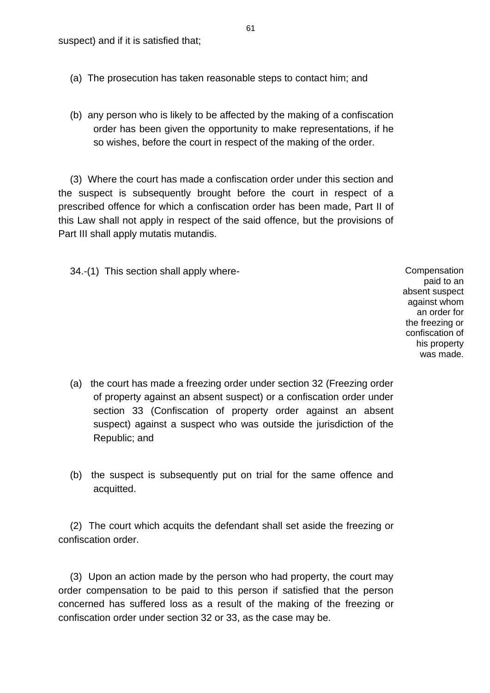- (a) The prosecution has taken reasonable steps to contact him; and
- (b) any person who is likely to be affected by the making of a confiscation order has been given the opportunity to make representations, if he so wishes, before the court in respect of the making of the order.

(3) Where the court has made a confiscation order under this section and the suspect is subsequently brought before the court in respect of a prescribed offence for which a confiscation order has been made, Part II of this Law shall not apply in respect of the said offence, but the provisions of Part III shall apply mutatis mutandis.

34.-(1) This section shall apply where- Compensation

paid to an absent suspect against whom an order for the freezing or confiscation of his property was made.

- (a) the court has made a freezing order under section 32 (Freezing order of property against an absent suspect) or a confiscation order under section 33 (Confiscation of property order against an absent suspect) against a suspect who was outside the jurisdiction of the Republic; and
- (b) the suspect is subsequently put on trial for the same offence and acquitted.

(2) The court which acquits the defendant shall set aside the freezing or confiscation order.

(3) Upon an action made by the person who had property, the court may order compensation to be paid to this person if satisfied that the person concerned has suffered loss as a result of the making of the freezing or confiscation order under section 32 or 33, as the case may be.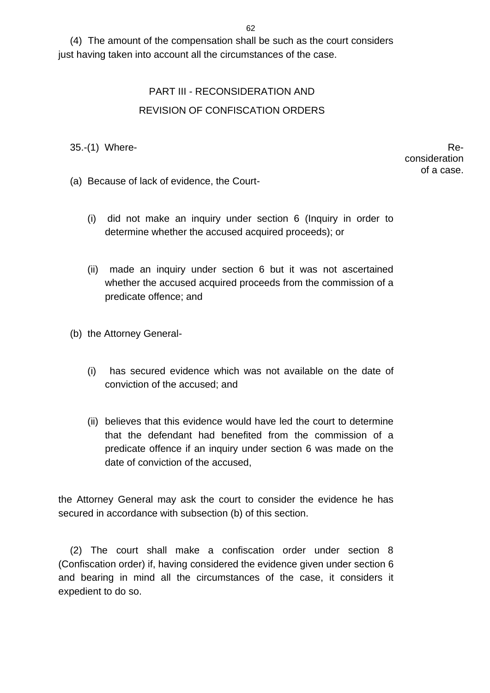(4) The amount of the compensation shall be such as the court considers just having taken into account all the circumstances of the case.

## PART III - RECONSIDERATION AND REVISION OF CONFISCATION ORDERS

 $35-(1)$  Where-

consideration of a case.

- (a) Because of lack of evidence, the Court-
	- (i) did not make an inquiry under section 6 (Inquiry in order to determine whether the accused acquired proceeds); or
	- (ii) made an inquiry under section 6 but it was not ascertained whether the accused acquired proceeds from the commission of a predicate offence; and
- (b) the Attorney General-
	- (i) has secured evidence which was not available on the date of conviction of the accused; and
	- (ii) believes that this evidence would have led the court to determine that the defendant had benefited from the commission of a predicate offence if an inquiry under section 6 was made on the date of conviction of the accused,

the Attorney General may ask the court to consider the evidence he has secured in accordance with subsection (b) of this section.

(2) The court shall make a confiscation order under section 8 (Confiscation order) if, having considered the evidence given under section 6 and bearing in mind all the circumstances of the case, it considers it expedient to do so.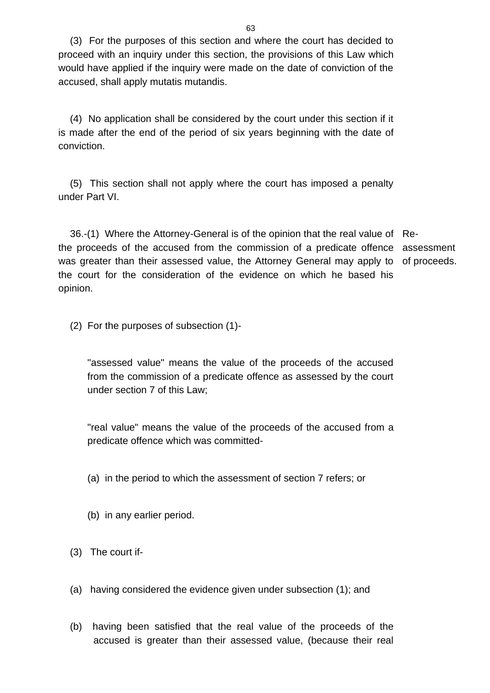(3) For the purposes of this section and where the court has decided to proceed with an inquiry under this section, the provisions of this Law which would have applied if the inquiry were made on the date of conviction of the accused, shall apply mutatis mutandis.

(4) No application shall be considered by the court under this section if it is made after the end of the period of six years beginning with the date of conviction.

(5) This section shall not apply where the court has imposed a penalty under Part VI.

36.-(1) Where the Attorney-General is of the opinion that the real value of Rethe proceeds of the accused from the commission of a predicate offence assessment was greater than their assessed value, the Attorney General may apply to of proceeds. the court for the consideration of the evidence on which he based his opinion.

(2) For the purposes of subsection (1)-

"assessed value" means the value of the proceeds of the accused from the commission of a predicate offence as assessed by the court under section 7 of this Law;

"real value" means the value of the proceeds of the accused from a predicate offence which was committed-

- (a) in the period to which the assessment of section 7 refers; or
- (b) in any earlier period.
- (3) The court if-
- (a) having considered the evidence given under subsection (1); and
- (b) having been satisfied that the real value of the proceeds of the accused is greater than their assessed value, (because their real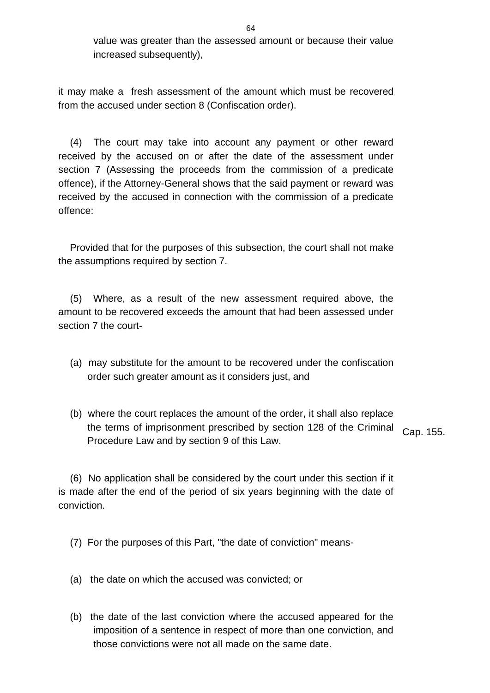value was greater than the assessed amount or because their value increased subsequently),

it may make a fresh assessment of the amount which must be recovered from the accused under section 8 (Confiscation order).

(4) The court may take into account any payment or other reward received by the accused on or after the date of the assessment under section 7 (Assessing the proceeds from the commission of a predicate offence), if the Attorney-General shows that the said payment or reward was received by the accused in connection with the commission of a predicate offence:

Provided that for the purposes of this subsection, the court shall not make the assumptions required by section 7.

(5) Where, as a result of the new assessment required above, the amount to be recovered exceeds the amount that had been assessed under section 7 the court-

- (a) may substitute for the amount to be recovered under the confiscation order such greater amount as it considers just, and
- (b) where the court replaces the amount of the order, it shall also replace the terms of imprisonment prescribed by section 128 of the Criminal Procedure Law and by section 9 of this Law. Cap. 155.

(6) No application shall be considered by the court under this section if it is made after the end of the period of six years beginning with the date of conviction.

(7) For the purposes of this Part, "the date of conviction" means-

- (a) the date on which the accused was convicted; or
- (b) the date of the last conviction where the accused appeared for the imposition of a sentence in respect of more than one conviction, and those convictions were not all made on the same date.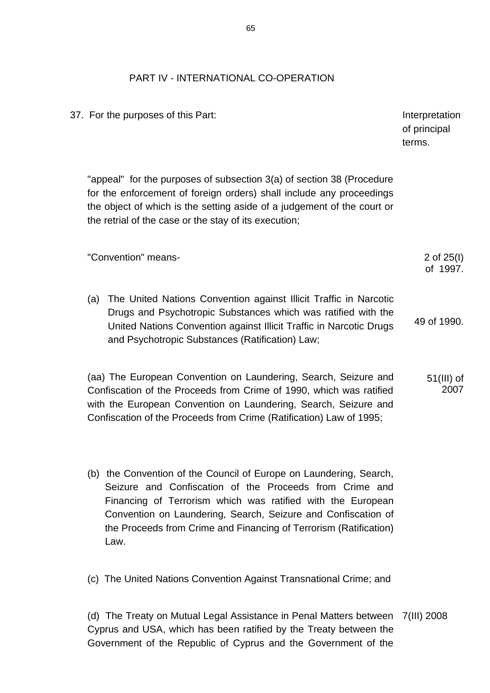## PART IV - INTERNATIONAL CO-OPERATION

37. For the purposes of this Part: Interpretation and the purposes of this Part: of principal terms. "appeal" for the purposes of subsection 3(a) of section 38 (Procedure for the enforcement of foreign orders) shall include any proceedings the object of which is the setting aside of a judgement of the court or the retrial of the case or the stay of its execution; "Convention" means- 2 of 25(I) of 1997. (a) The United Nations Convention against Illicit Traffic in Narcotic Drugs and Psychotropic Substances which was ratified with the United Nations Convention against Illicit Traffic in Narcotic Drugs 49 of 1990.

(aa) The European Convention on Laundering, Search, Seizure and Confiscation of the Proceeds from Crime of 1990, which was ratified with the European Convention on Laundering, Search, Seizure and Confiscation of the Proceeds from Crime (Ratification) Law of 1995; 51(III) of 2007

(b) the Convention of the Council of Europe on Laundering, Search, Seizure and Confiscation of the Proceeds from Crime and Financing of Terrorism which was ratified with the European Convention on Laundering, Search, Seizure and Confiscation of the Proceeds from Crime and Financing of Terrorism (Ratification) Law.

and Psychotropic Substances (Ratification) Law;

(c) The United Nations Convention Against Transnational Crime; and

(d) The Treaty on Mutual Legal Assistance in Penal Matters between 7(III) 2008Cyprus and USA, which has been ratified by the Treaty between the Government of the Republic of Cyprus and the Government of the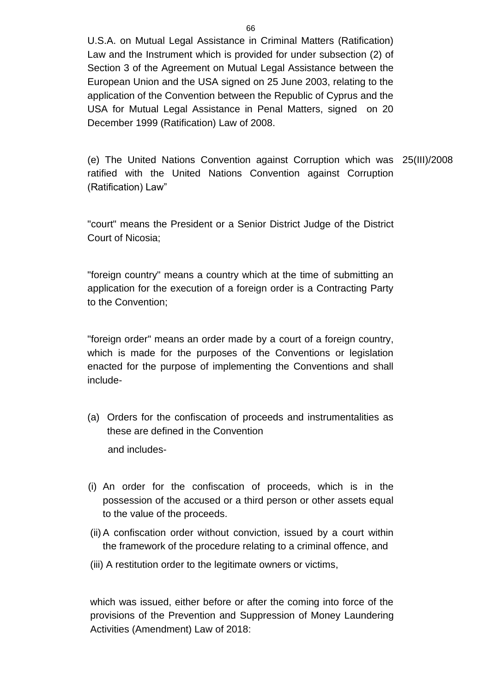U.S.A. on Mutual Legal Assistance in Criminal Matters (Ratification) Law and the Instrument which is provided for under subsection (2) of Section 3 of the Agreement on Mutual Legal Assistance between the European Union and the USA signed on 25 June 2003, relating to the application of the Convention between the Republic of Cyprus and the USA for Mutual Legal Assistance in Penal Matters, signed on 20 December 1999 (Ratification) Law of 2008.

(e) The United Nations Convention against Corruption which was 25(III)/2008 ratified with the United Nations Convention against Corruption (Ratification) Law"

"court" means the President or a Senior District Judge of the District Court of Nicosia;

"foreign country" means a country which at the time of submitting an application for the execution of a foreign order is a Contracting Party to the Convention;

"foreign order" means an order made by a court of a foreign country, which is made for the purposes of the Conventions or legislation enacted for the purpose of implementing the Conventions and shall include-

- (a) Orders for the confiscation of proceeds and instrumentalities as these are defined in the Convention and includes-
- (i) An order for the confiscation of proceeds, which is in the possession of the accused or a third person or other assets equal to the value of the proceeds.
- (ii)A confiscation order without conviction, issued by a court within the framework of the procedure relating to a criminal offence, and
- (iii) A restitution order to the legitimate owners or victims,

which was issued, either before or after the coming into force of the provisions of the Prevention and Suppression of Money Laundering Activities (Amendment) Law of 2018: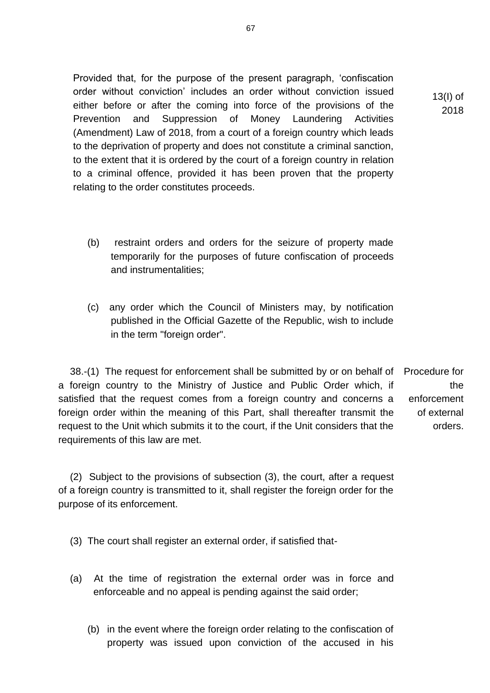Provided that, for the purpose of the present paragraph, 'confiscation order without conviction' includes an order without conviction issued either before or after the coming into force of the provisions of the Prevention and Suppression of Money Laundering Activities (Amendment) Law of 2018, from a court of a foreign country which leads to the deprivation of property and does not constitute a criminal sanction, to the extent that it is ordered by the court of a foreign country in relation to a criminal offence, provided it has been proven that the property relating to the order constitutes proceeds.

- (b) restraint orders and orders for the seizure of property made temporarily for the purposes of future confiscation of proceeds and instrumentalities;
- (c) any order which the Council of Ministers may, by notification published in the Official Gazette of the Republic, wish to include in the term "foreign order".

38.-(1) The request for enforcement shall be submitted by or on behalf of a foreign country to the Ministry of Justice and Public Order which, if satisfied that the request comes from a foreign country and concerns a foreign order within the meaning of this Part, shall thereafter transmit the request to the Unit which submits it to the court, if the Unit considers that the requirements of this law are met. Procedure for the enforcement of external orders.

(2) Subject to the provisions of subsection (3), the court, after a request of a foreign country is transmitted to it, shall register the foreign order for the purpose of its enforcement.

(3) The court shall register an external order, if satisfied that-

- (a) At the time of registration the external order was in force and enforceable and no appeal is pending against the said order;
	- (b) in the event where the foreign order relating to the confiscation of property was issued upon conviction of the accused in his

13(I) of 2018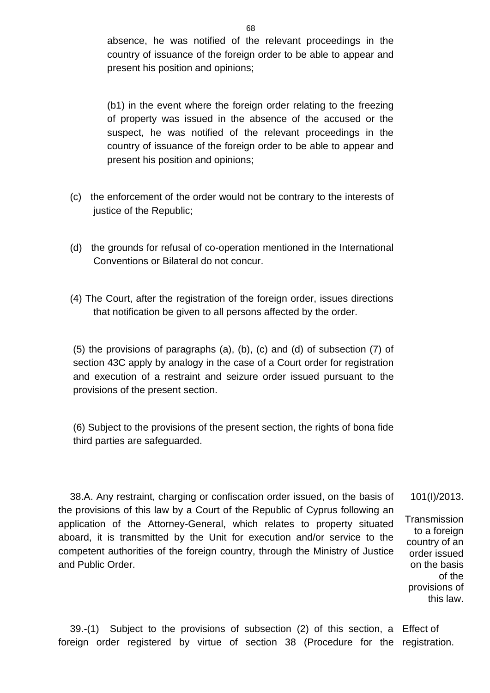absence, he was notified of the relevant proceedings in the country of issuance of the foreign order to be able to appear and present his position and opinions;

(b1) in the event where the foreign order relating to the freezing of property was issued in the absence of the accused or the suspect, he was notified of the relevant proceedings in the country of issuance of the foreign order to be able to appear and present his position and opinions;

- (c) the enforcement of the order would not be contrary to the interests of justice of the Republic;
- (d) the grounds for refusal of co-operation mentioned in the International Conventions or Bilateral do not concur.
- (4) The Court, after the registration of the foreign order, issues directions that notification be given to all persons affected by the order.

(5) the provisions of paragraphs (a), (b), (c) and (d) of subsection (7) of section 43C apply by analogy in the case of a Court order for registration and execution of a restraint and seizure order issued pursuant to the provisions of the present section.

(6) Subject to the provisions of the present section, the rights of bona fide third parties are safeguarded.

38.A. Any restraint, charging or confiscation order issued, on the basis of the provisions of this law by a Court of the Republic of Cyprus following an application of the Attorney-General, which relates to property situated aboard, it is transmitted by the Unit for execution and/or service to the competent authorities of the foreign country, through the Ministry of Justice and Public Order. 101(I)/2013. **Transmission** 

to a foreign country of an order issued on the basis of the provisions of this law.

39.-(1) Subject to the provisions of subsection (2) of this section, a Effect of foreign order registered by virtue of section 38 (Procedure for the registration.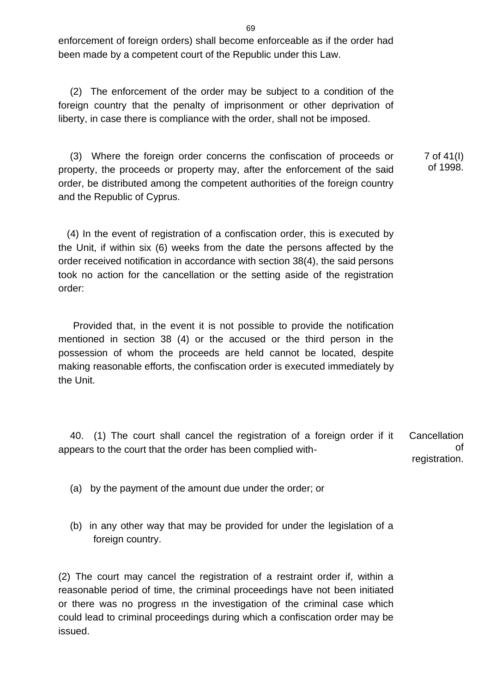enforcement of foreign orders) shall become enforceable as if the order had been made by a competent court of the Republic under this Law.

(2) The enforcement of the order may be subject to a condition of the foreign country that the penalty of imprisonment or other deprivation of liberty, in case there is compliance with the order, shall not be imposed.

(3) Where the foreign order concerns the confiscation of proceeds or property, the proceeds or property may, after the enforcement of the said order, be distributed among the competent authorities of the foreign country and the Republic of Cyprus. 7 of 41(I) of 1998.

(4) In the event of registration of a confiscation order, this is executed by the Unit, if within six (6) weeks from the date the persons affected by the order received notification in accordance with section 38(4), the said persons took no action for the cancellation or the setting aside of the registration order:

Provided that, in the event it is not possible to provide the notification mentioned in section 38 (4) or the accused or the third person in the possession of whom the proceeds are held cannot be located, despite making reasonable efforts, the confiscation order is executed immediately by the Unit.

40. (1) The court shall cancel the registration of a foreign order if it appears to the court that the order has been complied with-**Cancellation** of registration.

- (a) by the payment of the amount due under the order; or
- (b) in any other way that may be provided for under the legislation of a foreign country.

(2) The court may cancel the registration of a restraint order if, within a reasonable period of time, the criminal proceedings have not been initiated or there was no progress ιn the investigation of the criminal case which could lead to criminal proceedings during which a confiscation order may be issued.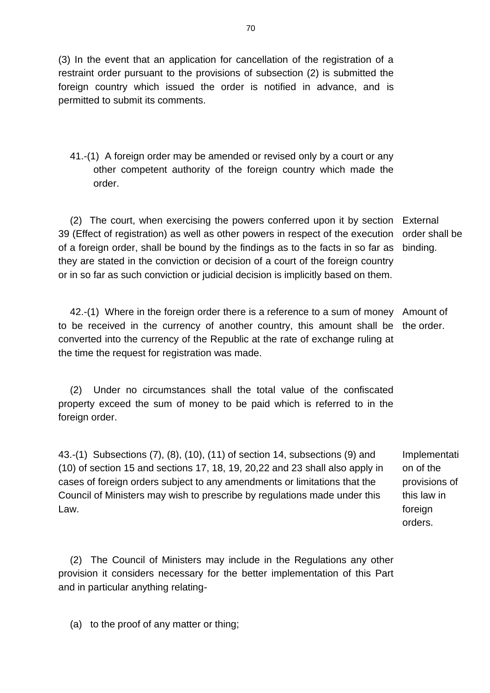(3) In the event that an application for cancellation of the registration of a restraint order pursuant to the provisions of subsection (2) is submitted the foreign country which issued the order is notified in advance, and is permitted to submit its comments.

41.-(1) A foreign order may be amended or revised only by a court or any other competent authority of the foreign country which made the order.

(2) The court, when exercising the powers conferred upon it by section External 39 (Effect of registration) as well as other powers in respect of the execution of a foreign order, shall be bound by the findings as to the facts in so far as they are stated in the conviction or decision of a court of the foreign country or in so far as such conviction or judicial decision is implicitly based on them. order shall be binding.

42.-(1) Where in the foreign order there is a reference to a sum of money Amount of to be received in the currency of another country, this amount shall be converted into the currency of the Republic at the rate of exchange ruling at the time the request for registration was made. the order.

(2) Under no circumstances shall the total value of the confiscated property exceed the sum of money to be paid which is referred to in the foreign order.

43.-(1) Subsections (7), (8), (10), (11) of section 14, subsections (9) and (10) of section 15 and sections 17, 18, 19, 20,22 and 23 shall also apply in cases of foreign orders subject to any amendments or limitations that the Council of Ministers may wish to prescribe by regulations made under this Law.

Implementati on of the provisions of this law in foreign orders.

(2) The Council of Ministers may include in the Regulations any other provision it considers necessary for the better implementation of this Part and in particular anything relating-

(a) to the proof of any matter or thing;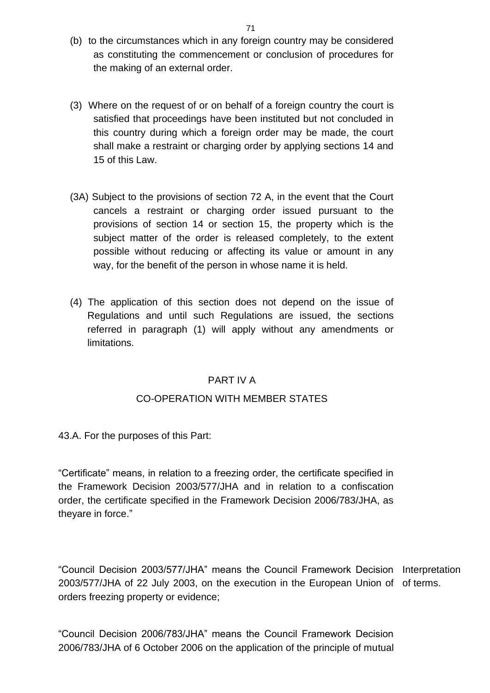- (b) to the circumstances which in any foreign country may be considered as constituting the commencement or conclusion of procedures for the making of an external order.
- (3) Where on the request of or on behalf of a foreign country the court is satisfied that proceedings have been instituted but not concluded in this country during which a foreign order may be made, the court shall make a restraint or charging order by applying sections 14 and 15 of this Law.
- (3A) Subject to the provisions of section 72 A, in the event that the Court cancels a restraint or charging order issued pursuant to the provisions of section 14 or section 15, the property which is the subject matter of the order is released completely, to the extent possible without reducing or affecting its value or amount in any way, for the benefit of the person in whose name it is held.
- (4) The application of this section does not depend on the issue of Regulations and until such Regulations are issued, the sections referred in paragraph (1) will apply without any amendments or limitations.

## PART IV A

## CO-OPERATION WITH MEMBER STATES

43.A. For the purposes of this Part:

"Certificate" means, in relation to a freezing order, the certificate specified in the Framework Decision 2003/577/JHA and in relation to a confiscation order, the certificate specified in the Framework Decision 2006/783/JHA, as theyare in force."

"Council Decision 2003/577/JHA" means the Council Framework Decision Interpretation 2003/577/JHA of 22 July 2003, on the execution in the European Union of of terms. orders freezing property or evidence;

"Council Decision 2006/783/JHA" means the Council Framework Decision 2006/783/JHA of 6 October 2006 on the application of the principle of mutual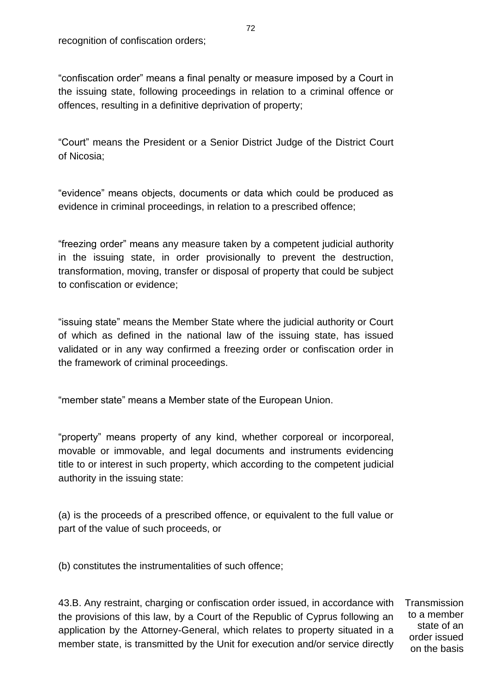"confiscation order" means a final penalty or measure imposed by a Court in the issuing state, following proceedings in relation to a criminal offence or offences, resulting in a definitive deprivation of property;

"Court" means the President or a Senior District Judge of the District Court of Nicosia;

"evidence" means objects, documents or data which could be produced as evidence in criminal proceedings, in relation to a prescribed offence;

"freezing order" means any measure taken by a competent judicial authority in the issuing state, in order provisionally to prevent the destruction, transformation, moving, transfer or disposal of property that could be subject to confiscation or evidence;

"issuing state" means the Member State where the judicial authority or Court of which as defined in the national law of the issuing state, has issued validated or in any way confirmed a freezing order or confiscation order in the framework of criminal proceedings.

"member state" means a Member state of the European Union.

"property" means property of any kind, whether corporeal or incorporeal, movable or immovable, and legal documents and instruments evidencing title to or interest in such property, which according to the competent judicial authority in the issuing state:

(a) is the proceeds of a prescribed offence, or equivalent to the full value or part of the value of such proceeds, or

(b) constitutes the instrumentalities of such offence;

43.B. Any restraint, charging or confiscation order issued, in accordance with the provisions of this law, by a Court of the Republic of Cyprus following an application by the Attorney-General, which relates to property situated in a member state, is transmitted by the Unit for execution and/or service directly

**Transmission** to a member state of an order issued on the basis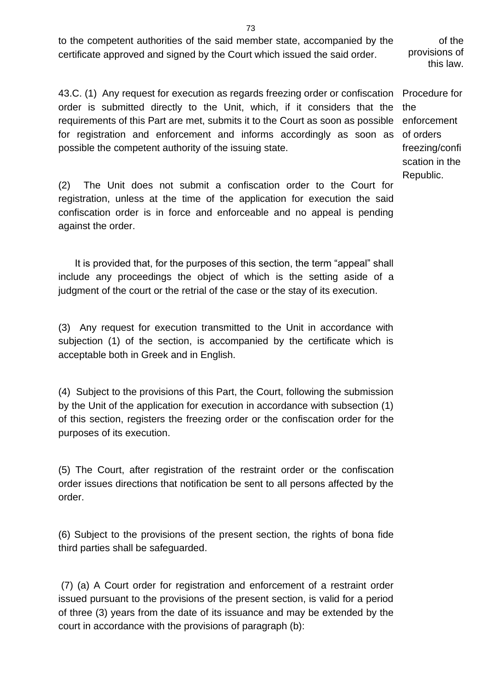to the competent authorities of the said member state, accompanied by the certificate approved and signed by the Court which issued the said order.

43.C. (1) Any request for execution as regards freezing order or confiscation Procedure for order is submitted directly to the Unit, which, if it considers that the requirements of this Part are met, submits it to the Court as soon as possible for registration and enforcement and informs accordingly as soon as possible the competent authority of the issuing state.

the enforcement of orders freezing/confi scation in the Republic.

of the

provisions of this law.

(2) The Unit does not submit a confiscation order to the Court for registration, unless at the time of the application for execution the said confiscation order is in force and enforceable and no appeal is pending against the order.

 It is provided that, for the purposes of this section, the term "appeal" shall include any proceedings the object of which is the setting aside of a judgment of the court or the retrial of the case or the stay of its execution.

(3) Any request for execution transmitted to the Unit in accordance with subjection (1) of the section, is accompanied by the certificate which is acceptable both in Greek and in English.

(4) Subject to the provisions of this Part, the Court, following the submission by the Unit of the application for execution in accordance with subsection (1) of this section, registers the freezing order or the confiscation order for the purposes of its execution.

(5) The Court, after registration of the restraint order or the confiscation order issues directions that notification be sent to all persons affected by the order.

(6) Subject to the provisions of the present section, the rights of bona fide third parties shall be safeguarded.

(7) (a) A Court order for registration and enforcement of a restraint order issued pursuant to the provisions of the present section, is valid for a period of three (3) years from the date of its issuance and may be extended by the court in accordance with the provisions of paragraph (b):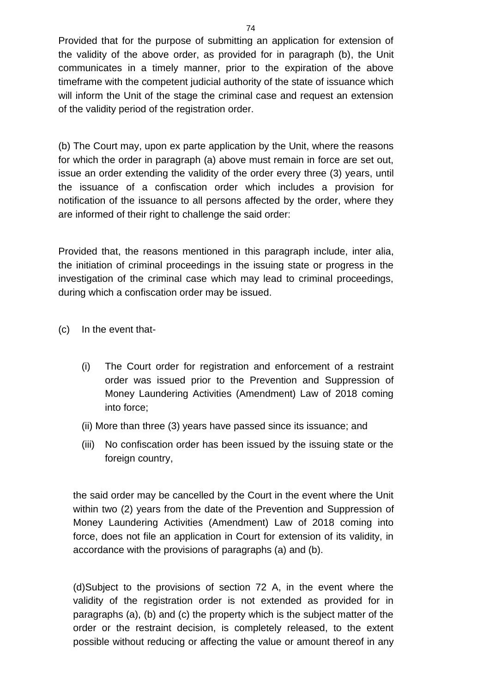Provided that for the purpose of submitting an application for extension of the validity of the above order, as provided for in paragraph (b), the Unit communicates in a timely manner, prior to the expiration of the above timeframe with the competent judicial authority of the state of issuance which will inform the Unit of the stage the criminal case and request an extension of the validity period of the registration order.

(b) The Court may, upon ex parte application by the Unit, where the reasons for which the order in paragraph (a) above must remain in force are set out, issue an order extending the validity of the order every three (3) years, until the issuance of a confiscation order which includes a provision for notification of the issuance to all persons affected by the order, where they are informed of their right to challenge the said order:

Provided that, the reasons mentioned in this paragraph include, inter alia, the initiation of criminal proceedings in the issuing state or progress in the investigation of the criminal case which may lead to criminal proceedings, during which a confiscation order may be issued.

- (c) In the event that-
	- (i) The Court order for registration and enforcement of a restraint order was issued prior to the Prevention and Suppression of Money Laundering Activities (Amendment) Law of 2018 coming into force;
	- (ii) More than three (3) years have passed since its issuance; and
	- (iii) No confiscation order has been issued by the issuing state or the foreign country,

the said order may be cancelled by the Court in the event where the Unit within two (2) years from the date of the Prevention and Suppression of Money Laundering Activities (Amendment) Law of 2018 coming into force, does not file an application in Court for extension of its validity, in accordance with the provisions of paragraphs (a) and (b).

(d)Subject to the provisions of section 72 A, in the event where the validity of the registration order is not extended as provided for in paragraphs (a), (b) and (c) the property which is the subject matter of the order or the restraint decision, is completely released, to the extent possible without reducing or affecting the value or amount thereof in any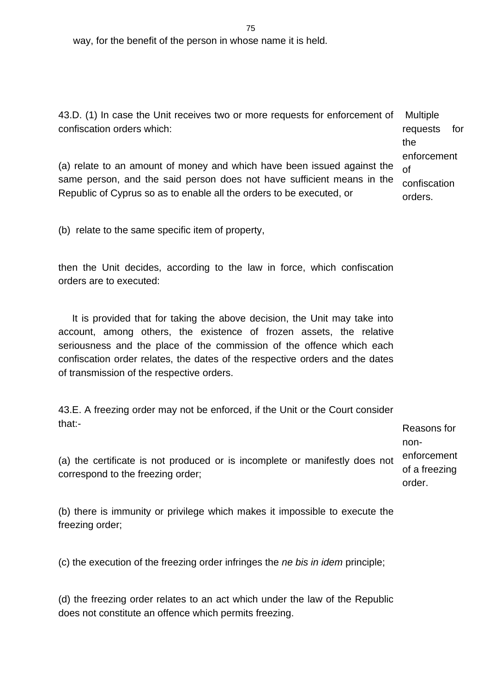way, for the benefit of the person in whose name it is held.

43.D. (1) In case the Unit receives two or more requests for enforcement of confiscation orders which: Multiple requests for

(a) relate to an amount of money and which have been issued against the same person, and the said person does not have sufficient means in the Republic of Cyprus so as to enable all the orders to be executed, or of confiscation orders.

(b) relate to the same specific item of property,

then the Unit decides, according to the law in force, which confiscation orders are to executed:

 It is provided that for taking the above decision, the Unit may take into account, among others, the existence of frozen assets, the relative seriousness and the place of the commission of the offence which each confiscation order relates, the dates of the respective orders and the dates of transmission of the respective orders.

43.E. A freezing order may not be enforced, if the Unit or the Court consider that:-

Reasons for nonenforcement of a freezing order.

the

enforcement

(a) the certificate is not produced or is incomplete or manifestly does not correspond to the freezing order;

(b) there is immunity or privilege which makes it impossible to execute the freezing order;

(c) the execution of the freezing order infringes the *ne bis in idem* principle;

(d) the freezing order relates to an act which under the law of the Republic does not constitute an offence which permits freezing.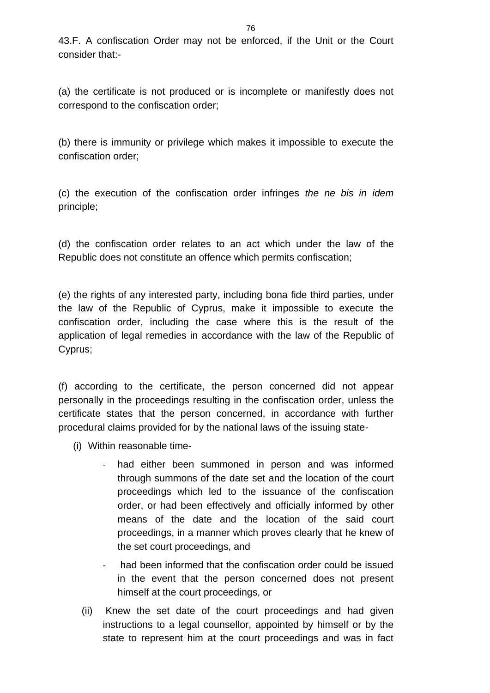(a) the certificate is not produced or is incomplete or manifestly does not correspond to the confiscation order;

(b) there is immunity or privilege which makes it impossible to execute the confiscation order;

(c) the execution of the confiscation order infringes *the ne bis in idem* principle;

(d) the confiscation order relates to an act which under the law of the Republic does not constitute an offence which permits confiscation;

(e) the rights of any interested party, including bona fide third parties, under the law of the Republic of Cyprus, make it impossible to execute the confiscation order, including the case where this is the result of the application of legal remedies in accordance with the law of the Republic of Cyprus;

(f) according to the certificate, the person concerned did not appear personally in the proceedings resulting in the confiscation order, unless the certificate states that the person concerned, in accordance with further procedural claims provided for by the national laws of the issuing state-

- (i) Within reasonable time
	- had either been summoned in person and was informed through summons of the date set and the location of the court proceedings which led to the issuance of the confiscation order, or had been effectively and officially informed by other means of the date and the location of the said court proceedings, in a manner which proves clearly that he knew of the set court proceedings, and
	- had been informed that the confiscation order could be issued in the event that the person concerned does not present himself at the court proceedings, or
	- (ii) Knew the set date of the court proceedings and had given instructions to a legal counsellor, appointed by himself or by the state to represent him at the court proceedings and was in fact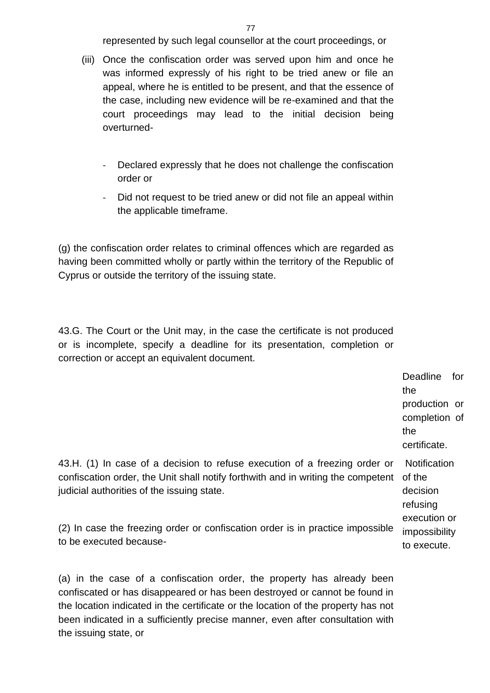represented by such legal counsellor at the court proceedings, or

- (iii) Once the confiscation order was served upon him and once he was informed expressly of his right to be tried anew or file an appeal, where he is entitled to be present, and that the essence of the case, including new evidence will be re-examined and that the court proceedings may lead to the initial decision being overturned-
	- Declared expressly that he does not challenge the confiscation order or
	- Did not request to be tried anew or did not file an appeal within the applicable timeframe.

(g) the confiscation order relates to criminal offences which are regarded as having been committed wholly or partly within the territory of the Republic of Cyprus or outside the territory of the issuing state.

43.G. The Court or the Unit may, in the case the certificate is not produced or is incomplete, specify a deadline for its presentation, completion or correction or accept an equivalent document.

> Deadline for the production or completion of the certificate.

43.H. (1) In case of a decision to refuse execution of a freezing order or confiscation order, the Unit shall notify forthwith and in writing the competent judicial authorities of the issuing state.

**Notification** of the decision refusing execution or impossibility to execute.

(2) In case the freezing order or confiscation order is in practice impossible to be executed because-

(a) in the case of a confiscation order, the property has already been confiscated or has disappeared or has been destroyed or cannot be found in the location indicated in the certificate or the location of the property has not been indicated in a sufficiently precise manner, even after consultation with the issuing state, or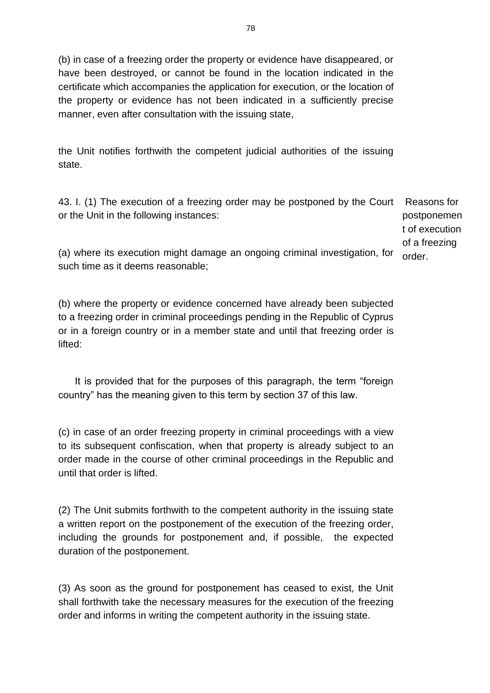(b) in case of a freezing order the property or evidence have disappeared, or have been destroyed, or cannot be found in the location indicated in the certificate which accompanies the application for execution, or the location of the property or evidence has not been indicated in a sufficiently precise manner, even after consultation with the issuing state,

the Unit notifies forthwith the competent judicial authorities of the issuing state.

43. I. (1) The execution of a freezing order may be postponed by the Court or the Unit in the following instances:

Reasons for postponemen t of execution of a freezing order.

(a) where its execution might damage an ongoing criminal investigation, for such time as it deems reasonable;

(b) where the property or evidence concerned have already been subjected to a freezing order in criminal proceedings pending in the Republic of Cyprus or in a foreign country or in a member state and until that freezing order is lifted:

 It is provided that for the purposes of this paragraph, the term "foreign country" has the meaning given to this term by section 37 of this law.

(c) in case of an order freezing property in criminal proceedings with a view to its subsequent confiscation, when that property is already subject to an order made in the course of other criminal proceedings in the Republic and until that order is lifted.

(2) The Unit submits forthwith to the competent authority in the issuing state a written report on the postponement of the execution of the freezing order, including the grounds for postponement and, if possible, the expected duration of the postponement.

(3) As soon as the ground for postponement has ceased to exist, the Unit shall forthwith take the necessary measures for the execution of the freezing order and informs in writing the competent authority in the issuing state.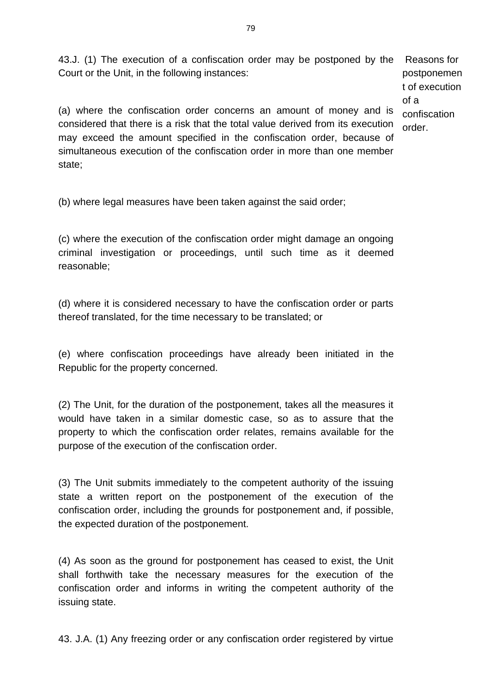43.J. (1) The execution of a confiscation order may be postponed by the Court or the Unit, in the following instances: Reasons for

postponemen t of execution of a confiscation order.

(a) where the confiscation order concerns an amount of money and is considered that there is a risk that the total value derived from its execution may exceed the amount specified in the confiscation order, because of simultaneous execution of the confiscation order in more than one member state;

(b) where legal measures have been taken against the said order;

(c) where the execution of the confiscation order might damage an ongoing criminal investigation or proceedings, until such time as it deemed reasonable;

(d) where it is considered necessary to have the confiscation order or parts thereof translated, for the time necessary to be translated; or

(e) where confiscation proceedings have already been initiated in the Republic for the property concerned.

(2) The Unit, for the duration of the postponement, takes all the measures it would have taken in a similar domestic case, so as to assure that the property to which the confiscation order relates, remains available for the purpose of the execution of the confiscation order.

(3) The Unit submits immediately to the competent authority of the issuing state a written report on the postponement of the execution of the confiscation order, including the grounds for postponement and, if possible, the expected duration of the postponement.

(4) As soon as the ground for postponement has ceased to exist, the Unit shall forthwith take the necessary measures for the execution of the confiscation order and informs in writing the competent authority of the issuing state.

43. J.A. (1) Any freezing order or any confiscation order registered by virtue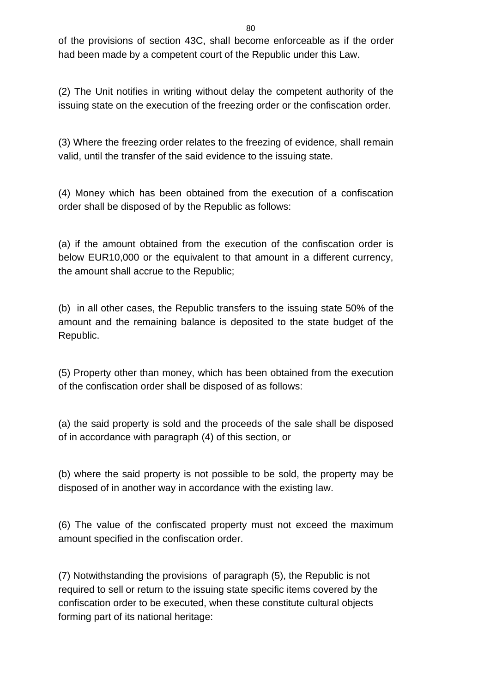of the provisions of section 43C, shall become enforceable as if the order had been made by a competent court of the Republic under this Law.

(2) The Unit notifies in writing without delay the competent authority of the issuing state on the execution of the freezing order or the confiscation order.

(3) Where the freezing order relates to the freezing of evidence, shall remain valid, until the transfer of the said evidence to the issuing state.

(4) Money which has been obtained from the execution of a confiscation order shall be disposed of by the Republic as follows:

(a) if the amount obtained from the execution of the confiscation order is below EUR10,000 or the equivalent to that amount in a different currency, the amount shall accrue to the Republic;

(b) in all other cases, the Republic transfers to the issuing state 50% of the amount and the remaining balance is deposited to the state budget of the Republic.

(5) Property other than money, which has been obtained from the execution of the confiscation order shall be disposed of as follows:

(a) the said property is sold and the proceeds of the sale shall be disposed of in accordance with paragraph (4) of this section, or

(b) where the said property is not possible to be sold, the property may be disposed of in another way in accordance with the existing law.

(6) The value of the confiscated property must not exceed the maximum amount specified in the confiscation order.

(7) Notwithstanding the provisions of paragraph (5), the Republic is not required to sell or return to the issuing state specific items covered by the confiscation order to be executed, when these constitute cultural objects forming part of its national heritage: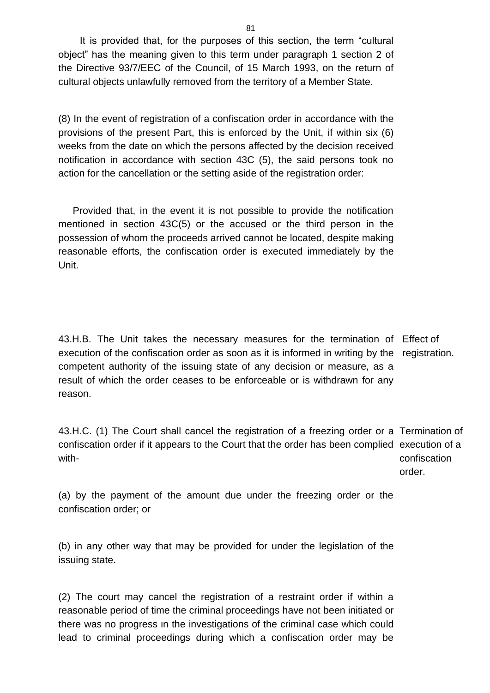It is provided that, for the purposes of this section, the term "cultural object" has the meaning given to this term under paragraph 1 section 2 of the Directive 93/7/EEC of the Council, of 15 March 1993, on the return of cultural objects unlawfully removed from the territory of a Member State.

(8) In the event of registration of a confiscation order in accordance with the provisions of the present Part, this is enforced by the Unit, if within six (6) weeks from the date on which the persons affected by the decision received notification in accordance with section 43C (5), the said persons took no action for the cancellation or the setting aside of the registration order:

Provided that, in the event it is not possible to provide the notification mentioned in section 43C(5) or the accused or the third person in the possession of whom the proceeds arrived cannot be located, despite making reasonable efforts, the confiscation order is executed immediately by the Unit.

43.H.B. The Unit takes the necessary measures for the termination of Effect of execution of the confiscation order as soon as it is informed in writing by the registration. competent authority of the issuing state of any decision or measure, as a result of which the order ceases to be enforceable or is withdrawn for any reason.

43.H.C. (1) The Court shall cancel the registration of a freezing order or a Termination of confiscation order if it appears to the Court that the order has been complied execution of a with confiscation

order.

(a) by the payment of the amount due under the freezing order or the confiscation order; or

(b) in any other way that may be provided for under the legislation of the issuing state.

(2) The court may cancel the registration of a restraint order if within a reasonable period of time the criminal proceedings have not been initiated or there was no progress ιn the investigations of the criminal case which could lead to criminal proceedings during which a confiscation order may be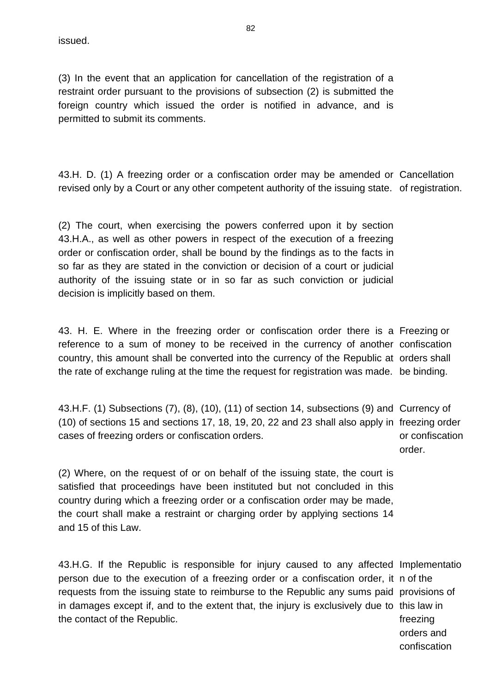issued.

(3) In the event that an application for cancellation of the registration of a restraint order pursuant to the provisions of subsection (2) is submitted the foreign country which issued the order is notified in advance, and is permitted to submit its comments.

43.H. D. (1) A freezing order or a confiscation order may be amended or Cancellation revised only by a Court or any other competent authority of the issuing state. of registration.

(2) The court, when exercising the powers conferred upon it by section 43.H.A., as well as other powers in respect of the execution of a freezing order or confiscation order, shall be bound by the findings as to the facts in so far as they are stated in the conviction or decision of a court or judicial authority of the issuing state or in so far as such conviction or judicial decision is implicitly based on them.

43. H. E. Where in the freezing order or confiscation order there is a Freezing or reference to a sum of money to be received in the currency of another confiscation country, this amount shall be converted into the currency of the Republic at orders shall the rate of exchange ruling at the time the request for registration was made. be binding.

43.H.F. (1) Subsections (7), (8), (10), (11) of section 14, subsections (9) and Currency of (10) of sections 15 and sections 17, 18, 19, 20, 22 and 23 shall also apply in freezing order cases of freezing orders or confiscation orders. or confiscation order.

(2) Where, on the request of or on behalf of the issuing state, the court is satisfied that proceedings have been instituted but not concluded in this country during which a freezing order or a confiscation order may be made, the court shall make a restraint or charging order by applying sections 14 and 15 of this Law.

43.H.G. If the Republic is responsible for injury caused to any affected Implementatio person due to the execution of a freezing order or a confiscation order, it n of the requests from the issuing state to reimburse to the Republic any sums paid provisions of in damages except if, and to the extent that, the injury is exclusively due to this law in the contact of the Republic. freezing orders and

confiscation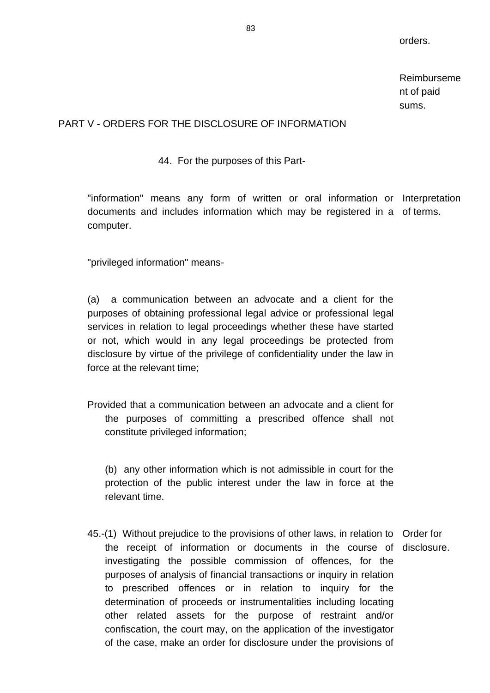orders.

Reimburseme nt of paid sums.

## PART V - ORDERS FOR THE DISCLOSURE OF INFORMATION

44. For the purposes of this Part-

"information" means any form of written or oral information or Interpretation documents and includes information which may be registered in a of terms. computer.

"privileged information" means-

(a) a communication between an advocate and a client for the purposes of obtaining professional legal advice or professional legal services in relation to legal proceedings whether these have started or not, which would in any legal proceedings be protected from disclosure by virtue of the privilege of confidentiality under the law in force at the relevant time;

Provided that a communication between an advocate and a client for the purposes of committing a prescribed offence shall not constitute privileged information;

(b) any other information which is not admissible in court for the protection of the public interest under the law in force at the relevant time.

45.-(1) Without prejudice to the provisions of other laws, in relation to Order for the receipt of information or documents in the course of disclosure.investigating the possible commission of offences, for the purposes of analysis of financial transactions or inquiry in relation to prescribed offences or in relation to inquiry for the determination of proceeds or instrumentalities including locating other related assets for the purpose of restraint and/or confiscation, the court may, on the application of the investigator of the case, make an order for disclosure under the provisions of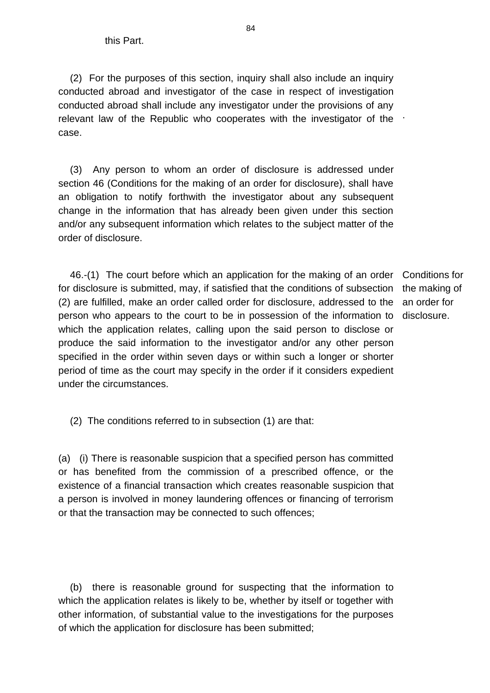(2) For the purposes of this section, inquiry shall also include an inquiry conducted abroad and investigator of the case in respect of investigation conducted abroad shall include any investigator under the provisions of any relevant law of the Republic who cooperates with the investigator of the  $\pm$ case.

(3) Any person to whom an order of disclosure is addressed under section 46 (Conditions for the making of an order for disclosure), shall have an obligation to notify forthwith the investigator about any subsequent change in the information that has already been given under this section and/or any subsequent information which relates to the subject matter of the order of disclosure.

46.-(1) The court before which an application for the making of an order Conditions for for disclosure is submitted, may, if satisfied that the conditions of subsection the making of (2) are fulfilled, make an order called order for disclosure, addressed to the person who appears to the court to be in possession of the information to which the application relates, calling upon the said person to disclose or produce the said information to the investigator and/or any other person specified in the order within seven days or within such a longer or shorter period of time as the court may specify in the order if it considers expedient under the circumstances.

an order for disclosure.

(2) The conditions referred to in subsection (1) are that:

(a) (i) There is reasonable suspicion that a specified person has committed or has benefited from the commission of a prescribed offence, or the existence of a financial transaction which creates reasonable suspicion that a person is involved in money laundering offences or financing of terrorism or that the transaction may be connected to such offences;

(b) there is reasonable ground for suspecting that the information to which the application relates is likely to be, whether by itself or together with other information, of substantial value to the investigations for the purposes of which the application for disclosure has been submitted;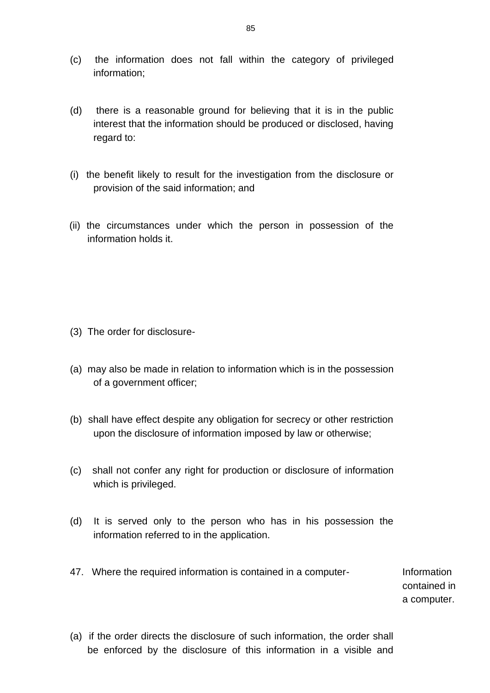- (c) the information does not fall within the category of privileged information;
- (d) there is a reasonable ground for believing that it is in the public interest that the information should be produced or disclosed, having regard to:
- (i) the benefit likely to result for the investigation from the disclosure or provision of the said information; and
- (ii) the circumstances under which the person in possession of the information holds it.

- (3) The order for disclosure-
- (a) may also be made in relation to information which is in the possession of a government officer;
- (b) shall have effect despite any obligation for secrecy or other restriction upon the disclosure of information imposed by law or otherwise;
- (c) shall not confer any right for production or disclosure of information which is privileged.
- (d) It is served only to the person who has in his possession the information referred to in the application.
- 47. Where the required information is contained in a computer-<br>Information

contained in a computer.

(a) if the order directs the disclosure of such information, the order shall be enforced by the disclosure of this information in a visible and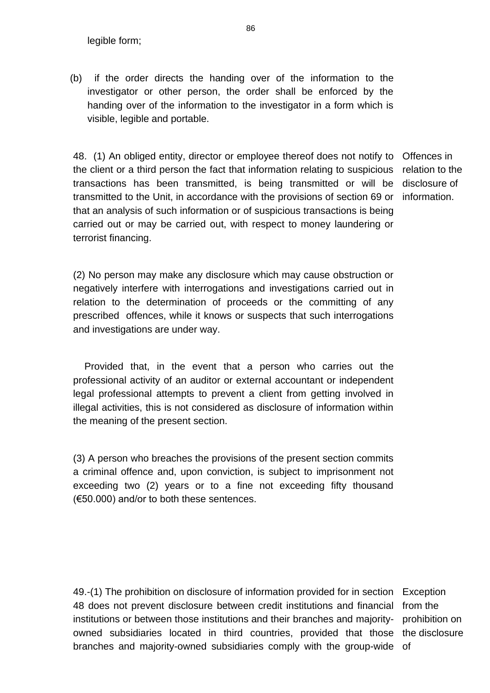legible form;

(b) if the order directs the handing over of the information to the investigator or other person, the order shall be enforced by the handing over of the information to the investigator in a form which is visible, legible and portable.

48. (1) An obliged entity, director or employee thereof does not notify to Offences in the client or a third person the fact that information relating to suspicious transactions has been transmitted, is being transmitted or will be transmitted to the Unit, in accordance with the provisions of section 69 or information. that an analysis of such information or of suspicious transactions is being carried out or may be carried out, with respect to money laundering or terrorist financing.

relation to the disclosure of

(2) No person may make any disclosure which may cause obstruction or negatively interfere with interrogations and investigations carried out in relation to the determination of proceeds or the committing of any prescribed offences, while it knows or suspects that such interrogations and investigations are under way.

Provided that, in the event that a person who carries out the professional activity of an auditor or external accountant or independent legal professional attempts to prevent a client from getting involved in illegal activities, this is not considered as disclosure of information within the meaning of the present section.

(3) A person who breaches the provisions of the present section commits a criminal offence and, upon conviction, is subject to imprisonment not exceeding two (2) years or to a fine not exceeding fifty thousand (€50.000) and/or to both these sentences.

49.-(1) The prohibition on disclosure of information provided for in section Exception 48 does not prevent disclosure between credit institutions and financial from the institutions or between thοse institutions and their branches and majorityowned subsidiaries located in third countries, provided that those the disclosure branches and majority-owned subsidiaries comply with the group-wide of

prohibition on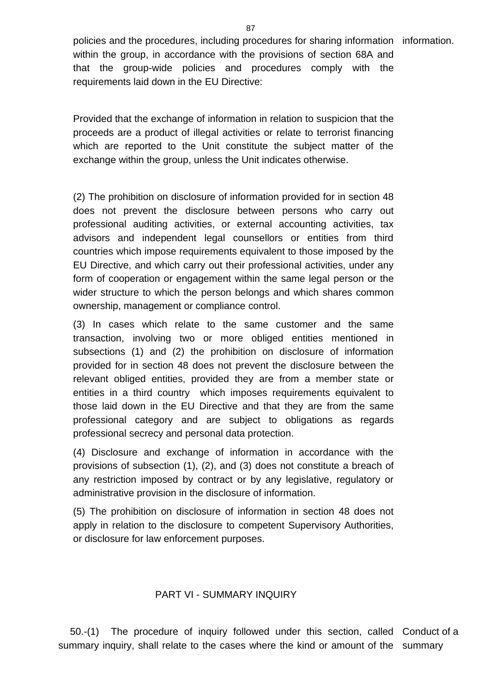policies and the procedures, including procedures for sharing information information. within the group, in accordance with the provisions of section 68A and that the group-wide policies and procedures comply with the requirements laid down in the EU Directive:

Provided that the exchange of information in relation to suspicion that the proceeds are a product of illegal activities or relate to terrorist financing which are reported to the Unit constitute the subject matter of the exchange within the group, unless the Unit indicates otherwise.

(2) The prohibition on disclosure of information provided for in section 48 does not prevent the disclosure between persons who carry out professional auditing activities, or external accounting activities, tax advisors and independent legal counsellors or entities from third countries which impose requirements equivalent to those imposed by the EU Directive, and which carry out their professional activities, under any form of cooperation or engagement within the same legal person or the wider structure to which the person belongs and which shares common ownership, management or compliance control.

(3) In cases which relate to the same customer and the same transaction, involving two or more obliged entities mentioned in subsections (1) and (2) the prohibition on disclosure of information provided for in section 48 does not prevent the disclosure between the relevant obliged entities, provided they are from a member state or entities in a third country which imposes requirements equivalent to those laid down in the EU Directive and that they are from the same professional category and are subject to obligations as regards professional secrecy and personal data protection.

(4) Disclosure and exchange of information in accordance with the provisions of subsection (1), (2), and (3) does not constitute a breach of any restriction imposed by contract or by any legislative, regulatory or administrative provision in the disclosure of information.

(5) The prohibition on disclosure of information in section 48 does not apply in relation to the disclosure to competent Supervisory Authorities, or disclosure for law enforcement purposes.

### PART VI - SUMMARY INQUIRY

50.-(1) The procedure of inquiry followed under this section, called Conduct of a summary inquiry, shall relate to the cases where the kind or amount of the summary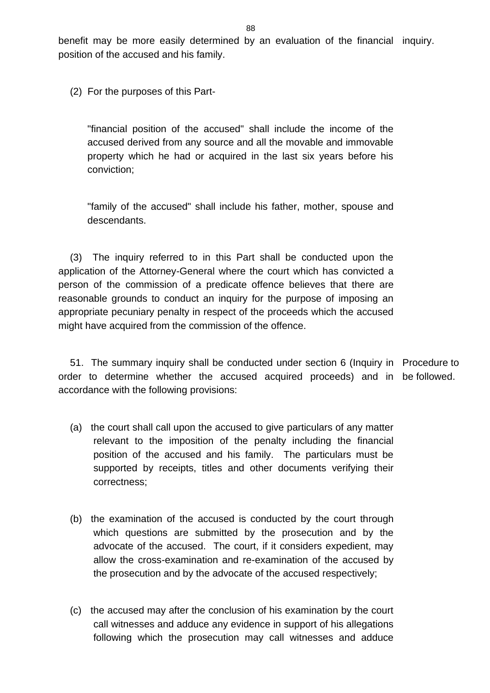benefit may be more easily determined by an evaluation of the financial inquiry. position of the accused and his family.

(2) For the purposes of this Part-

"financial position of the accused" shall include the income of the accused derived from any source and all the movable and immovable property which he had or acquired in the last six years before his conviction;

"family of the accused" shall include his father, mother, spouse and descendants.

(3) The inquiry referred to in this Part shall be conducted upon the application of the Attorney-General where the court which has convicted a person of the commission of a predicate offence believes that there are reasonable grounds to conduct an inquiry for the purpose of imposing an appropriate pecuniary penalty in respect of the proceeds which the accused might have acquired from the commission of the offence.

51. The summary inquiry shall be conducted under section 6 (Inquiry in Procedure to order to determine whether the accused acquired proceeds) and in be followed. accordance with the following provisions:

- (a) the court shall call upon the accused to give particulars of any matter relevant to the imposition of the penalty including the financial position of the accused and his family. The particulars must be supported by receipts, titles and other documents verifying their correctness;
- (b) the examination of the accused is conducted by the court through which questions are submitted by the prosecution and by the advocate of the accused. The court, if it considers expedient, may allow the cross-examination and re-examination of the accused by the prosecution and by the advocate of the accused respectively;
- (c) the accused may after the conclusion of his examination by the court call witnesses and adduce any evidence in support of his allegations following which the prosecution may call witnesses and adduce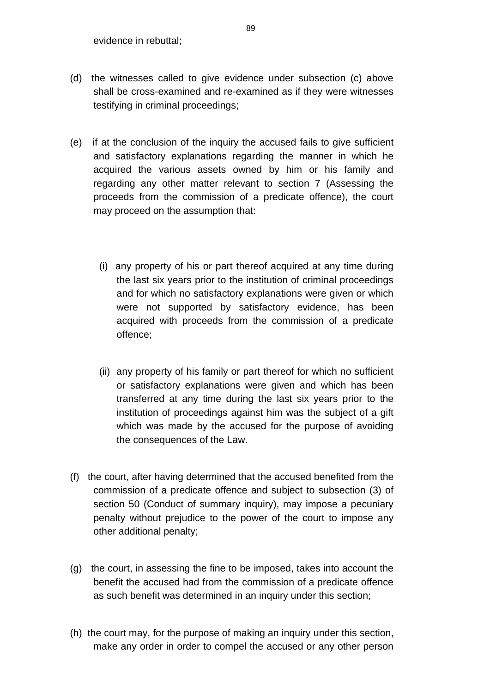- (d) the witnesses called to give evidence under subsection (c) above shall be cross-examined and re-examined as if they were witnesses testifying in criminal proceedings;
- (e) if at the conclusion of the inquiry the accused fails to give sufficient and satisfactory explanations regarding the manner in which he acquired the various assets owned by him or his family and regarding any other matter relevant to section 7 (Assessing the proceeds from the commission of a predicate offence), the court may proceed on the assumption that:
	- (i) any property of his or part thereof acquired at any time during the last six years prior to the institution of criminal proceedings and for which no satisfactory explanations were given or which were not supported by satisfactory evidence, has been acquired with proceeds from the commission of a predicate offence;
	- (ii) any property of his family or part thereof for which no sufficient or satisfactory explanations were given and which has been transferred at any time during the last six years prior to the institution of proceedings against him was the subject of a gift which was made by the accused for the purpose of avoiding the consequences of the Law.
- (f) the court, after having determined that the accused benefited from the commission of a predicate offence and subject to subsection (3) of section 50 (Conduct of summary inquiry), may impose a pecuniary penalty without prejudice to the power of the court to impose any other additional penalty;
- (g) the court, in assessing the fine to be imposed, takes into account the benefit the accused had from the commission of a predicate offence as such benefit was determined in an inquiry under this section;
- (h) the court may, for the purpose of making an inquiry under this section, make any order in order to compel the accused or any other person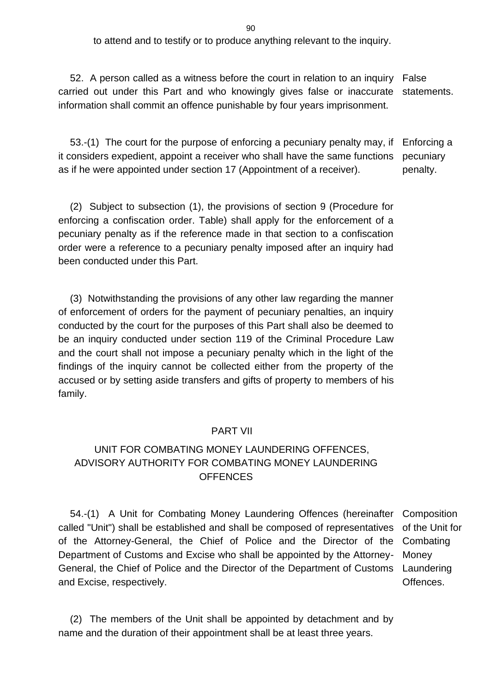to attend and to testify or to produce anything relevant to the inquiry.

52. A person called as a witness before the court in relation to an inquiry False carried out under this Part and who knowingly gives false or inaccurate statements. information shall commit an offence punishable by four years imprisonment.

53.-(1) The court for the purpose of enforcing a pecuniary penalty may, if it considers expedient, appoint a receiver who shall have the same functions as if he were appointed under section 17 (Appointment of a receiver). Enforcing a pecuniary penalty.

(2) Subject to subsection (1), the provisions of section 9 (Procedure for enforcing a confiscation order. Table) shall apply for the enforcement of a pecuniary penalty as if the reference made in that section to a confiscation order were a reference to a pecuniary penalty imposed after an inquiry had been conducted under this Part.

(3) Notwithstanding the provisions of any other law regarding the manner of enforcement of orders for the payment of pecuniary penalties, an inquiry conducted by the court for the purposes of this Part shall also be deemed to be an inquiry conducted under section 119 of the Criminal Procedure Law and the court shall not impose a pecuniary penalty which in the light of the findings of the inquiry cannot be collected either from the property of the accused or by setting aside transfers and gifts of property to members of his family.

#### PART VII

## UNIT FOR COMBATING MONEY LAUNDERING OFFENCES, ADVISORY AUTHORITY FOR COMBATING MONEY LAUNDERING **OFFENCES**

54.-(1) A Unit for Combating Money Laundering Offences (hereinafter called "Unit") shall be established and shall be composed of representatives of the Attorney-General, the Chief of Police and the Director of the Department of Customs and Excise who shall be appointed by the Attorney-General, the Chief of Police and the Director of the Department of Customs and Excise, respectively. Composition of the Unit for Combating Money Laundering Offences.

(2) The members of the Unit shall be appointed by detachment and by name and the duration of their appointment shall be at least three years.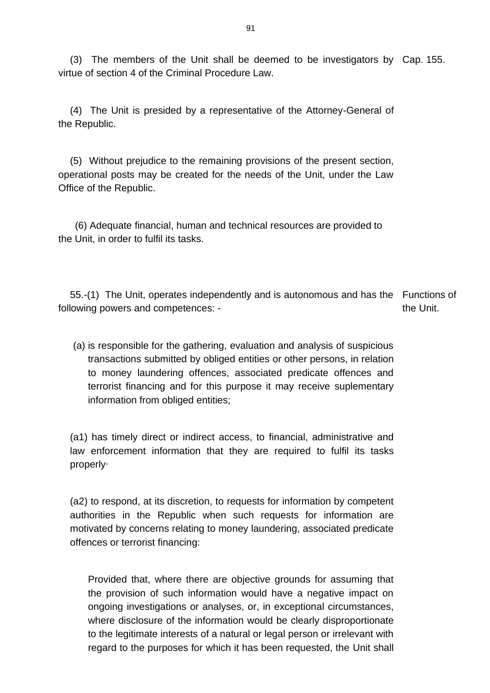(3) The members of the Unit shall be deemed to be investigators by Cap. 155. virtue of section 4 of the Criminal Procedure Law.

(4) The Unit is presided by a representative of the Attorney-General of the Republic.

(5) Without prejudice to the remaining provisions of the present section, operational posts may be created for the needs of the Unit, under the Law Office of the Republic.

 (6) Adequate financial, human and technical resources are provided to the Unit, in order to fulfil its tasks.

55.-(1) The Unit, operates independently and is autonomous and has the Functions of following powers and competences: the Unit.

(a) is responsible for the gathering, evaluation and analysis of suspicious transactions submitted by obliged entities or other persons, in relation to money laundering offences, associated predicate offences and terrorist financing and for this purpose it may receive suplementary information from obliged entities;

(a1) has timely direct or indirect access, to financial, administrative and law enforcement information that they are required to fulfil its tasks properly∙

(a2) to respond, at its discretion, to requests for information by competent authorities in the Republic when such requests for information are motivated by concerns relating to money laundering, associated predicate offences or terrorist financing:

Provided that, where there are objective grounds for assuming that the provision of such information would have a negative impact on ongoing investigations or analyses, or, in exceptional circumstances, where disclosure of the information would be clearly disproportionate to the legitimate interests of a natural or legal person or irrelevant with regard to the purposes for which it has been requested, the Unit shall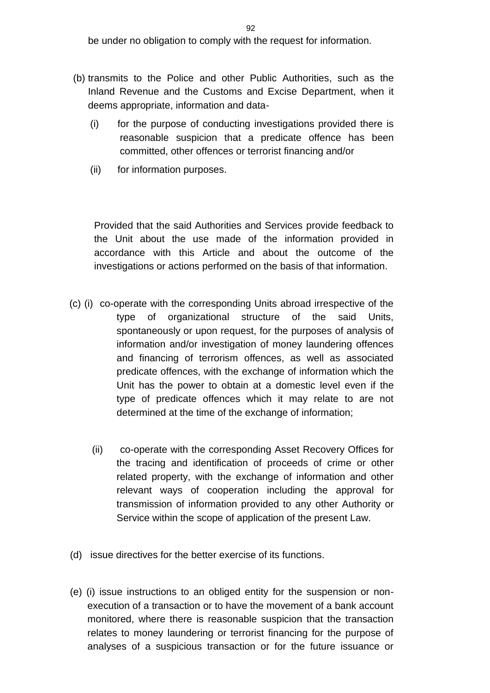be under no obligation to comply with the request for information.

- (b) transmits to the Police and other Public Authorities, such as the Inland Revenue and the Customs and Excise Department, when it deems appropriate, information and data-
	- (i) for the purpose of conducting investigations provided there is reasonable suspicion that a predicate offence has been committed, other offences or terrorist financing and/or
	- (ii) for information purposes.

Provided that the said Authorities and Services provide feedback to the Unit about the use made of the information provided in accordance with this Article and about the outcome of the investigations or actions performed on the basis of that information.

- (c) (i) co-operate with the corresponding Units abroad irrespective of the type of organizational structure of the said Units, spontaneously or upon request, for the purposes of analysis of information and/or investigation of money laundering offences and financing of terrorism offences, as well as associated predicate offences, with the exchange of information which the Unit has the power to obtain at a domestic level even if the type of predicate offences which it may relate to are not determined at the time of the exchange of information;
	- (ii) co-operate with the corresponding Asset Recovery Offices for the tracing and identification of proceeds of crime or other related property, with the exchange of information and other relevant ways of cooperation including the approval for transmission of information provided to any other Authority or Service within the scope of application of the present Law.
- (d) issue directives for the better exercise of its functions.
- (e) (i) issue instructions to an obliged entity for the suspension or nonexecution of a transaction or to have the movement of a bank account monitored, where there is reasonable suspicion that the transaction relates to money laundering or terrorist financing for the purpose of analyses of a suspicious transaction or for the future issuance or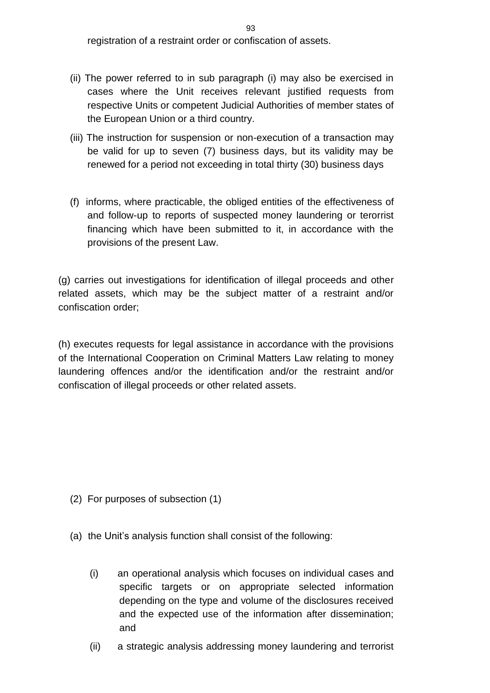- (ii) The power referred to in sub paragraph (i) may also be exercised in cases where the Unit receives relevant justified requests from respective Units or competent Judicial Authorities of member states of the European Union or a third country.
- (iii) The instruction for suspension or non-execution of a transaction may be valid for up to seven (7) business days, but its validity may be renewed for a period not exceeding in total thirty (30) business days
- (f) informs, where practicable, the obliged entities of the effectiveness of and follow-up to reports of suspected money laundering or terorrist financing which have been submitted to it, in accordance with the provisions of the present Law.

(g) carries out investigations for identification of illegal proceeds and other related assets, which may be the subject matter of a restraint and/or confiscation order;

(h) executes requests for legal assistance in accordance with the provisions of the International Cooperation on Criminal Matters Law relating to money laundering offences and/or the identification and/or the restraint and/or confiscation of illegal proceeds or other related assets.

- (2) For purposes of subsection (1)
- (a) the Unit's analysis function shall consist of the following:
	- (i) an operational analysis which focuses on individual cases and specific targets or on appropriate selected information depending on the type and volume of the disclosures received and the expected use of the information after dissemination; and
	- (ii) a strategic analysis addressing money laundering and terrorist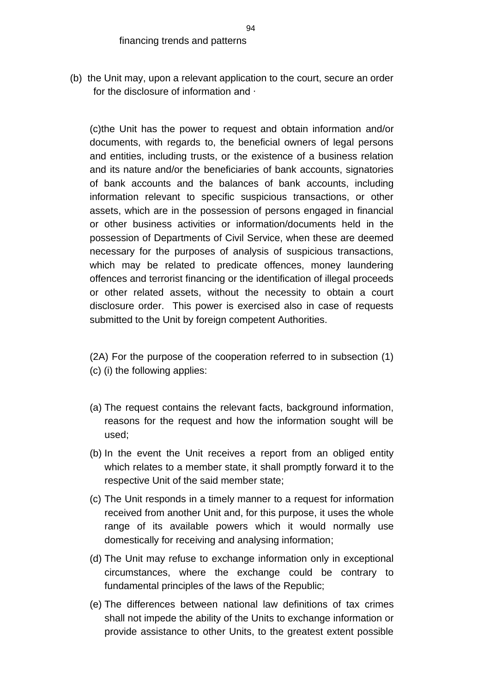(b) the Unit may, upon a relevant application to the court, secure an order for the disclosure of information and ∙

(c)the Unit has the power to request and obtain information and/or documents, with regards to, the beneficial owners of legal persons and entities, including trusts, or the existence of a business relation and its nature and/or the beneficiaries of bank accounts, signatories of bank accounts and the balances of bank accounts, including information relevant to specific suspicious transactions, or other assets, which are in the possession of persons engaged in financial or other business activities or information/documents held in the possession of Departments of Civil Service, when these are deemed necessary for the purposes of analysis of suspicious transactions, which may be related to predicate offences, money laundering offences and terrorist financing or the identification of illegal proceeds or other related assets, without the necessity to obtain a court disclosure order. This power is exercised also in case of requests submitted to the Unit by foreign competent Authorities.

- (2A) For the purpose of the cooperation referred to in subsection (1) (c) (i) the following applies:
- (a) The request contains the relevant facts, background information, reasons for the request and how the information sought will be used;
- (b) In the event the Unit receives a report from an obliged entity which relates to a member state, it shall promptly forward it to the respective Unit of the said member state;
- (c) The Unit responds in a timely manner to a request for information received from another Unit and, for this purpose, it uses the whole range of its available powers which it would normally use domestically for receiving and analysing information;
- (d) The Unit may refuse to exchange information only in exceptional circumstances, where the exchange could be contrary to fundamental principles of the laws of the Republic;
- (e) The differences between national law definitions of tax crimes shall not impede the ability of the Units to exchange information or provide assistance to other Units, to the greatest extent possible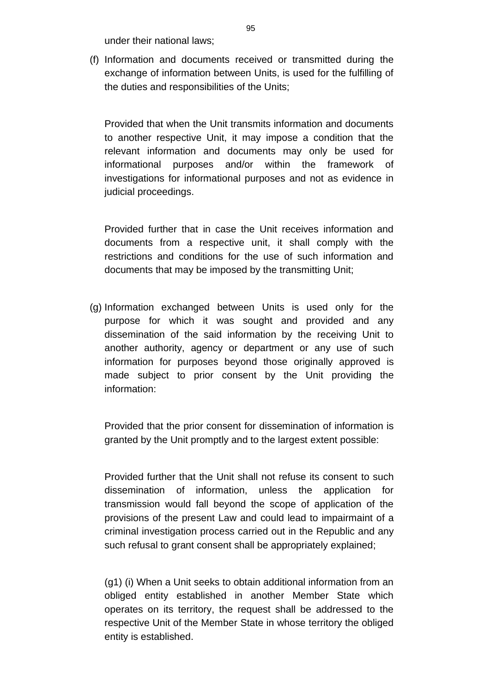under their national laws;

(f) Information and documents received or transmitted during the exchange of information between Units, is used for the fulfilling of the duties and responsibilities of the Units;

Provided that when the Unit transmits information and documents to another respective Unit, it may impose a condition that the relevant information and documents may only be used for informational purposes and/or within the framework of investigations for informational purposes and not as evidence in judicial proceedings.

Provided further that in case the Unit receives information and documents from a respective unit, it shall comply with the restrictions and conditions for the use of such information and documents that may be imposed by the transmitting Unit;

(g) Information exchanged between Units is used only for the purpose for which it was sought and provided and any dissemination of the said information by the receiving Unit to another authority, agency or department or any use of such information for purposes beyond those originally approved is made subject to prior consent by the Unit providing the information:

Provided that the prior consent for dissemination of information is granted by the Unit promptly and to the largest extent possible:

Provided further that the Unit shall not refuse its consent to such dissemination of information, unless the application for transmission would fall beyond the scope of application of the provisions of the present Law and could lead to impairmaint of a criminal investigation process carried out in the Republic and any such refusal to grant consent shall be appropriately explained;

(g1) (i) When a Unit seeks to obtain additional information from an obliged entity established in another Member State which operates on its territory, the request shall be addressed to the respective Unit of the Member State in whose territory the obliged entity is established.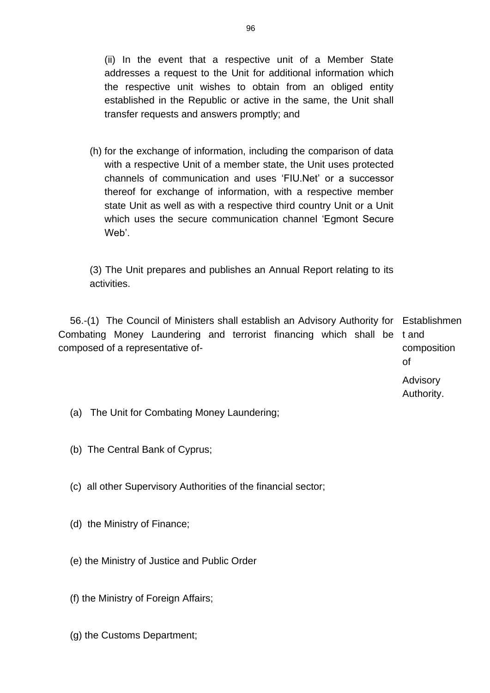(ii) In the event that a respective unit of a Member State addresses a request to the Unit for additional information which the respective unit wishes to obtain from an obliged entity established in the Republic or active in the same, the Unit shall transfer requests and answers promptly; and

(h) for the exchange of information, including the comparison of data with a respective Unit of a member state, the Unit uses protected channels of communication and uses 'FIU.Net' or a successor thereof for exchange of information, with a respective member state Unit as well as with a respective third country Unit or a Unit which uses the secure communication channel 'Egmont Secure Web'.

(3) The Unit prepares and publishes an Annual Report relating to its activities.

56.-(1) The Council of Ministers shall establish an Advisory Authority for Establishmen Combating Money Laundering and terrorist financing which shall be t and composed of a representative ofcomposition of

Advisory Authority.

- (a) The Unit for Combating Money Laundering;
- (b) The Central Bank of Cyprus;
- (c) all other Supervisory Authorities of the financial sector;
- (d) the Ministry of Finance;
- (e) the Ministry of Justice and Public Order
- (f) the Ministry of Foreign Affairs;
- (g) the Customs Department;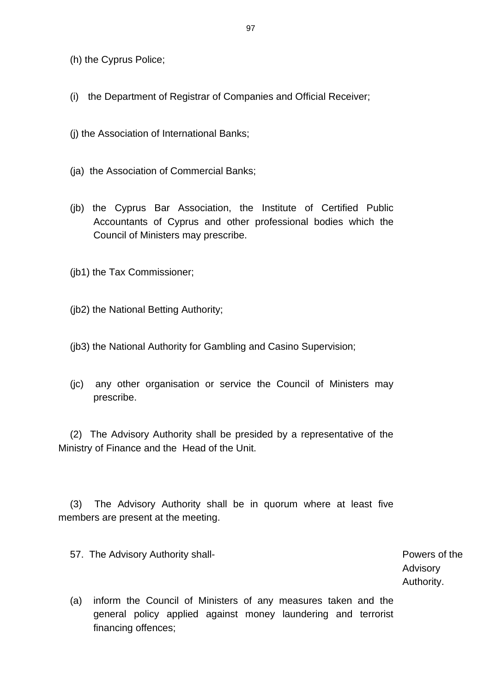(h) the Cyprus Police;

- (i) the Department of Registrar of Companies and Official Receiver;
- (j) the Association of International Banks;
- (ja) the Association of Commercial Banks;
- (jb) the Cyprus Bar Association, the Institute of Certified Public Accountants of Cyprus and other professional bodies which the Council of Ministers may prescribe.
- (jb1) the Tax Commissioner;

(jb2) the National Betting Authority;

- (jb3) the National Authority for Gambling and Casino Supervision;
- (jc) any other organisation or service the Council of Ministers may prescribe.

(2) The Advisory Authority shall be presided by a representative of the Ministry of Finance and the Head of the Unit.

(3) The Advisory Authority shall be in quorum where at least five members are present at the meeting.

57. The Advisory Authority shall-<br>
Powers of the

Advisory Authority.

(a) inform the Council of Ministers of any measures taken and the general policy applied against money laundering and terrorist financing offences;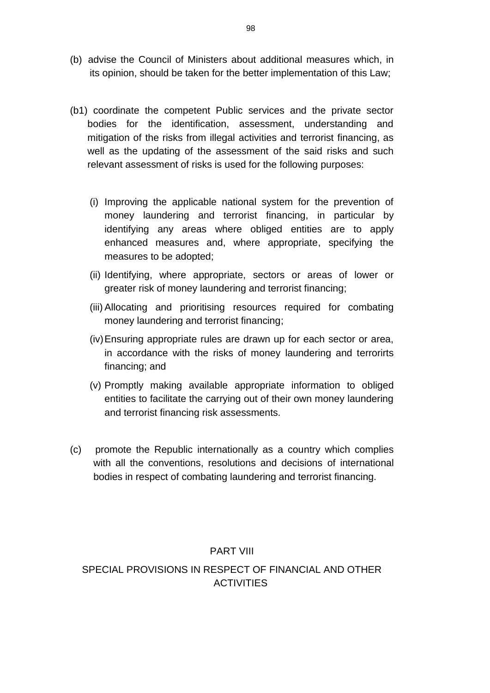- (b) advise the Council of Ministers about additional measures which, in its opinion, should be taken for the better implementation of this Law;
- (b1) coordinate the competent Public services and the private sector bodies for the identification, assessment, understanding and mitigation of the risks from illegal activities and terrorist financing, as well as the updating of the assessment of the said risks and such relevant assessment of risks is used for the following purposes:
	- (i) Improving the applicable national system for the prevention of money laundering and terrorist financing, in particular by identifying any areas where obliged entities are to apply enhanced measures and, where appropriate, specifying the measures to be adopted;
	- (ii) Identifying, where appropriate, sectors or areas of lower or greater risk of money laundering and terrorist financing;
	- (iii) Allocating and prioritising resources required for combating money laundering and terrorist financing;
	- (iv)Ensuring appropriate rules are drawn up for each sector or area, in accordance with the risks of money laundering and terrorirts financing; and
	- (v) Promptly making available appropriate information to obliged entities to facilitate the carrying out of their own money laundering and terrorist financing risk assessments.
- (c) promote the Republic internationally as a country which complies with all the conventions, resolutions and decisions of international bodies in respect of combating laundering and terrorist financing.

## PART VIII

# SPECIAL PROVISIONS IN RESPECT OF FINANCIAL AND OTHER **ACTIVITIES**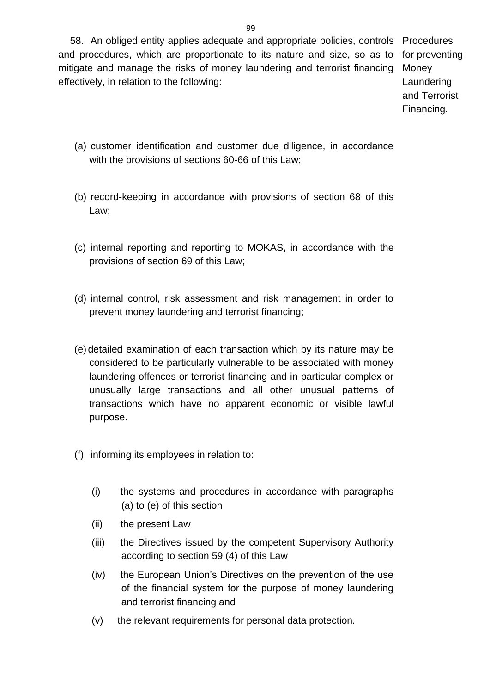58. An obliged entity applies adequate and appropriate policies, controls Procedures and procedures, which are proportionate to its nature and size, so as to for preventing mitigate and manage the risks of money laundering and terrorist financing effectively, in relation to the following:

Money Laundering and Terrorist Financing.

- (a) customer identification and customer due diligence, in accordance with the provisions of sections 60-66 of this Law;
- (b) record-keeping in accordance with provisions of section 68 of this Law;
- (c) internal reporting and reporting to MOKAS, in accordance with the provisions of section 69 of this Law;
- (d) internal control, risk assessment and risk management in order to prevent money laundering and terrorist financing;
- (e) detailed examination of each transaction which by its nature may be considered to be particularly vulnerable to be associated with money laundering offences or terrorist financing and in particular complex or unusually large transactions and all other unusual patterns of transactions which have no apparent economic or visible lawful purpose.
- (f) informing its employees in relation to:
	- (i) the systems and procedures in accordance with paragraphs (a) to (e) of this section
	- (ii) the present Law
	- (iii) the Directives issued by the competent Supervisory Authority according to section 59 (4) of this Law
	- (iv) the European Union's Directives on the prevention of the use of the financial system for the purpose of money laundering and terrorist financing and
	- (v) the relevant requirements for personal data protection.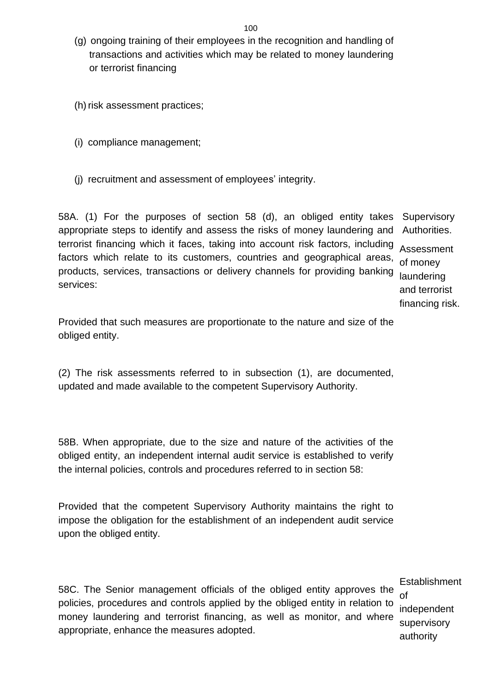- (g) ongoing training of their employees in the recognition and handling of transactions and activities which may be related to money laundering or terrorist financing
- (h) risk assessment practices;
- (i) compliance management;
- (j) recruitment and assessment of employees' integrity.

58A. (1) For the purposes of section 58 (d), an obliged entity takes appropriate steps to identify and assess the risks of money laundering and terrorist financing which it faces, taking into account risk factors, including factors which relate to its customers, countries and geographical areas, products, services, transactions or delivery channels for providing banking services: **Supervisory** Authorities. of money laundering

Assessment and terrorist financing risk.

Provided that such measures are proportionate to the nature and size of the obliged entity.

(2) The risk assessments referred to in subsection (1), are documented, updated and made available to the competent Supervisory Authority.

58B. When appropriate, due to the size and nature of the activities of the obliged entity, an independent internal audit service is established to verify the internal policies, controls and procedures referred to in section 58:

Provided that the competent Supervisory Authority maintains the right to impose the obligation for the establishment of an independent audit service upon the obliged entity.

58C. The Senior management officials of the obliged entity approves the policies, procedures and controls applied by the obliged entity in relation to money laundering and terrorist financing, as well as monitor, and where appropriate, enhance the measures adopted.

**Establishment** of independent supervisory authority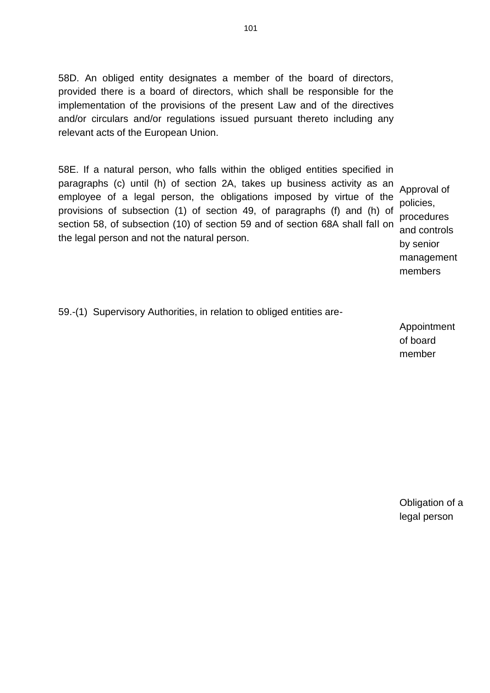58D. An obliged entity designates a member of the board of directors, provided there is a board of directors, which shall be responsible for the implementation of the provisions of the present Law and of the directives and/or circulars and/or regulations issued pursuant thereto including any relevant acts of the European Union.

58E. If a natural person, who falls within the obliged entities specified in paragraphs (c) until (h) of section 2A, takes up business activity as an employee of a legal person, the obligations imposed by virtue of the provisions of subsection (1) of section 49, of paragraphs (f) and (h) of section 58, of subsection (10) of section 59 and of section 68A shall fall on the legal person and not the natural person.

Approval of policies, procedures and controls by senior management members

59.-(1) Supervisory Authorities, in relation to obliged entities are-

Appointment of board member

Obligation of a legal person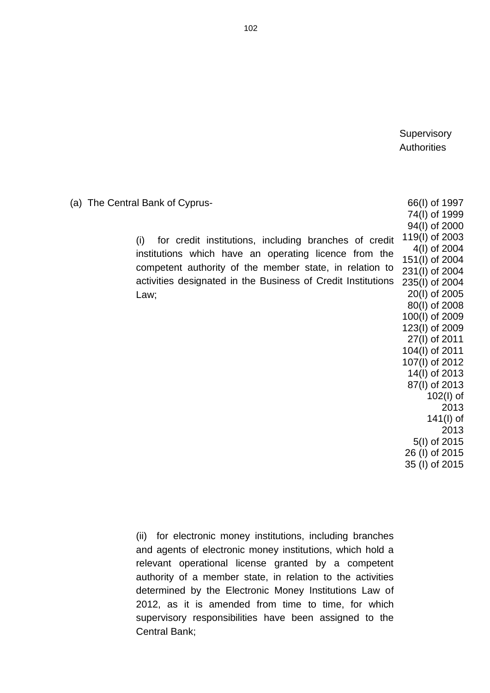**Supervisory Authorities** 

(a) The Central Bank of Cyprus- (i) for credit institutions, including branches of credit institutions which have an operating licence from the competent authority of the member state, in relation to activities designated in the Business of Credit Institutions Law; 66(Ι) of 1997 74(Ι) of 1999 94(l) of 2000 119(I) of 2003 4(Ι) of 2004 151(Ι) of 2004 231(I) of 2004 235(Ι) of 2004 20(Ι) of 2005 80(Ι) of 2008 100(Ι) of 2009 123(I) of 2009 27(I) of 2011 104(Ι) of 2011 107(Ι) of 2012 14(I) of 2013 87(l) of 2013 102(I) of 2013 141(I) of 2013 5(I) of 2015 26 (I) of 2015 35 (I) of 2015

> (ii) for electronic money institutions, including branches and agents of electronic money institutions, which hold a relevant operational license granted by a competent authority of a member state, in relation to the activities determined by the Electronic Money Institutions Law of 2012, as it is amended from time to time, for which supervisory responsibilities have been assigned to the Central Bank;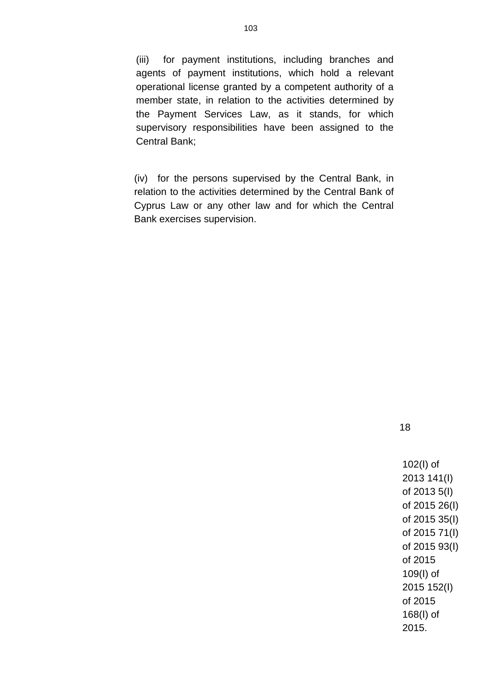(iii) for payment institutions, including branches and agents of payment institutions, which hold a relevant operational license granted by a competent authority of a member state, in relation to the activities determined by the Payment Services Law, as it stands, for which supervisory responsibilities have been assigned to the Central Bank;

(iv) for the persons supervised by the Central Bank, in relation to the activities determined by the Central Bank of Cyprus Law or any other law and for which the Central Bank exercises supervision.

18

102(Ι) of 2013 141(Ι) of 2013 5(Ι) of 2015 26(Ι) of 2015 35(Ι) of 2015 71(Ι) of 2015 93(Ι) of 2015 109(Ι) of 2015 152(Ι) of 2015 168(Ι) of 2015.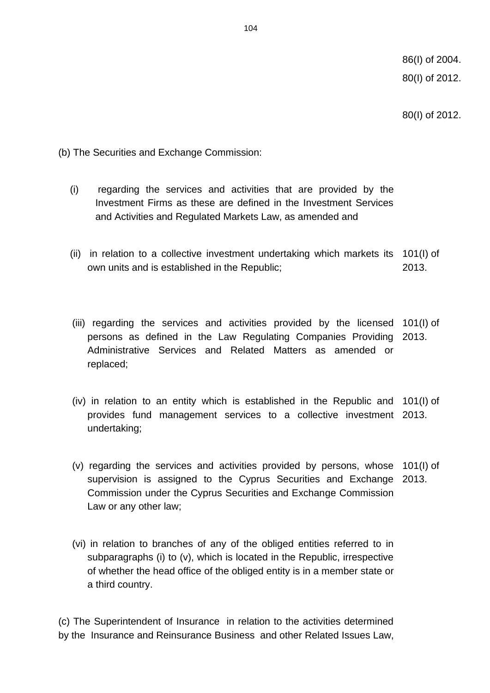80(I) of 2012.

(b) The Securities and Exchange Commission:

- (i) regarding the services and activities that are provided by the Investment Firms as these are defined in the Investment Services and Activities and Regulated Markets Law, as amended and
- (ii) in relation to a collective investment undertaking which markets its 101(I) of own units and is established in the Republic; 2013.
- (iii) regarding the services and activities provided by the licensed 101(I) of persons as defined in the Law Regulating Companies Providing 2013. Administrative Services and Related Matters as amended or replaced;
- (iv) in relation to an entity which is established in the Republic and 101(I) of provides fund management services to a collective investment 2013. undertaking;
- (v) regarding the services and activities provided by persons, whose 101(I) of supervision is assigned to the Cyprus Securities and Exchange 2013. Commission under the Cyprus Securities and Exchange Commission Law or any other law;
	- (vi) in relation to branches of any of the obliged entities referred to in subparagraphs (i) to (v), which is located in the Republic, irrespective of whether the head office of the obliged entity is in a member state or a third country.

(c) The Superintendent of Insurance in relation to the activities determined by the Insurance and Reinsurance Business and other Related Issues Law,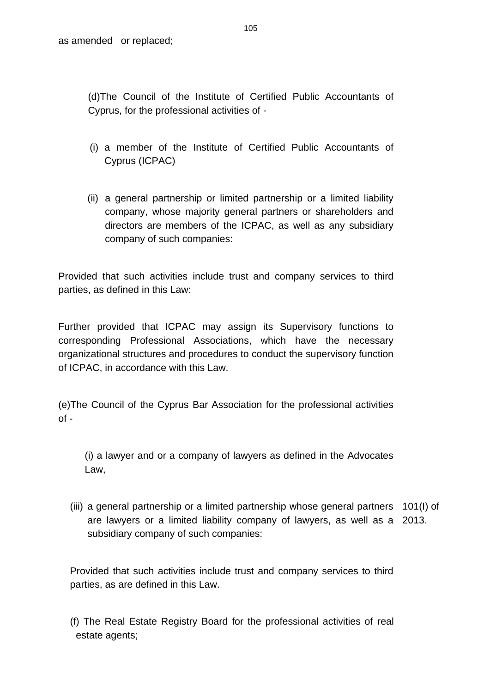(d)The Council of the Institute of Certified Public Accountants of Cyprus, for the professional activities of -

- (i) a member of the Institute of Certified Public Accountants of Cyprus (ICPAC)
- (ii) a general partnership or limited partnership or a limited liability company, whose majority general partners or shareholders and directors are members of the ICPAC, as well as any subsidiary company of such companies:

Provided that such activities include trust and company services to third parties, as defined in this Law:

Further provided that ICPAC may assign its Supervisory functions to corresponding Professional Associations, which have the necessary organizational structures and procedures to conduct the supervisory function of ICPAC, in accordance with this Law.

(e)The Council of the Cyprus Bar Association for the professional activities  $of -$ 

(i) a lawyer and or a company of lawyers as defined in the Advocates Law,

(iii) a general partnership or a limited partnership whose general partners 101(I) of are lawyers or a limited liability company of lawyers, as well as a 2013.subsidiary company of such companies:

Provided that such activities include trust and company services to third parties, as are defined in this Law.

(f) The Real Estate Registry Board for the professional activities of real estate agents;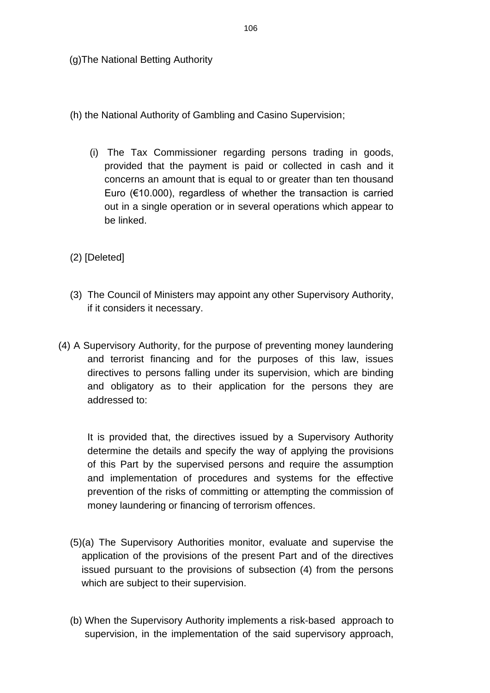(g)The National Betting Authority

- (h) the National Authority of Gambling and Casino Supervision;
	- (i) The Tax Commissioner regarding persons trading in goods, provided that the payment is paid or collected in cash and it concerns an amount that is equal to or greater than ten thousand Euro (€10.000), regardless of whether the transaction is carried out in a single operation or in several operations which appear to be linked.
- (2) [Deleted]
- (3) The Council of Ministers may appoint any other Supervisory Authority, if it considers it necessary.
- (4) A Supervisory Authority, for the purpose of preventing money laundering and terrorist financing and for the purposes of this law, issues directives to persons falling under its supervision, which are binding and obligatory as to their application for the persons they are addressed to:

It is provided that, the directives issued by a Supervisory Authority determine the details and specify the way of applying the provisions of this Part by the supervised persons and require the assumption and implementation of procedures and systems for the effective prevention of the risks of committing or attempting the commission of money laundering or financing of terrorism offences.

- (5)(a) The Supervisory Authorities monitor, evaluate and supervise the application of the provisions of the present Part and of the directives issued pursuant to the provisions of subsection (4) from the persons which are subject to their supervision.
- (b) When the Supervisory Authority implements a risk-based approach to supervision, in the implementation of the said supervisory approach,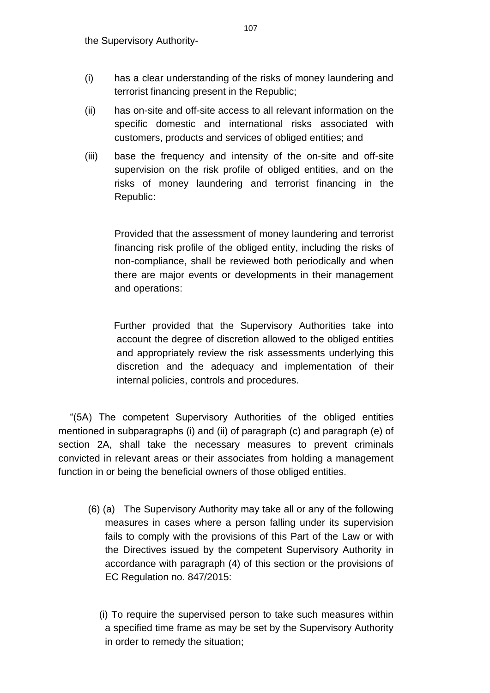- (i) has a clear understanding of the risks of money laundering and terrorist financing present in the Republic;
- (ii) has on-site and off-site access to all relevant information on the specific domestic and international risks associated with customers, products and services of obliged entities; and
- (iii) base the frequency and intensity of the on-site and off-site supervision on the risk profile of obliged entities, and on the risks of money laundering and terrorist financing in the Republic:

Provided that the assessment of money laundering and terrorist financing risk profile of the obliged entity, including the risks of non-compliance, shall be reviewed both periodically and when there are major events or developments in their management and operations:

 Further provided that the Supervisory Authorities take into account the degree of discretion allowed to the obliged entities and appropriately review the risk assessments underlying this discretion and the adequacy and implementation of their internal policies, controls and procedures.

"(5A) The competent Supervisory Authorities of the obliged entities mentioned in subparagraphs (i) and (ii) of paragraph (c) and paragraph (e) of section 2A, shall take the necessary measures to prevent criminals convicted in relevant areas or their associates from holding a management function in or being the beneficial owners of those obliged entities.

- (6) (a) The Supervisory Authority may take all or any of the following measures in cases where a person falling under its supervision fails to comply with the provisions of this Part of the Law or with the Directives issued by the competent Supervisory Authority in accordance with paragraph (4) of this section or the provisions of EC Regulation no. 847/2015:
	- (i) To require the supervised person to take such measures within a specified time frame as may be set by the Supervisory Authority in order to remedy the situation;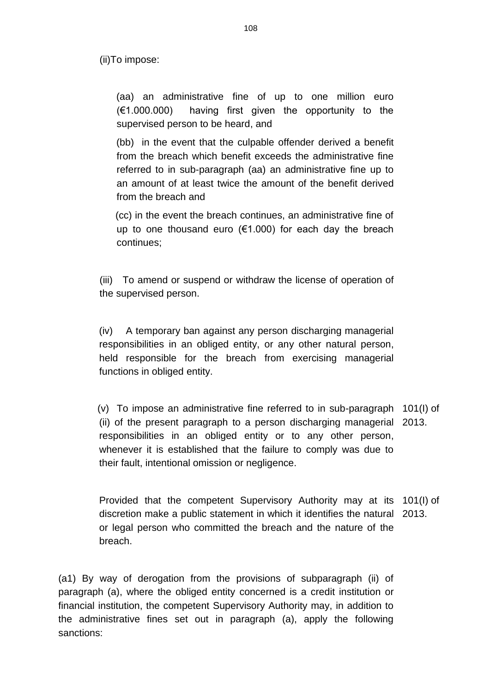(ii)To impose:

(aa) an administrative fine of up to one million euro (€1.000.000) having first given the opportunity to the supervised person to be heard, and

 (bb) in the event that the culpable offender derived a benefit from the breach which benefit exceeds the administrative fine referred to in sub-paragraph (aa) an administrative fine up to an amount of at least twice the amount of the benefit derived from the breach and

 (cc) in the event the breach continues, an administrative fine of up to one thousand euro ( $€1.000$ ) for each day the breach continues;

(iii) To amend or suspend or withdraw the license of operation of the supervised person.

(iv) A temporary ban against any person discharging managerial responsibilities in an obliged entity, or any other natural person, held responsible for the breach from exercising managerial functions in obliged entity.

 (v) To impose an administrative fine referred to in sub-paragraph 101(I) of (ii) of the present paragraph to a person discharging managerial 2013. responsibilities in an obliged entity or to any other person, whenever it is established that the failure to comply was due to their fault, intentional omission or negligence.

Provided that the competent Supervisory Authority may at its 101(I) of discretion make a public statement in which it identifies the natural 2013.or legal person who committed the breach and the nature of the breach.

(a1) By way of derogation from the provisions of subparagraph (ii) of paragraph (a), where the obliged entity concerned is a credit institution or financial institution, the competent Supervisory Authority may, in addition to the administrative fines set out in paragraph (a), apply the following sanctions: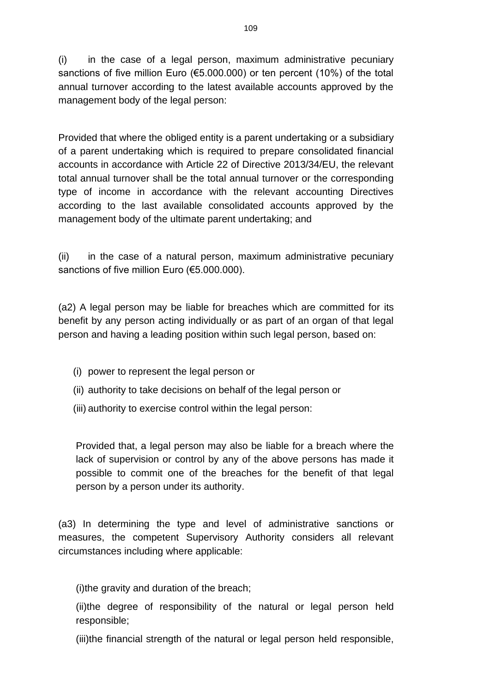(i) in the case of a legal person, maximum administrative pecuniary sanctions of five million Euro (€5.000.000) or ten percent (10%) of the total annual turnover according to the latest available accounts approved by the management body of the legal person:

Provided that where the obliged entity is a parent undertaking or a subsidiary of a parent undertaking which is required to prepare consolidated financial accounts in accordance with Article 22 of Directive 2013/34/EU, the relevant total annual turnover shall be the total annual turnover or the corresponding type of income in accordance with the relevant accounting Directives according to the last available consolidated accounts approved by the management body of the ultimate parent undertaking; and

(ii) in the case of a natural person, maximum administrative pecuniary sanctions of five million Euro (€5.000.000).

(a2) A legal person may be liable for breaches which are committed for its benefit by any person acting individually or as part of an organ of that legal person and having a leading position within such legal person, based on:

- (i) power to represent the legal person or
- (ii) authority to take decisions on behalf of the legal person or
- (iii) authority to exercise control within the legal person:

Provided that, a legal person may also be liable for a breach where the lack of supervision or control by any of the above persons has made it possible to commit one of the breaches for the benefit of that legal person by a person under its authority.

(a3) In determining the type and level of administrative sanctions or measures, the competent Supervisory Authority considers all relevant circumstances including where applicable:

(i)the gravity and duration of the breach;

(ii)the degree of responsibility of the natural or legal person held responsible;

(iii)the financial strength of the natural or legal person held responsible,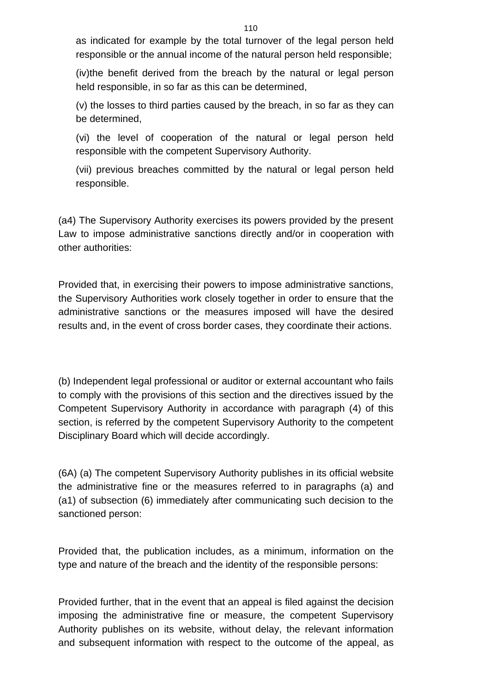as indicated for example by the total turnover of the legal person held responsible or the annual income of the natural person held responsible;

(iv)the benefit derived from the breach by the natural or legal person held responsible, in so far as this can be determined,

(v) the losses to third parties caused by the breach, in so far as they can be determined,

(vi) the level of cooperation of the natural or legal person held responsible with the competent Supervisory Authority.

(vii) previous breaches committed by the natural or legal person held responsible.

(a4) The Supervisory Authority exercises its powers provided by the present Law to impose administrative sanctions directly and/or in cooperation with other authorities:

Provided that, in exercising their powers to impose administrative sanctions, the Supervisory Authorities work closely together in order to ensure that the administrative sanctions or the measures imposed will have the desired results and, in the event of cross border cases, they coordinate their actions.

(b) Independent legal professional or auditor or external accountant who fails to comply with the provisions of this section and the directives issued by the Competent Supervisory Authority in accordance with paragraph (4) of this section, is referred by the competent Supervisory Authority to the competent Disciplinary Board which will decide accordingly.

(6A) (a) The competent Supervisory Authority publishes in its official website the administrative fine or the measures referred to in paragraphs (a) and (a1) of subsection (6) immediately after communicating such decision to the sanctioned person:

Provided that, the publication includes, as a minimum, information on the type and nature of the breach and the identity of the responsible persons:

Provided further, that in the event that an appeal is filed against the decision imposing the administrative fine or measure, the competent Supervisory Authority publishes on its website, without delay, the relevant information and subsequent information with respect to the outcome of the appeal, as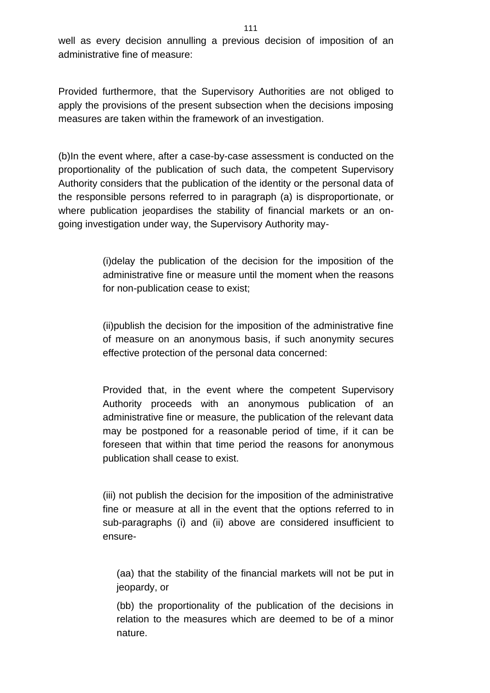well as every decision annulling a previous decision of imposition of an administrative fine of measure:

Provided furthermore, that the Supervisory Authorities are not obliged to apply the provisions of the present subsection when the decisions imposing measures are taken within the framework of an investigation.

(b)In the event where, after a case-by-case assessment is conducted on the proportionality of the publication of such data, the competent Supervisory Authority considers that the publication of the identity or the personal data of the responsible persons referred to in paragraph (a) is disproportionate, or where publication jeopardises the stability of financial markets or an ongoing investigation under way, the Supervisory Authority may-

> (i)delay the publication of the decision for the imposition of the administrative fine or measure until the moment when the reasons for non-publication cease to exist;

> (ii)publish the decision for the imposition of the administrative fine of measure on an anonymous basis, if such anonymity secures effective protection of the personal data concerned:

> Provided that, in the event where the competent Supervisory Authority proceeds with an anonymous publication of an administrative fine or measure, the publication of the relevant data may be postponed for a reasonable period of time, if it can be foreseen that within that time period the reasons for anonymous publication shall cease to exist.

> (iii) not publish the decision for the imposition of the administrative fine or measure at all in the event that the options referred to in sub-paragraphs (i) and (ii) above are considered insufficient to ensure-

(aa) that the stability of the financial markets will not be put in jeopardy, or

(bb) the proportionality of the publication of the decisions in relation to the measures which are deemed to be of a minor nature.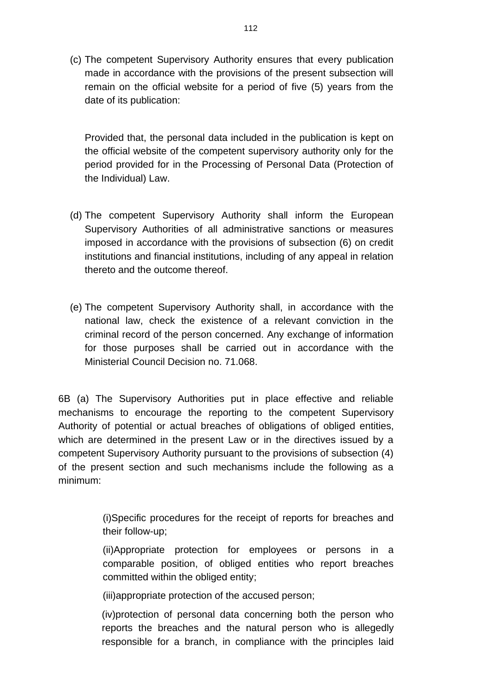(c) The competent Supervisory Authority ensures that every publication made in accordance with the provisions of the present subsection will remain on the official website for a period of five (5) years from the date of its publication:

Provided that, the personal data included in the publication is kept on the official website of the competent supervisory authority only for the period provided for in the Processing of Personal Data (Protection of the Individual) Law.

- (d) The competent Supervisory Authority shall inform the European Supervisory Authorities of all administrative sanctions or measures imposed in accordance with the provisions of subsection (6) on credit institutions and financial institutions, including of any appeal in relation thereto and the outcome thereof.
- (e) The competent Supervisory Authority shall, in accordance with the national law, check the existence of a relevant conviction in the criminal record of the person concerned. Any exchange of information for those purposes shall be carried out in accordance with the Ministerial Council Decision no. 71.068.

6B (a) The Supervisory Authorities put in place effective and reliable mechanisms to encourage the reporting to the competent Supervisory Authority of potential or actual breaches of obligations of obliged entities, which are determined in the present Law or in the directives issued by a competent Supervisory Authority pursuant to the provisions of subsection (4) of the present section and such mechanisms include the following as a minimum:

> (i)Specific procedures for the receipt of reports for breaches and their follow-up;

> (ii)Appropriate protection for employees or persons in a comparable position, of obliged entities who report breaches committed within the obliged entity;

(iii)appropriate protection of the accused person;

(iv)protection of personal data concerning both the person who reports the breaches and the natural person who is allegedly responsible for a branch, in compliance with the principles laid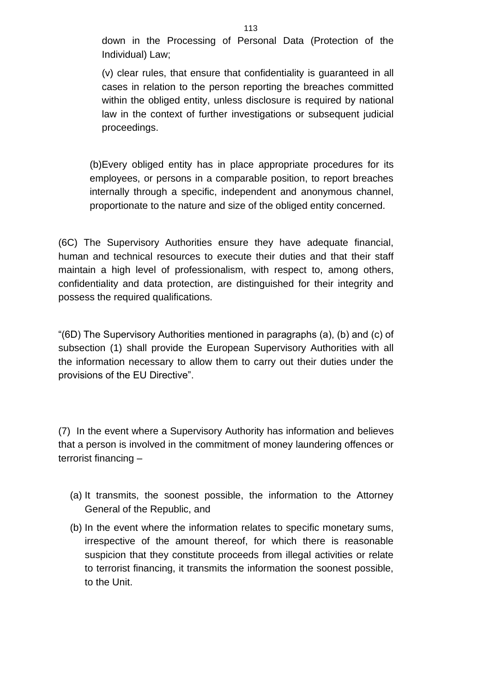down in the Processing of Personal Data (Protection of the Individual) Law;

(v) clear rules, that ensure that confidentiality is guaranteed in all cases in relation to the person reporting the breaches committed within the obliged entity, unless disclosure is required by national law in the context of further investigations or subsequent judicial proceedings.

(b)Every obliged entity has in place appropriate procedures for its employees, or persons in a comparable position, to report breaches internally through a specific, independent and anonymous channel, proportionate to the nature and size of the obliged entity concerned.

(6C) The Supervisory Authorities ensure they have adequate financial, human and technical resources to execute their duties and that their staff maintain a high level of professionalism, with respect to, among others, confidentiality and data protection, are distinguished for their integrity and possess the required qualifications.

"(6D) The Supervisory Authorities mentioned in paragraphs (a), (b) and (c) of subsection (1) shall provide the European Supervisory Authorities with all the information necessary to allow them to carry out their duties under the provisions of the EU Directive".

(7) In the event where a Supervisory Authority has information and believes that a person is involved in the commitment of money laundering offences or terrorist financing –

- (a) It transmits, the soonest possible, the information to the Attorney General of the Republic, and
- (b) In the event where the information relates to specific monetary sums, irrespective of the amount thereof, for which there is reasonable suspicion that they constitute proceeds from illegal activities or relate to terrorist financing, it transmits the information the soonest possible, to the Unit.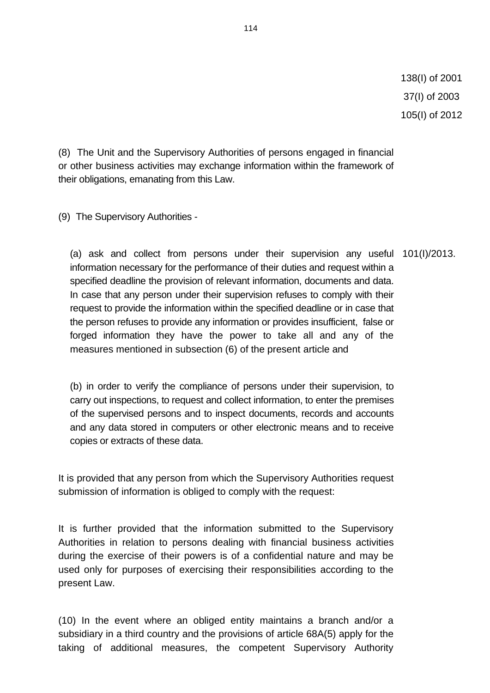(8) The Unit and the Supervisory Authorities of persons engaged in financial or other business activities may exchange information within the framework of their obligations, emanating from this Law.

(9) The Supervisory Authorities -

(a) ask and collect from persons under their supervision any useful 101(I)/2013. information necessary for the performance of their duties and request within a specified deadline the provision of relevant information, documents and data. In case that any person under their supervision refuses to comply with their request to provide the information within the specified deadline or in case that the person refuses to provide any information or provides insufficient, false or forged information they have the power to take all and any of the measures mentioned in subsection (6) of the present article and

(b) in order to verify the compliance of persons under their supervision, to carry out inspections, to request and collect information, to enter the premises of the supervised persons and to inspect documents, records and accounts and any data stored in computers or other electronic means and to receive copies or extracts of these data.

It is provided that any person from which the Supervisory Authorities request submission of information is obliged to comply with the request:

It is further provided that the information submitted to the Supervisory Authorities in relation to persons dealing with financial business activities during the exercise of their powers is of a confidential nature and may be used only for purposes of exercising their responsibilities according to the present Law.

(10) In the event where an obliged entity maintains a branch and/or a subsidiary in a third country and the provisions of article 68A(5) apply for the taking of additional measures, the competent Supervisory Authority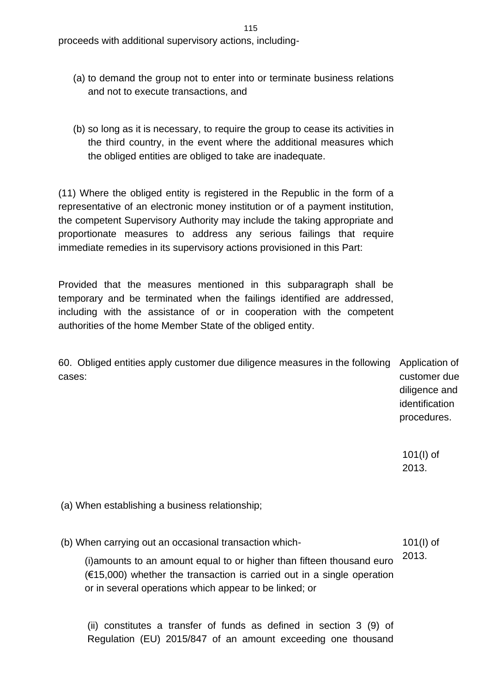proceeds with additional supervisory actions, including-

- (a) to demand the group not to enter into or terminate business relations and not to execute transactions, and
- (b) so long as it is necessary, to require the group to cease its activities in the third country, in the event where the additional measures which the obliged entities are obliged to take are inadequate.

(11) Where the obliged entity is registered in the Republic in the form of a representative of an electronic money institution or of a payment institution, the competent Supervisory Authority may include the taking appropriate and proportionate measures to address any serious failings that require immediate remedies in its supervisory actions provisioned in this Part:

Provided that the measures mentioned in this subparagraph shall be temporary and be terminated when the failings identified are addressed, including with the assistance of or in cooperation with the competent authorities of the home Member State of the obliged entity.

60. Obliged entities apply customer due diligence measures in the following Application of cases: customer due diligence and identification

> 101(I) of 2013.

procedures.

(a) When establishing a business relationship;

(b) When carrying out an occasional transaction which- 101(I) of

(i)amounts to an amount equal to or higher than fifteen thousand euro  $(\text{\textsterling}15,000)$  whether the transaction is carried out in a single operation or in several operations which appear to be linked; or 2013.

(ii) constitutes a transfer of funds as defined in section 3 (9) of Regulation (EU) 2015/847 of an amount exceeding one thousand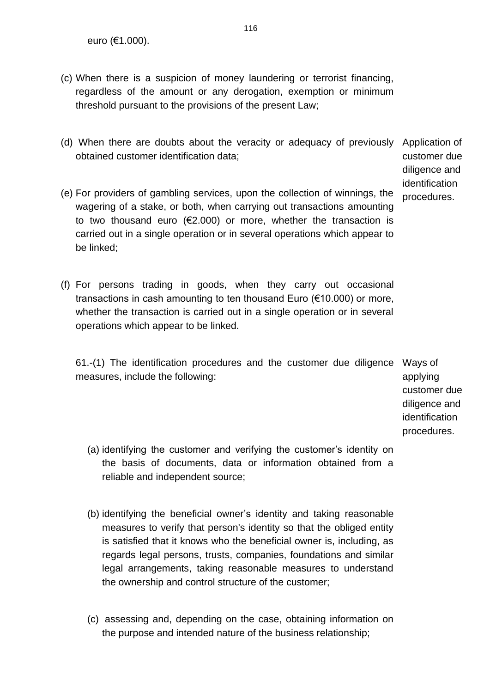euro (€1.000).

- (c) When there is a suspicion of money laundering or terrorist financing, regardless of the amount or any derogation, exemption or minimum threshold pursuant to the provisions of the present Law;
- (d) When there are doubts about the veracity or adequacy of previously Application of obtained customer identification data;

customer due diligence and identification procedures.

- (e) For providers of gambling services, upon the collection of winnings, the wagering of a stake, or both, when carrying out transactions amounting to two thousand euro  $(€2.000)$  or more, whether the transaction is carried out in a single operation or in several operations which appear to be linked;
- (f) For persons trading in goods, when they carry out occasional transactions in cash amounting to ten thousand Euro (€10.000) or more, whether the transaction is carried out in a single operation or in several operations which appear to be linked.

61.-(1) The identification procedures and the customer due diligence Ways of measures, include the following:

applying customer due diligence and identification procedures.

- (a) identifying the customer and verifying the customer's identity on the basis of documents, data or information obtained from a reliable and independent source;
- (b) identifying the beneficial owner's identity and taking reasonable measures to verify that person's identity so that the obliged entity is satisfied that it knows who the beneficial owner is, including, as regards legal persons, trusts, companies, foundations and similar legal arrangements, taking reasonable measures to understand the ownership and control structure of the customer;
- (c) assessing and, depending on the case, obtaining information on the purpose and intended nature of the business relationship;

116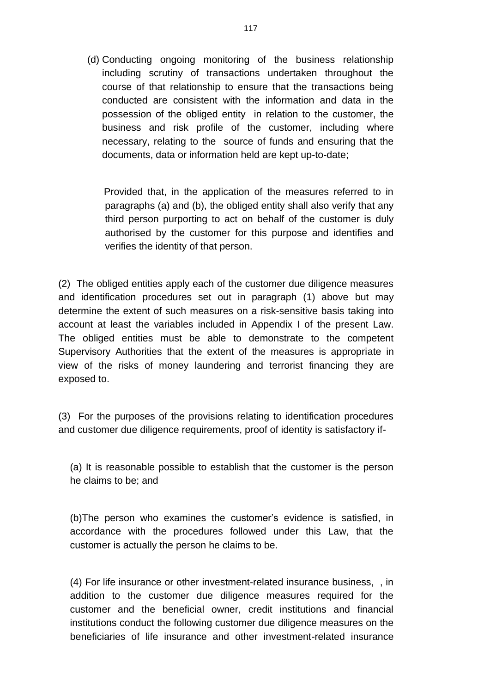(d) Conducting ongoing monitoring of the business relationship including scrutiny of transactions undertaken throughout the course of that relationship to ensure that the transactions being conducted are consistent with the information and data in the possession of the obliged entity in relation to the customer, the business and risk profile of the customer, including where necessary, relating to the source of funds and ensuring that the documents, data or information held are kept up-to-date;

 Provided that, in the application of the measures referred to in paragraphs (a) and (b), the obliged entity shall also verify that any third person purporting to act on behalf of the customer is duly authorised by the customer for this purpose and identifies and verifies the identity of that person.

(2) The obliged entities apply each of the customer due diligence measures and identification procedures set out in paragraph (1) above but may determine the extent of such measures on a risk-sensitive basis taking into account at least the variables included in Appendix I of the present Law. The obliged entities must be able to demonstrate to the competent Supervisory Authorities that the extent of the measures is appropriate in view of the risks of money laundering and terrorist financing they are exposed to.

(3) For the purposes of the provisions relating to identification procedures and customer due diligence requirements, proof of identity is satisfactory if-

(a) It is reasonable possible to establish that the customer is the person he claims to be; and

(b)The person who examines the customer's evidence is satisfied, in accordance with the procedures followed under this Law, that the customer is actually the person he claims to be.

(4) For life insurance or other investment-related insurance business, , in addition to the customer due diligence measures required for the customer and the beneficial owner, credit institutions and financial institutions conduct the following customer due diligence measures on the beneficiaries of life insurance and other investment-related insurance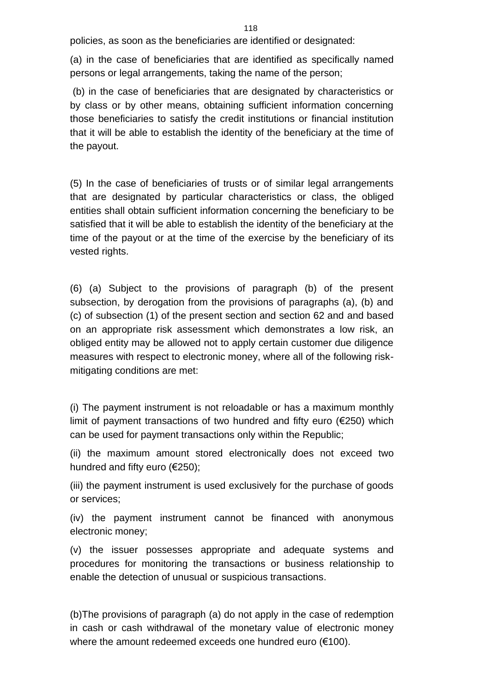policies, as soon as the beneficiaries are identified or designated:

(a) in the case of beneficiaries that are identified as specifically named persons or legal arrangements, taking the name of the person;

(b) in the case of beneficiaries that are designated by characteristics or by class or by other means, obtaining sufficient information concerning those beneficiaries to satisfy the credit institutions or financial institution that it will be able to establish the identity of the beneficiary at the time of the payout.

(5) In the case of beneficiaries of trusts or of similar legal arrangements that are designated by particular characteristics or class, the obliged entities shall obtain sufficient information concerning the beneficiary to be satisfied that it will be able to establish the identity of the beneficiary at the time of the payout or at the time of the exercise by the beneficiary of its vested rights.

(6) (a) Subject to the provisions of paragraph (b) of the present subsection, by derogation from the provisions of paragraphs (a), (b) and (c) of subsection (1) of the present section and section 62 and and based on an appropriate risk assessment which demonstrates a low risk, an obliged entity may be allowed not to apply certain customer due diligence measures with respect to electronic money, where all of the following riskmitigating conditions are met:

(i) The payment instrument is not reloadable or has a maximum monthly limit of payment transactions of two hundred and fifty euro (€250) which can be used for payment transactions only within the Republic;

(ii) the maximum amount stored electronically does not exceed two hundred and fifty euro (€250);

(iii) the payment instrument is used exclusively for the purchase of goods or services;

(iv) the payment instrument cannot be financed with anonymous electronic money;

(v) the issuer possesses appropriate and adequate systems and procedures for monitoring the transactions or business relationship to enable the detection of unusual or suspicious transactions.

(b)The provisions of paragraph (a) do not apply in the case of redemption in cash or cash withdrawal of the monetary value of electronic money where the amount redeemed exceeds one hundred euro (€100).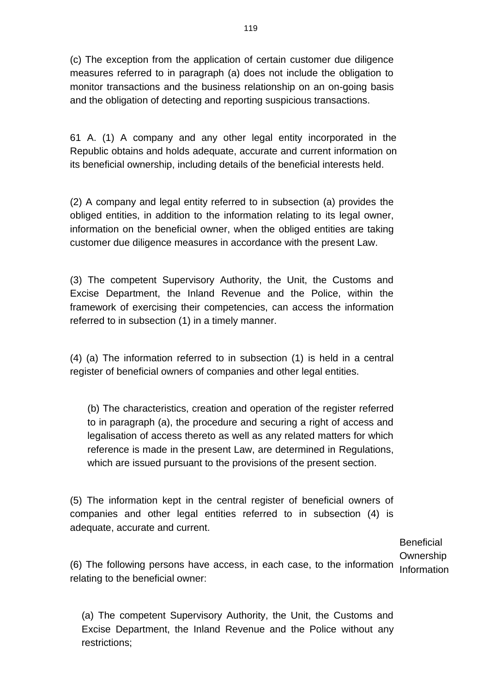(c) The exception from the application of certain customer due diligence measures referred to in paragraph (a) does not include the obligation to monitor transactions and the business relationship on an on-going basis and the obligation of detecting and reporting suspicious transactions.

61 A. (1) A company and any other legal entity incorporated in the Republic obtains and holds adequate, accurate and current information on its beneficial ownership, including details of the beneficial interests held.

(2) A company and legal entity referred to in subsection (a) provides the obliged entities, in addition to the information relating to its legal owner, information on the beneficial owner, when the obliged entities are taking customer due diligence measures in accordance with the present Law.

(3) The competent Supervisory Authority, the Unit, the Customs and Excise Department, the Inland Revenue and the Police, within the framework of exercising their competencies, can access the information referred to in subsection (1) in a timely manner.

(4) (a) The information referred to in subsection (1) is held in a central register of beneficial owners of companies and other legal entities.

(b) The characteristics, creation and operation of the register referred to in paragraph (a), the procedure and securing a right of access and legalisation of access thereto as well as any related matters for which reference is made in the present Law, are determined in Regulations, which are issued pursuant to the provisions of the present section.

(5) The information kept in the central register of beneficial owners of companies and other legal entities referred to in subsection (4) is adequate, accurate and current.

> **Beneficial Ownership**

(6) The following persons have access, in each case, to the information Informationrelating to the beneficial owner:

(a) The competent Supervisory Authority, the Unit, the Customs and Excise Department, the Inland Revenue and the Police without any restrictions;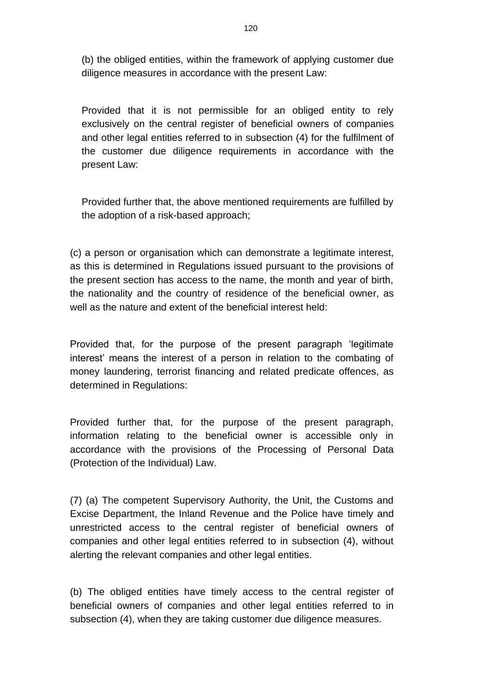(b) the obliged entities, within the framework of applying customer due diligence measures in accordance with the present Law:

Provided that it is not permissible for an obliged entity to rely exclusively on the central register of beneficial owners of companies and other legal entities referred to in subsection (4) for the fulfilment of the customer due diligence requirements in accordance with the present Law:

Provided further that, the above mentioned requirements are fulfilled by the adoption of a risk-based approach;

(c) a person or organisation which can demonstrate a legitimate interest, as this is determined in Regulations issued pursuant to the provisions of the present section has access to the name, the month and year of birth, the nationality and the country of residence of the beneficial owner, as well as the nature and extent of the beneficial interest held:

Provided that, for the purpose of the present paragraph 'legitimate interest' means the interest of a person in relation to the combating of money laundering, terrorist financing and related predicate offences, as determined in Regulations:

Provided further that, for the purpose of the present paragraph, information relating to the beneficial owner is accessible only in accordance with the provisions of the Processing of Personal Data (Protection of the Individual) Law.

(7) (a) The competent Supervisory Authority, the Unit, the Customs and Excise Department, the Inland Revenue and the Police have timely and unrestricted access to the central register of beneficial owners of companies and other legal entities referred to in subsection (4), without alerting the relevant companies and other legal entities.

(b) The obliged entities have timely access to the central register of beneficial owners of companies and other legal entities referred to in subsection (4), when they are taking customer due diligence measures.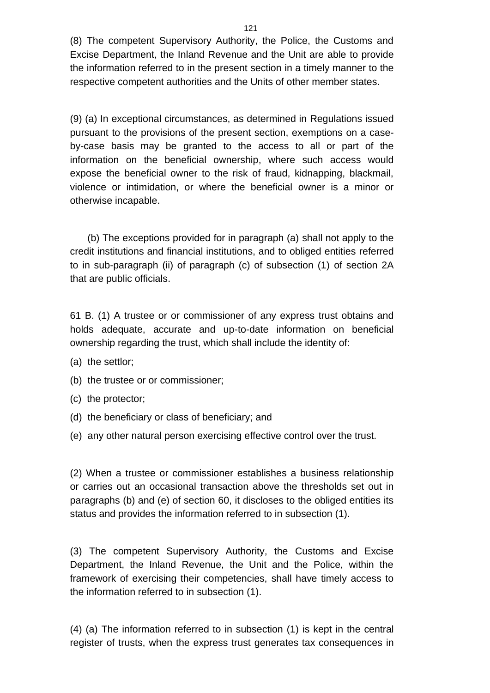(8) The competent Supervisory Authority, the Police, the Customs and Excise Department, the Inland Revenue and the Unit are able to provide the information referred to in the present section in a timely manner to the respective competent authorities and the Units of other member states.

(9) (a) In exceptional circumstances, as determined in Regulations issued pursuant to the provisions of the present section, exemptions on a caseby-case basis may be granted to the access to all or part of the information on the beneficial ownership, where such access would expose the beneficial owner to the risk of fraud, kidnapping, blackmail, violence or intimidation, or where the beneficial owner is a minor or otherwise incapable.

(b) The exceptions provided for in paragraph (a) shall not apply to the credit institutions and financial institutions, and to obliged entities referred to in sub-paragraph (ii) of paragraph (c) of subsection (1) of section 2A that are public officials.

61 B. (1) A trustee or or commissioner of any express trust obtains and holds adequate, accurate and up-to-date information on beneficial ownership regarding the trust, which shall include the identity of:

- (a) the settlor;
- (b) the trustee or or commissioner;
- (c) the protector;
- (d) the beneficiary or class of beneficiary; and
- (e) any other natural person exercising effective control over the trust.

(2) When a trustee or commissioner establishes a business relationship or carries out an occasional transaction above the thresholds set out in paragraphs (b) and (e) of section 60, it discloses to the obliged entities its status and provides the information referred to in subsection (1).

(3) The competent Supervisory Authority, the Customs and Excise Department, the Inland Revenue, the Unit and the Police, within the framework of exercising their competencies, shall have timely access to the information referred to in subsection (1).

(4) (a) The information referred to in subsection (1) is kept in the central register of trusts, when the express trust generates tax consequences in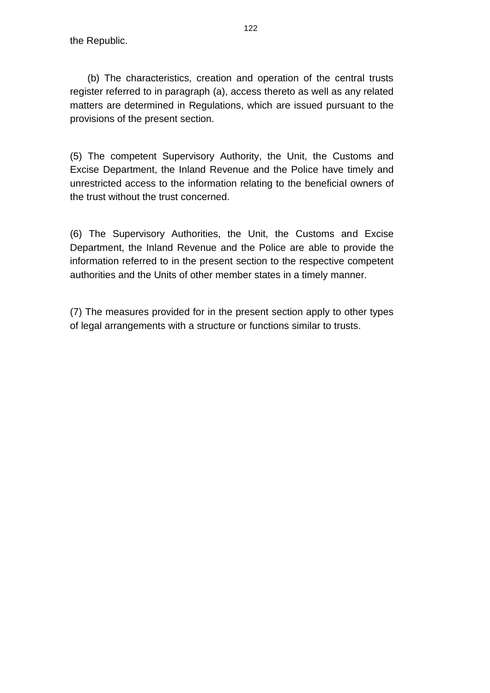the Republic.

(b) The characteristics, creation and operation of the central trusts register referred to in paragraph (a), access thereto as well as any related matters are determined in Regulations, which are issued pursuant to the provisions of the present section.

(5) The competent Supervisory Authority, the Unit, the Customs and Excise Department, the Inland Revenue and the Police have timely and unrestricted access to the information relating to the beneficial owners of the trust without the trust concerned.

(6) The Supervisory Authorities, the Unit, the Customs and Excise Department, the Inland Revenue and the Police are able to provide the information referred to in the present section to the respective competent authorities and the Units of other member states in a timely manner.

(7) The measures provided for in the present section apply to other types of legal arrangements with a structure or functions similar to trusts.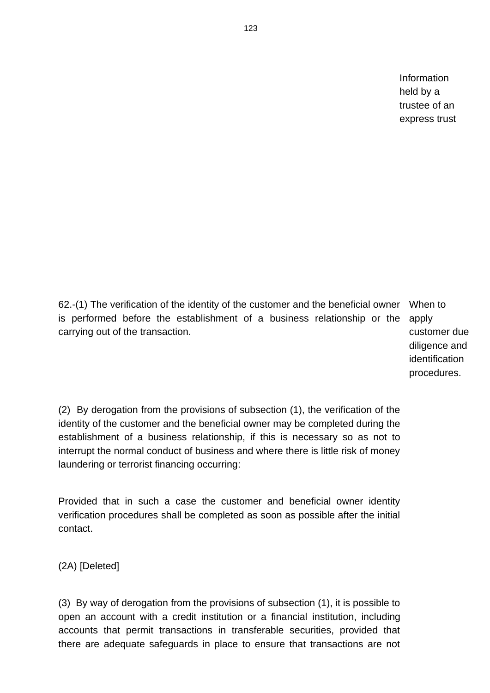Information held by a trustee of an express trust

62.-(1) The verification of the identity of the customer and the beneficial owner When to is performed before the establishment of a business relationship or the apply carrying out of the transaction.

customer due diligence and identification procedures.

(2) By derogation from the provisions of subsection (1), the verification of the identity of the customer and the beneficial owner may be completed during the establishment of a business relationship, if this is necessary so as not to interrupt the normal conduct of business and where there is little risk of money laundering or terrorist financing occurring:

Provided that in such a case the customer and beneficial owner identity verification procedures shall be completed as soon as possible after the initial contact.

(2A) [Deleted]

(3) By way of derogation from the provisions of subsection (1), it is possible to open an account with a credit institution or a financial institution, including accounts that permit transactions in transferable securities, provided that there are adequate safeguards in place to ensure that transactions are not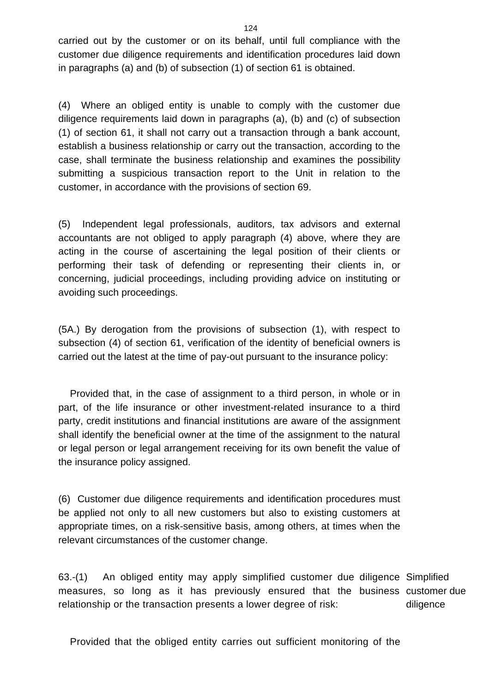carried out by the customer or on its behalf, until full compliance with the customer due diligence requirements and identification procedures laid down in paragraphs (a) and (b) of subsection (1) of section 61 is obtained.

(4) Where an obliged entity is unable to comply with the customer due diligence requirements laid down in paragraphs (a), (b) and (c) of subsection (1) of section 61, it shall not carry out a transaction through a bank account, establish a business relationship or carry out the transaction, according to the case, shall terminate the business relationship and examines the possibility submitting a suspicious transaction report to the Unit in relation to the customer, in accordance with the provisions of section 69.

(5) Independent legal professionals, auditors, tax advisors and external accountants are not obliged to apply paragraph (4) above, where they are acting in the course of ascertaining the legal position of their clients or performing their task of defending or representing their clients in, or concerning, judicial proceedings, including providing advice on instituting or avoiding such proceedings.

(5A.) By derogation from the provisions of subsection (1), with respect to subsection (4) of section 61, verification of the identity of beneficial owners is carried out the latest at the time of pay-out pursuant to the insurance policy:

Provided that, in the case of assignment to a third person, in whole or in part, of the life insurance or other investment-related insurance to a third party, credit institutions and financial institutions are aware of the assignment shall identify the beneficial owner at the time of the assignment to the natural or legal person or legal arrangement receiving for its own benefit the value of the insurance policy assigned.

(6) Customer due diligence requirements and identification procedures must be applied not only to all new customers but also to existing customers at appropriate times, on a risk-sensitive basis, among others, at times when the relevant circumstances of the customer change.

63.-(1) An obliged entity may apply simplified customer due diligence Simplified measures, so long as it has previously ensured that the business customer due relationship or the transaction presents a lower degree of risk: diligence

Provided that the obliged entity carries out sufficient monitoring of the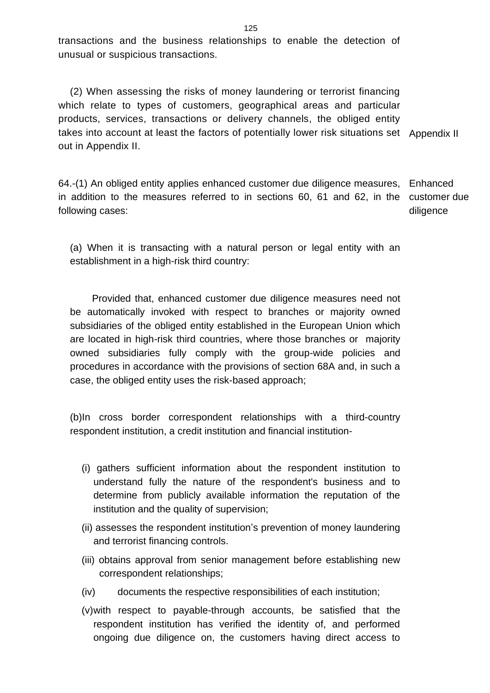transactions and the business relationships to enable the detection of unusual or suspicious transactions.

(2) When assessing the risks of money laundering or terrorist financing which relate to types of customers, geographical areas and particular products, services, transactions or delivery channels, the obliged entity takes into account at least the factors of potentially lower risk situations set Appendix II out in Appendix II.

64.-(1) An obliged entity applies enhanced customer due diligence measures, Enhanced in addition to the measures referred to in sections 60, 61 and 62, in the customer due following cases: diligence

(a) When it is transacting with a natural person or legal entity with an establishment in a high-risk third country:

 Provided that, enhanced customer due diligence measures need not be automatically invoked with respect to branches or majority owned subsidiaries of the obliged entity established in the European Union which are located in high-risk third countries, where those branches or majority owned subsidiaries fully comply with the group-wide policies and procedures in accordance with the provisions of section 68A and, in such a case, the obliged entity uses the risk-based approach;

(b)In cross border correspondent relationships with a third-country respondent institution, a credit institution and financial institution-

- (i) gathers sufficient information about the respondent institution to understand fully the nature of the respondent's business and to determine from publicly available information the reputation of the institution and the quality of supervision;
- (ii) assesses the respondent institution's prevention of money laundering and terrorist financing controls.
- (iii) obtains approval from senior management before establishing new correspondent relationships;
- (iv) documents the respective responsibilities of each institution;
- (v)with respect to payable-through accounts, be satisfied that the respondent institution has verified the identity of, and performed ongoing due diligence on, the customers having direct access to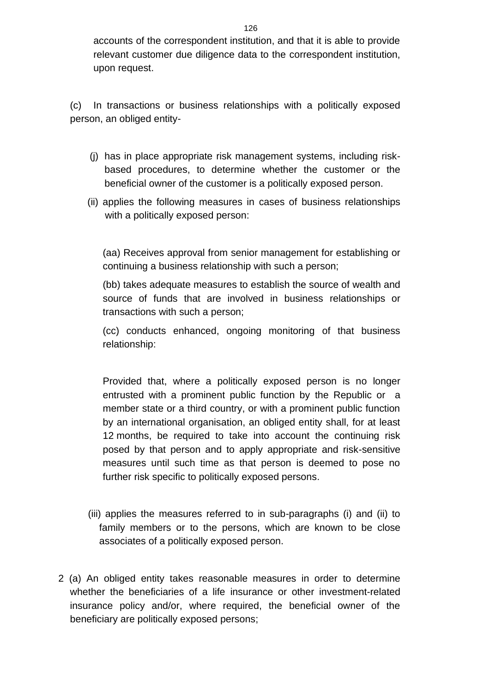accounts of the correspondent institution, and that it is able to provide relevant customer due diligence data to the correspondent institution, upon request.

(c) In transactions or business relationships with a politically exposed person, an obliged entity-

- (j) has in place appropriate risk management systems, including riskbased procedures, to determine whether the customer or the beneficial owner of the customer is a politically exposed person.
- (ii) applies the following measures in cases of business relationships with a politically exposed person:

(aa) Receives approval from senior management for establishing or continuing a business relationship with such a person;

(bb) takes adequate measures to establish the source of wealth and source of funds that are involved in business relationships or transactions with such a person;

(cc) conducts enhanced, ongoing monitoring of that business relationship:

Provided that, where a politically exposed person is no longer entrusted with a prominent public function by the Republic or a member state or a third country, or with a prominent public function by an international organisation, an obliged entity shall, for at least 12 months, be required to take into account the continuing risk posed by that person and to apply appropriate and risk-sensitive measures until such time as that person is deemed to pose no further risk specific to politically exposed persons.

- (iii) applies the measures referred to in sub-paragraphs (i) and (ii) to family members or to the persons, which are known to be close associates of a politically exposed person.
- 2 (a) An obliged entity takes reasonable measures in order to determine whether the beneficiaries of a life insurance or other investment-related insurance policy and/or, where required, the beneficial owner of the beneficiary are politically exposed persons;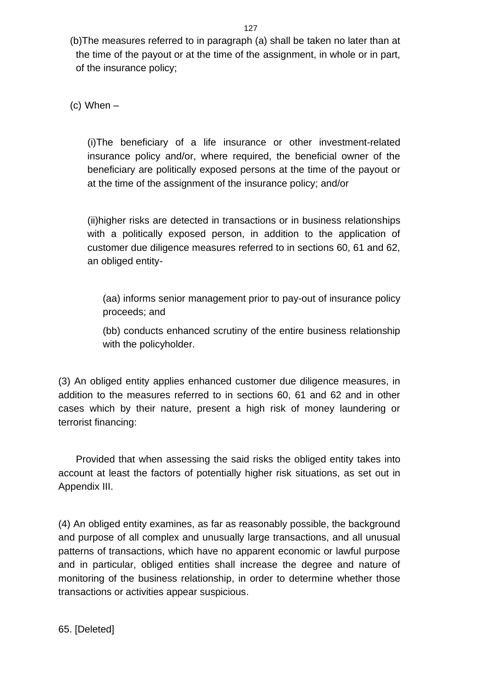(b)The measures referred to in paragraph (a) shall be taken no later than at the time of the payout or at the time of the assignment, in whole or in part, of the insurance policy;

(c) When –

(i)The beneficiary of a life insurance or other investment-related insurance policy and/or, where required, the beneficial owner of the beneficiary are politically exposed persons at the time of the payout or at the time of the assignment of the insurance policy; and/or

(ii)higher risks are detected in transactions or in business relationships with a politically exposed person, in addition to the application of customer due diligence measures referred to in sections 60, 61 and 62, an obliged entity-

(aa) informs senior management prior to pay-out of insurance policy proceeds; and

(bb) conducts enhanced scrutiny of the entire business relationship with the policyholder.

(3) An obliged entity applies enhanced customer due diligence measures, in addition to the measures referred to in sections 60, 61 and 62 and in other cases which by their nature, present a high risk of money laundering or terrorist financing:

Provided that when assessing the said risks the obliged entity takes into account at least the factors of potentially higher risk situations, as set out in Appendix III.

(4) An obliged entity examines, as far as reasonably possible, the background and purpose of all complex and unusually large transactions, and all unusual patterns of transactions, which have no apparent economic or lawful purpose and in particular, obliged entities shall increase the degree and nature of monitoring of the business relationship, in order to determine whether those transactions or activities appear suspicious.

65. [Deleted]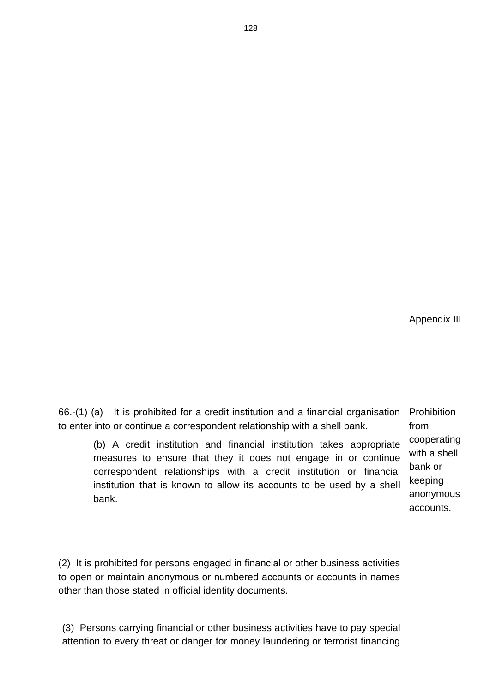Appendix III

66.-(1) (a) It is prohibited for a credit institution and a financial organisation to enter into or continue a correspondent relationship with a shell bank. Prohibition from

(b) A credit institution and financial institution takes appropriate measures to ensure that they it does not engage in or continue correspondent relationships with a credit institution or financial institution that is known to allow its accounts to be used by a shell bank.

cooperating with a shell bank or keeping anonymous accounts.

(2) It is prohibited for persons engaged in financial or other business activities to open or maintain anonymous or numbered accounts or accounts in names other than those stated in official identity documents.

(3) Persons carrying financial or other business activities have to pay special attention to every threat or danger for money laundering or terrorist financing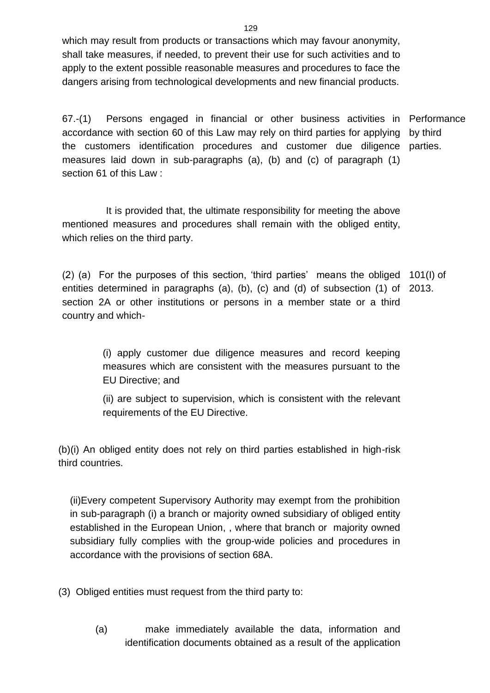which may result from products or transactions which may favour anonymity, shall take measures, if needed, to prevent their use for such activities and to apply to the extent possible reasonable measures and procedures to face the dangers arising from technological developments and new financial products.

67.-(1) Persons engaged in financial or other business activities in Performance accordance with section 60 of this Law may rely on third parties for applying by third the customers identification procedures and customer due diligence parties. measures laid down in sub-paragraphs (a), (b) and (c) of paragraph (1) section 61 of this Law :

 It is provided that, the ultimate responsibility for meeting the above mentioned measures and procedures shall remain with the obliged entity, which relies on the third party.

(2) (a) For the purposes of this section, 'third parties' means the obliged 101(I) of entities determined in paragraphs (a), (b), (c) and (d) of subsection (1) of 2013. section 2A or other institutions or persons in a member state or a third country and which-

> (i) apply customer due diligence measures and record keeping measures which are consistent with the measures pursuant to the EU Directive; and

> (ii) are subject to supervision, which is consistent with the relevant requirements of the EU Directive.

(b)(i) An obliged entity does not rely on third parties established in high-risk third countries.

(ii)Every competent Supervisory Authority may exempt from the prohibition in sub-paragraph (i) a branch or majority owned subsidiary of obliged entity established in the European Union, , where that branch or majority owned subsidiary fully complies with the group-wide policies and procedures in accordance with the provisions of section 68A.

(3) Obliged entities must request from the third party to:

(a) make immediately available the data, information and identification documents obtained as a result of the application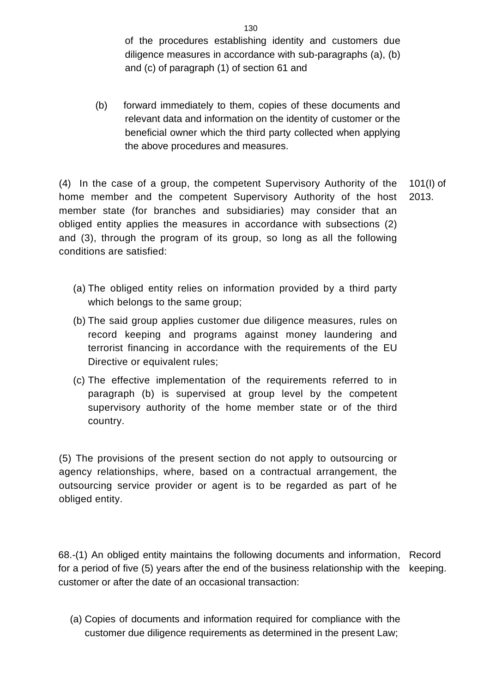of the procedures establishing identity and customers due diligence measures in accordance with sub-paragraphs (a), (b) and (c) of paragraph (1) of section 61 and

(b) forward immediately to them, copies of these documents and relevant data and information on the identity of customer or the beneficial owner which the third party collected when applying the above procedures and measures.

(4) In the case of a group, the competent Supervisory Authority of the home member and the competent Supervisory Authority of the host member state (for branches and subsidiaries) may consider that an obliged entity applies the measures in accordance with subsections (2) and (3), through the program of its group, so long as all the following conditions are satisfied: 101(I) of 2013.

- (a) The obliged entity relies on information provided by a third party which belongs to the same group;
- (b) The said group applies customer due diligence measures, rules on record keeping and programs against money laundering and terrorist financing in accordance with the requirements of the EU Directive or equivalent rules;
- (c) The effective implementation of the requirements referred to in paragraph (b) is supervised at group level by the competent supervisory authority of the home member state or of the third country.

(5) The provisions of the present section do not apply to outsourcing or agency relationships, where, based on a contractual arrangement, the outsourcing service provider or agent is to be regarded as part of he obliged entity.

68.-(1) An obliged entity maintains the following documents and information, Record for a period of five (5) years after the end of the business relationship with the keeping.customer or after the date of an occasional transaction:

(a) Copies of documents and information required for compliance with the customer due diligence requirements as determined in the present Law;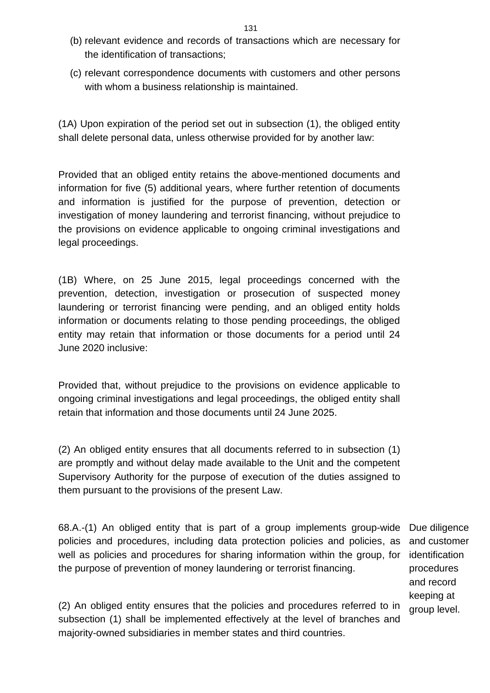- (b) relevant evidence and records of transactions which are necessary for the identification of transactions;
- (c) relevant correspondence documents with customers and other persons with whom a business relationship is maintained.

(1A) Upon expiration of the period set out in subsection (1), the obliged entity shall delete personal data, unless otherwise provided for by another law:

Provided that an obliged entity retains the above-mentioned documents and information for five (5) additional years, where further retention of documents and information is justified for the purpose of prevention, detection or investigation of money laundering and terrorist financing, without prejudice to the provisions on evidence applicable to ongoing criminal investigations and legal proceedings.

(1B) Where, on 25 June 2015, legal proceedings concerned with the prevention, detection, investigation or prosecution of suspected money laundering or terrorist financing were pending, and an obliged entity holds information or documents relating to those pending proceedings, the obliged entity may retain that information or those documents for a period until 24 June 2020 inclusive:

Provided that, without prejudice to the provisions on evidence applicable to ongoing criminal investigations and legal proceedings, the obliged entity shall retain that information and those documents until 24 June 2025.

(2) An obliged entity ensures that all documents referred to in subsection (1) are promptly and without delay made available to the Unit and the competent Supervisory Authority for the purpose of execution of the duties assigned to them pursuant to the provisions of the present Law.

68.A.-(1) An obliged entity that is part of a group implements group-wide Due diligence policies and procedures, including data protection policies and policies, as well as policies and procedures for sharing information within the group, for identification the purpose of prevention of money laundering or terrorist financing.

and customer procedures and record keeping at group level.

(2) An obliged entity ensures that the policies and procedures referred to in subsection (1) shall be implemented effectively at the level of branches and majority-owned subsidiaries in member states and third countries.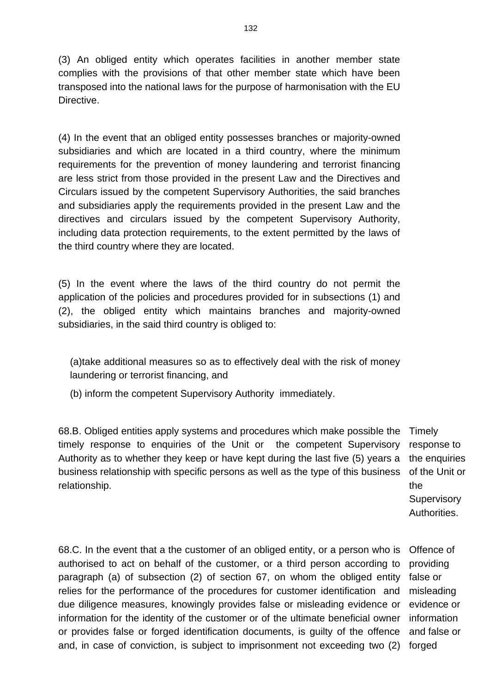(3) An obliged entity which operates facilities in another member state complies with the provisions of that other member state which have been transposed into the national laws for the purpose of harmonisation with the EU Directive.

(4) In the event that an obliged entity possesses branches or majority-owned subsidiaries and which are located in a third country, where the minimum requirements for the prevention of money laundering and terrorist financing are less strict from those provided in the present Law and the Directives and Circulars issued by the competent Supervisory Authorities, the said branches and subsidiaries apply the requirements provided in the present Law and the directives and circulars issued by the competent Supervisory Authority, including data protection requirements, to the extent permitted by the laws of the third country where they are located.

(5) In the event where the laws of the third country do not permit the application of the policies and procedures provided for in subsections (1) and (2), the obliged entity which maintains branches and majority-owned subsidiaries, in the said third country is obliged to:

(a)take additional measures so as to effectively deal with the risk of money laundering or terrorist financing, and

(b) inform the competent Supervisory Authority immediately.

68.B. Obliged entities apply systems and procedures which make possible the timely response to enquiries of the Unit or the competent Supervisory Authority as to whether they keep or have kept during the last five (5) years a business relationship with specific persons as well as the type of this business relationship.

Timely response to the enquiries of the Unit or the **Supervisory** Authorities.

68.C. In the event that a the customer of an obliged entity, or a person who is Offence of authorised to act on behalf of the customer, or a third person according to paragraph (a) of subsection (2) of section 67, on whom the obliged entity relies for the performance of the procedures for customer identification and due diligence measures, knowingly provides false or misleading evidence or information for the identity of the customer or of the ultimate beneficial owner or provides false or forged identification documents, is guilty of the offence and, in case of conviction, is subject to imprisonment not exceeding two (2) forged

providing false or misleading evidence or information and false or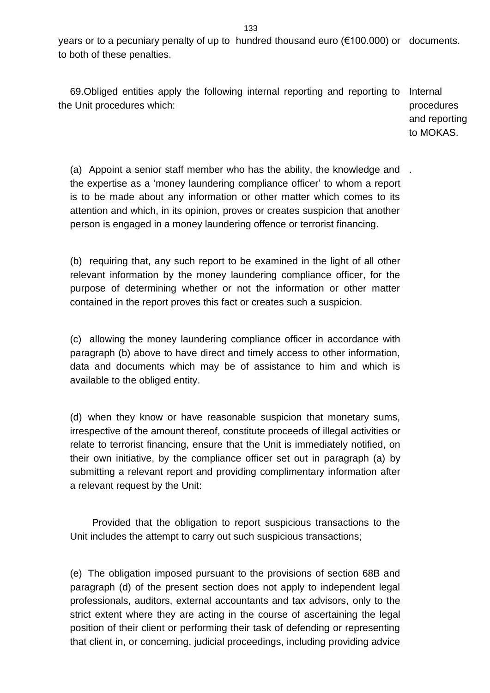years or to a pecuniary penalty of up to hundred thousand euro (€100.000) or documents. to both of these penalties.

69.Obliged entities apply the following internal reporting and reporting to Internal the Unit procedures which:

procedures and reporting to MOKAS.

(a) Appoint a senior staff member who has the ability, the knowledge and . the expertise as a 'money laundering compliance officer' to whom a report is to be made about any information or other matter which comes to its attention and which, in its opinion, proves or creates suspicion that another person is engaged in a money laundering offence or terrorist financing.

(b) requiring that, any such report to be examined in the light of all other relevant information by the money laundering compliance officer, for the purpose of determining whether or not the information or other matter contained in the report proves this fact or creates such a suspicion.

(c) allowing the money laundering compliance officer in accordance with paragraph (b) above to have direct and timely access to other information, data and documents which may be of assistance to him and which is available to the obliged entity.

(d) when they know or have reasonable suspicion that monetary sums, irrespective of the amount thereof, constitute proceeds of illegal activities or relate to terrorist financing, ensure that the Unit is immediately notified, on their own initiative, by the compliance officer set out in paragraph (a) by submitting a relevant report and providing complimentary information after a relevant request by the Unit:

 Provided that the obligation to report suspicious transactions to the Unit includes the attempt to carry out such suspicious transactions;

(e) The obligation imposed pursuant to the provisions of section 68B and paragraph (d) of the present section does not apply to independent legal professionals, auditors, external accountants and tax advisors, only to the strict extent where they are acting in the course of ascertaining the legal position of their client or performing their task of defending or representing that client in, or concerning, judicial proceedings, including providing advice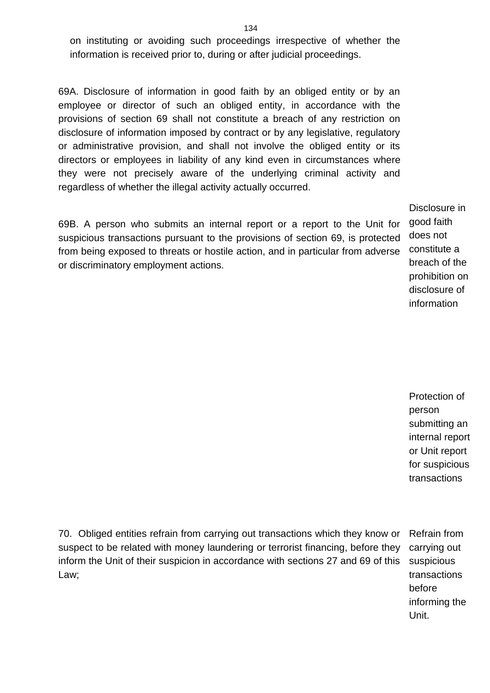on instituting or avoiding such proceedings irrespective of whether the information is received prior to, during or after judicial proceedings.

69A. Disclosure of information in good faith by an obliged entity or by an employee or director of such an obliged entity, in accordance with the provisions of section 69 shall not constitute a breach of any restriction on disclosure of information imposed by contract or by any legislative, regulatory or administrative provision, and shall not involve the obliged entity or its directors or employees in liability of any kind even in circumstances where they were not precisely aware of the underlying criminal activity and regardless of whether the illegal activity actually occurred.

69B. A person who submits an internal report or a report to the Unit for suspicious transactions pursuant to the provisions of section 69, is protected from being exposed to threats or hostile action, and in particular from adverse or discriminatory employment actions.

Disclosure in good faith does not constitute a breach of the prohibition on disclosure of information

Protection of person submitting an internal report or Unit report for suspicious transactions

70. Obliged entities refrain from carrying out transactions which they know or suspect to be related with money laundering or terrorist financing, before they inform the Unit of their suspicion in accordance with sections 27 and 69 of this Law;

Refrain from carrying out suspicious transactions before informing the Unit.

#### 134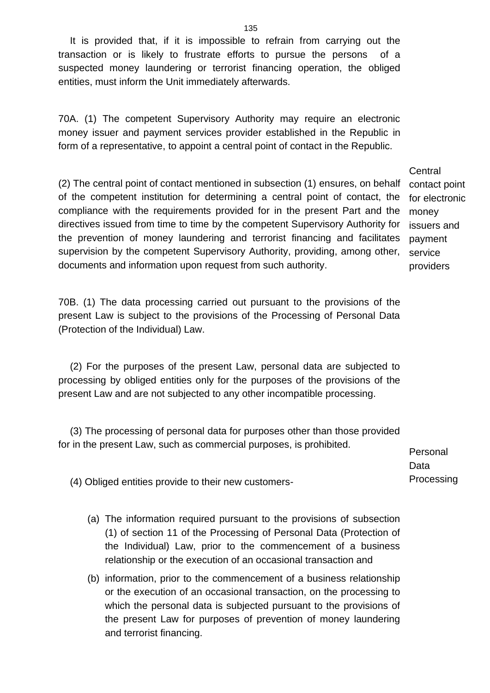It is provided that, if it is impossible to refrain from carrying out the transaction or is likely to frustrate efforts to pursue the persons of a suspected money laundering or terrorist financing operation, the obliged entities, must inform the Unit immediately afterwards.

70A. (1) The competent Supervisory Authority may require an electronic money issuer and payment services provider established in the Republic in form of a representative, to appoint a central point of contact in the Republic.

(2) The central point of contact mentioned in subsection (1) ensures, on behalf of the competent institution for determining a central point of contact, the compliance with the requirements provided for in the present Part and the directives issued from time to time by the competent Supervisory Authority for the prevention of money laundering and terrorist financing and facilitates supervision by the competent Supervisory Authority, providing, among other, documents and information upon request from such authority.

70B. (1) The data processing carried out pursuant to the provisions of the present Law is subject to the provisions of the Processing of Personal Data (Protection of the Individual) Law.

(2) For the purposes of the present Law, personal data are subjected to processing by obliged entities only for the purposes of the provisions of the present Law and are not subjected to any other incompatible processing.

(3) The processing of personal data for purposes other than those provided for in the present Law, such as commercial purposes, is prohibited.

(4) Obliged entities provide to their new customers-

- (a) The information required pursuant to the provisions of subsection (1) of section 11 of the Processing of Personal Data (Protection of the Individual) Law, prior to the commencement of a business relationship or the execution of an occasional transaction and
- (b) information, prior to the commencement of a business relationship or the execution of an occasional transaction, on the processing to which the personal data is subjected pursuant to the provisions of the present Law for purposes of prevention of money laundering and terrorist financing.

Personal Data Processing

**Central** contact point for electronic money issuers and payment service providers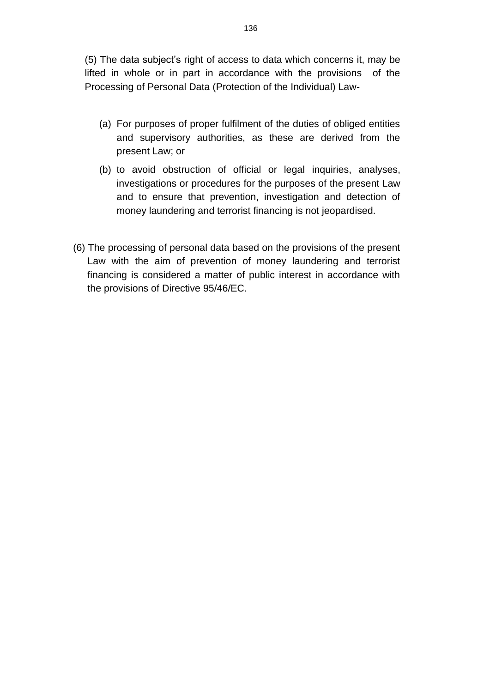(5) The data subject's right of access to data which concerns it, may be lifted in whole or in part in accordance with the provisions of the Processing of Personal Data (Protection of the Individual) Law-

- (a) For purposes of proper fulfilment of the duties of obliged entities and supervisory authorities, as these are derived from the present Law; or
- (b) to avoid obstruction of official or legal inquiries, analyses, investigations or procedures for the purposes of the present Law and to ensure that prevention, investigation and detection of money laundering and terrorist financing is not jeopardised.
- (6) The processing of personal data based on the provisions of the present Law with the aim of prevention of money laundering and terrorist financing is considered a matter of public interest in accordance with the provisions of Directive 95/46/EC.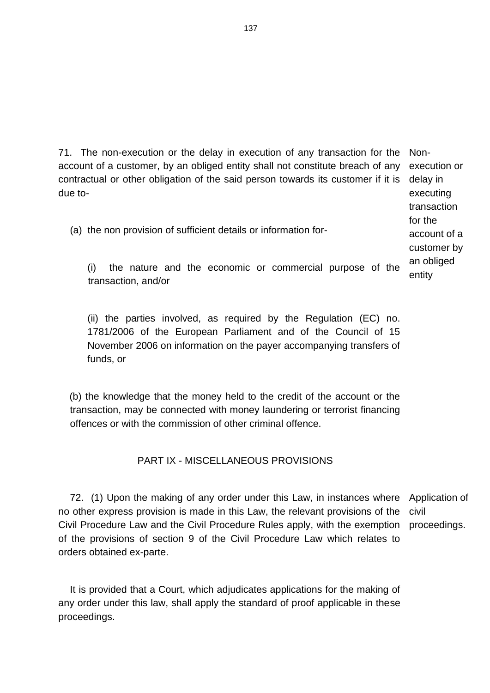71. The non-execution or the delay in execution of any transaction for the account of a customer, by an obliged entity shall not constitute breach of any contractual or other obligation of the said person towards its customer if it is delay in due to-

(a) the non provision of sufficient details or information for-

Nonexecution or executing transaction for the account of a customer by an obliged entity

(i) the nature and the economic or commercial purpose of the transaction, and/or

(ii) the parties involved, as required by the Regulation (EC) no. 1781/2006 of the European Parliament and of the Council of 15 November 2006 on information on the payer accompanying transfers of funds, or

(b) the knowledge that the money held to the credit of the account or the transaction, may be connected with money laundering or terrorist financing offences or with the commission of other criminal offence.

### PART IX - MISCELLANEOUS PROVISIONS

72. (1) Upon the making of any order under this Law, in instances where Application of no other express provision is made in this Law, the relevant provisions of the civil Civil Procedure Law and the Civil Procedure Rules apply, with the exemption proceedings.of the provisions of section 9 of the Civil Procedure Law which relates to orders obtained ex-parte.

It is provided that a Court, which adjudicates applications for the making of any order under this law, shall apply the standard of proof applicable in these proceedings.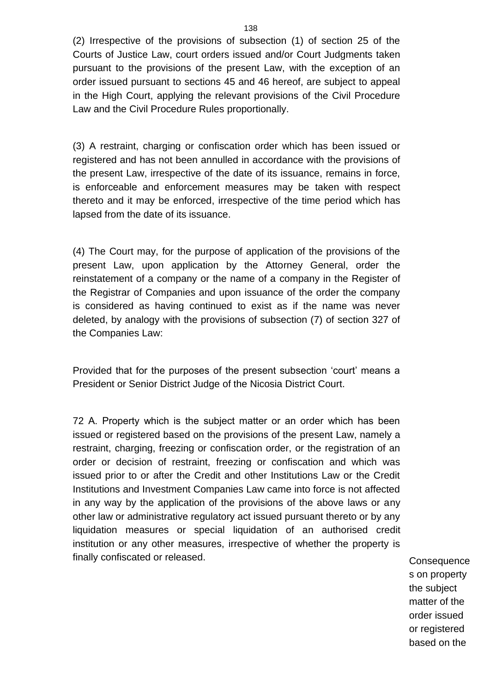(2) Irrespective of the provisions of subsection (1) of section 25 of the Courts of Justice Law, court orders issued and/or Court Judgments taken pursuant to the provisions of the present Law, with the exception of an order issued pursuant to sections 45 and 46 hereof, are subject to appeal in the High Court, applying the relevant provisions of the Civil Procedure Law and the Civil Procedure Rules proportionally.

(3) A restraint, charging or confiscation order which has been issued or registered and has not been annulled in accordance with the provisions of the present Law, irrespective of the date of its issuance, remains in force, is enforceable and enforcement measures may be taken with respect thereto and it may be enforced, irrespective of the time period which has lapsed from the date of its issuance.

(4) The Court may, for the purpose of application of the provisions of the present Law, upon application by the Attorney General, order the reinstatement of a company or the name of a company in the Register of the Registrar of Companies and upon issuance of the order the company is considered as having continued to exist as if the name was never deleted, by analogy with the provisions of subsection (7) of section 327 of the Companies Law:

Provided that for the purposes of the present subsection 'court' means a President or Senior District Judge of the Nicosia District Court.

72 Α. Property which is the subject matter or an order which has been issued or registered based on the provisions of the present Law, namely a restraint, charging, freezing or confiscation order, or the registration of an order or decision of restraint, freezing or confiscation and which was issued prior to or after the Credit and other Institutions Law or the Credit Institutions and Investment Companies Law came into force is not affected in any way by the application of the provisions of the above laws or any other law or administrative regulatory act issued pursuant thereto or by any liquidation measures or special liquidation of an authorised credit institution or any other measures, irrespective of whether the property is finally confiscated or released. The same state of the consequence of the consequence

s on property the subject matter of the order issued or registered based on the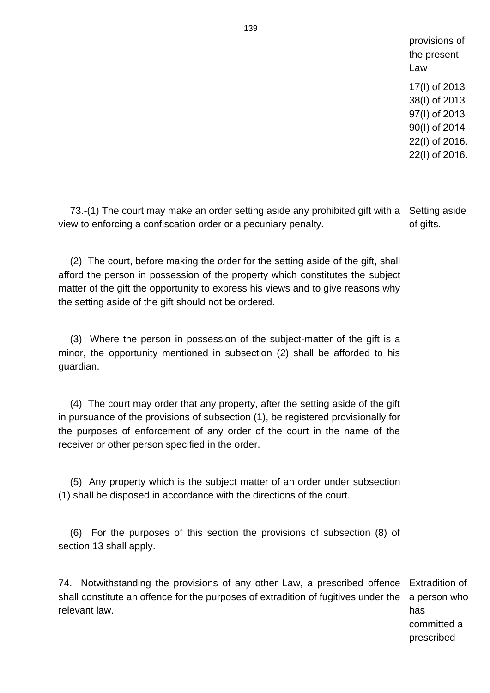provisions of the present Law 17(I) of 2013 38(I) of 2013 97(Ι) of 2013 90(Ι) of 2014 22(I) of 2016. 22(I) of 2016.

73.-(1) The court may make an order setting aside any prohibited gift with a Setting aside view to enforcing a confiscation order or a pecuniary penalty. of gifts.

(2) The court, before making the order for the setting aside of the gift, shall afford the person in possession of the property which constitutes the subject matter of the gift the opportunity to express his views and to give reasons why the setting aside of the gift should not be ordered.

(3) Where the person in possession of the subject-matter of the gift is a minor, the opportunity mentioned in subsection (2) shall be afforded to his guardian.

(4) The court may order that any property, after the setting aside of the gift in pursuance of the provisions of subsection (1), be registered provisionally for the purposes of enforcement of any order of the court in the name of the receiver or other person specified in the order.

(5) Any property which is the subject matter of an order under subsection (1) shall be disposed in accordance with the directions of the court.

(6) For the purposes of this section the provisions of subsection (8) of section 13 shall apply.

74. Notwithstanding the provisions of any other Law, a prescribed offence Extradition of shall constitute an offence for the purposes of extradition of fugitives under the relevant law. has

a person who committed a prescribed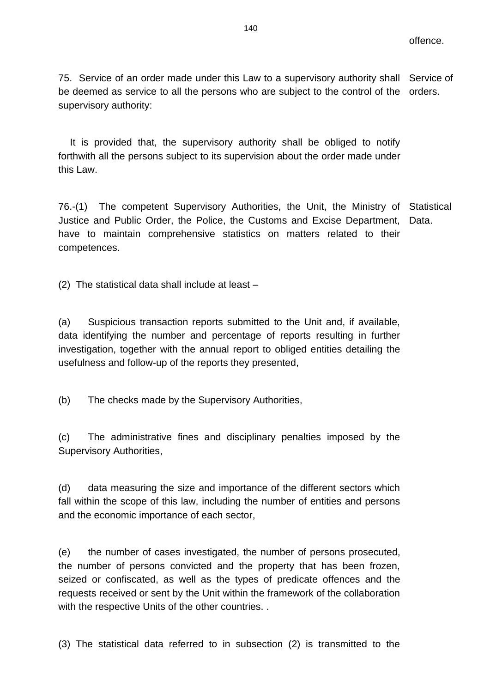75. Service of an order made under this Law to a supervisory authority shall Service of be deemed as service to all the persons who are subject to the control of the orders. supervisory authority:

It is provided that, the supervisory authority shall be obliged to notify forthwith all the persons subject to its supervision about the order made under this Law.

76.-(1) The competent Supervisory Authorities, the Unit, the Ministry of Statistical Justice and Public Order, the Police, the Customs and Excise Department, Data. have to maintain comprehensive statistics on matters related to their competences.

(2) The statistical data shall include at least –

(a) Suspicious transaction reports submitted to the Unit and, if available, data identifying the number and percentage of reports resulting in further investigation, together with the annual report to obliged entities detailing the usefulness and follow-up of the reports they presented,

(b) The checks made by the Supervisory Authorities,

(c) The administrative fines and disciplinary penalties imposed by the Supervisory Authorities,

(d) data measuring the size and importance of the different sectors which fall within the scope of this law, including the number of entities and persons and the economic importance of each sector,

(e) the number of cases investigated, the number of persons prosecuted, the number of persons convicted and the property that has been frozen, seized or confiscated, as well as the types of predicate offences and the requests received or sent by the Unit within the framework of the collaboration with the respective Units of the other countries. .

(3) The statistical data referred to in subsection (2) is transmitted to the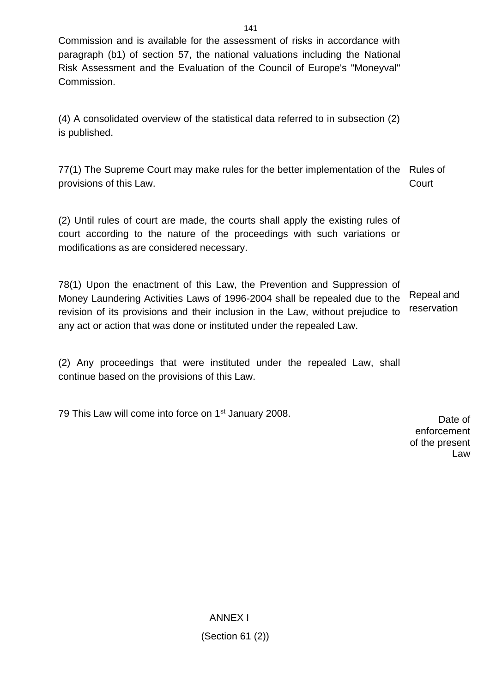Commission and is available for the assessment of risks in accordance with paragraph (b1) of section 57, the national valuations including the National Risk Assessment and the Evaluation of the Council of Europe's "Moneyval" Commission.

(4) A consolidated overview of the statistical data referred to in subsection (2) is published.

77(1) The Supreme Court may make rules for the better implementation of the Rules of provisions of this Law. **Court** 

(2) Until rules of court are made, the courts shall apply the existing rules of court according to the nature of the proceedings with such variations or modifications as are considered necessary.

78(1) Upon the enactment of this Law, the Prevention and Suppression of Money Laundering Activities Laws of 1996-2004 shall be repealed due to the revision of its provisions and their inclusion in the Law, without prejudice to any act or action that was done or instituted under the repealed Law. Repeal and reservation

(2) Any proceedings that were instituted under the repealed Law, shall continue based on the provisions of this Law.

79 This Law will come into force on 1<sup>st</sup> January 2008.

Date of enforcement of the present Law

ANNEX I (Section 61 (2))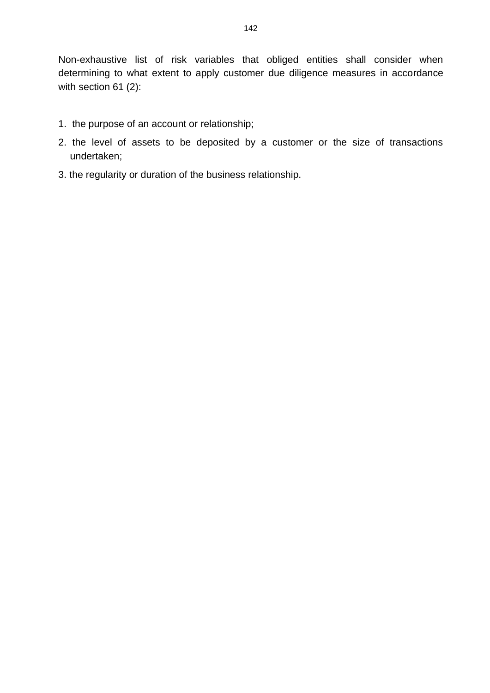Non-exhaustive list of risk variables that obliged entities shall consider when determining to what extent to apply customer due diligence measures in accordance with section 61 (2):

- 1. the purpose of an account or relationship;
- 2. the level of assets to be deposited by a customer or the size of transactions undertaken;
- 3. the regularity or duration of the business relationship.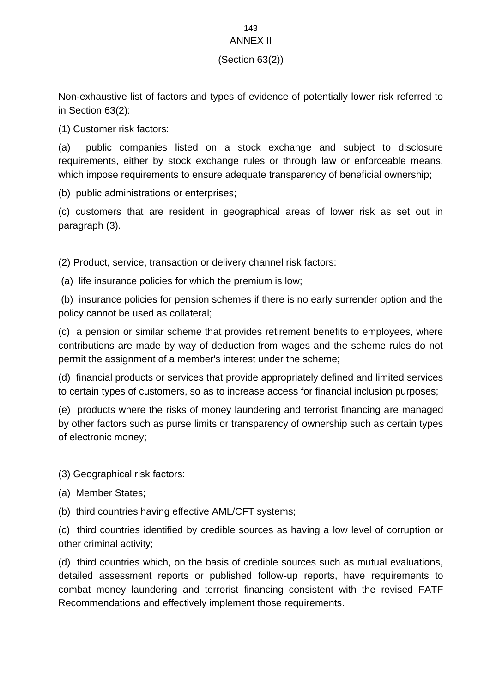# 143

### ANNEX II

## (Section 63(2))

Non-exhaustive list of factors and types of evidence of potentially lower risk referred to in Section 63(2):

(1) Customer risk factors:

(a) public companies listed on a stock exchange and subject to disclosure requirements, either by stock exchange rules or through law or enforceable means, which impose requirements to ensure adequate transparency of beneficial ownership;

(b) public administrations or enterprises;

(c) customers that are resident in geographical areas of lower risk as set out in paragraph (3).

(2) Product, service, transaction or delivery channel risk factors:

(a) life insurance policies for which the premium is low;

(b) insurance policies for pension schemes if there is no early surrender option and the policy cannot be used as collateral;

(c) a pension or similar scheme that provides retirement benefits to employees, where contributions are made by way of deduction from wages and the scheme rules do not permit the assignment of a member's interest under the scheme;

(d) financial products or services that provide appropriately defined and limited services to certain types of customers, so as to increase access for financial inclusion purposes;

(e) products where the risks of money laundering and terrorist financing are managed by other factors such as purse limits or transparency of ownership such as certain types of electronic money;

(3) Geographical risk factors:

(a) Member States;

(b) third countries having effective AML/CFT systems;

(c) third countries identified by credible sources as having a low level of corruption or other criminal activity;

(d) third countries which, on the basis of credible sources such as mutual evaluations, detailed assessment reports or published follow-up reports, have requirements to combat money laundering and terrorist financing consistent with the revised FATF Recommendations and effectively implement those requirements.